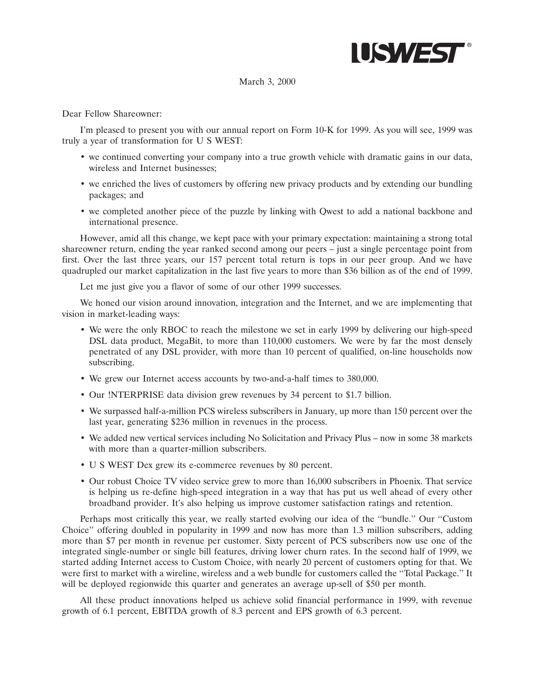

### March 3, 2000

Dear Fellow Shareowner:

I'm pleased to present you with our annual report on Form 10-K for 1999. As you will see, 1999 was truly a year of transformation for U S WEST:

- we continued converting your company into a true growth vehicle with dramatic gains in our data, wireless and Internet businesses;
- we enriched the lives of customers by offering new privacy products and by extending our bundling packages; and
- we completed another piece of the puzzle by linking with Qwest to add a national backbone and international presence.

However, amid all this change, we kept pace with your primary expectation: maintaining a strong total shareowner return, ending the year ranked second among our peers – just a single percentage point from first. Over the last three years, our 157 percent total return is tops in our peer group. And we have quadrupled our market capitalization in the last five years to more than \$36 billion as of the end of 1999.

Let me just give you a flavor of some of our other 1999 successes.

We honed our vision around innovation, integration and the Internet, and we are implementing that vision in market-leading ways:

- We were the only RBOC to reach the milestone we set in early 1999 by delivering our high-speed DSL data product, MegaBit, to more than 110,000 customers. We were by far the most densely penetrated of any DSL provider, with more than 10 percent of qualified, on-line households now subscribing.
- We grew our Internet access accounts by two-and-a-half times to 380,000.
- Our !NTERPRISE data division grew revenues by 34 percent to \$1.7 billion.
- We surpassed half-a-million PCS wireless subscribers in January, up more than 150 percent over the last year, generating \$236 million in revenues in the process.
- We added new vertical services including No Solicitation and Privacy Plus now in some 38 markets with more than a quarter-million subscribers.
- U S WEST Dex grew its e-commerce revenues by 80 percent.
- Our robust Choice TV video service grew to more than 16,000 subscribers in Phoenix. That service is helping us re-define high-speed integration in a way that has put us well ahead of every other broadband provider. It's also helping us improve customer satisfaction ratings and retention.

Perhaps most critically this year, we really started evolving our idea of the ''bundle.'' Our ''Custom Choice'' offering doubled in popularity in 1999 and now has more than 1.3 million subscribers, adding more than \$7 per month in revenue per customer. Sixty percent of PCS subscribers now use one of the integrated single-number or single bill features, driving lower churn rates. In the second half of 1999, we started adding Internet access to Custom Choice, with nearly 20 percent of customers opting for that. We were first to market with a wireline, wireless and a web bundle for customers called the ''Total Package.'' It will be deployed regionwide this quarter and generates an average up-sell of \$50 per month.

All these product innovations helped us achieve solid financial performance in 1999, with revenue growth of 6.1 percent, EBITDA growth of 8.3 percent and EPS growth of 6.3 percent.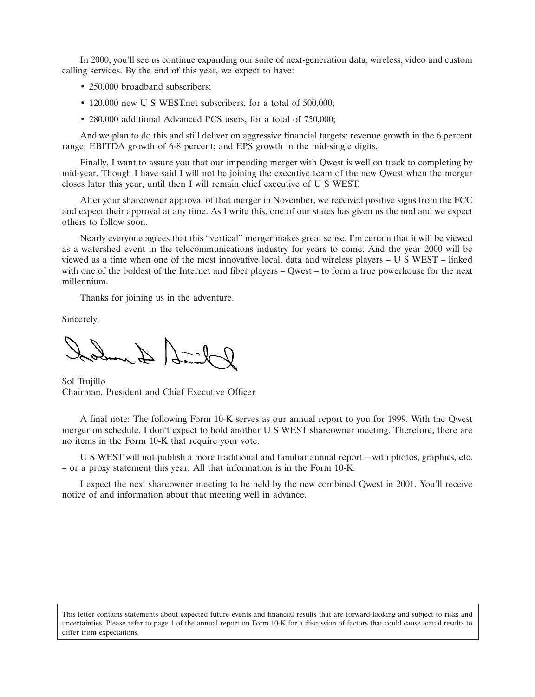In 2000, you'll see us continue expanding our suite of next-generation data, wireless, video and custom calling services. By the end of this year, we expect to have:

- 250,000 broadband subscribers;
- 120,000 new U S WEST, net subscribers, for a total of 500,000;
- 280,000 additional Advanced PCS users, for a total of 750,000;

And we plan to do this and still deliver on aggressive financial targets: revenue growth in the 6 percent range; EBITDA growth of 6-8 percent; and EPS growth in the mid-single digits.

Finally, I want to assure you that our impending merger with Qwest is well on track to completing by mid-year. Though I have said I will not be joining the executive team of the new Qwest when the merger closes later this year, until then I will remain chief executive of U S WEST.

After your shareowner approval of that merger in November, we received positive signs from the FCC and expect their approval at any time. As I write this, one of our states has given us the nod and we expect others to follow soon.

Nearly everyone agrees that this ''vertical'' merger makes great sense. I'm certain that it will be viewed as a watershed event in the telecommunications industry for years to come. And the year 2000 will be viewed as a time when one of the most innovative local, data and wireless players – U S WEST – linked with one of the boldest of the Internet and fiber players – Owest – to form a true powerhouse for the next millennium.

Thanks for joining us in the adventure.

Sincerely,

 $2\pi$ 

Sol Trujillo Chairman, President and Chief Executive Officer

A final note: The following Form 10-K serves as our annual report to you for 1999. With the Qwest merger on schedule, I don't expect to hold another U S WEST shareowner meeting. Therefore, there are no items in the Form 10-K that require your vote.

U S WEST will not publish a more traditional and familiar annual report – with photos, graphics, etc. – or a proxy statement this year. All that information is in the Form 10-K.

I expect the next shareowner meeting to be held by the new combined Qwest in 2001. You'll receive notice of and information about that meeting well in advance.

This letter contains statements about expected future events and financial results that are forward-looking and subject to risks and uncertainties. Please refer to page 1 of the annual report on Form 10-K for a discussion of factors that could cause actual results to differ from expectations.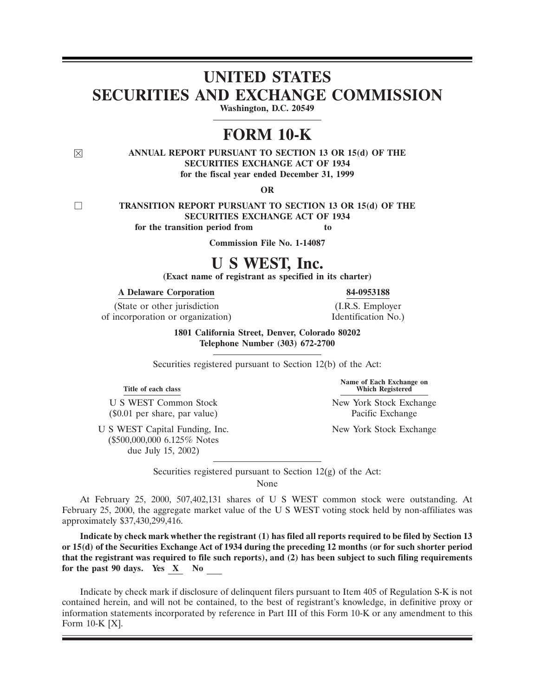# **UNITED STATES SECURITIES AND EXCHANGE COMMISSION**

**Washington, D.C. 20549**

# **FORM 10-K**

### ( **ANNUAL REPORT PURSUANT TO SECTION 13 OR 15(d) OF THE SECURITIES EXCHANGE ACT OF 1934 for the fiscal year ended December 31, 1999**

**OR**

9 **TRANSITION REPORT PURSUANT TO SECTION 13 OR 15(d) OF THE SECURITIES EXCHANGE ACT OF 1934 for the transition period from to** 

**Commission File No. 1-14087**

# **U S WEST, Inc.**

**(Exact name of registrant as specified in its charter)**

**A Delaware Corporation 84-0953188**

(State or other jurisdiction (I.R.S. Employer of incorporation or organization) Identification No.)

**1801 California Street, Denver, Colorado 80202 Telephone Number (303) 672-2700**

Securities registered pursuant to Section 12(b) of the Act:

**Title of each class** 

(\$0.01 per share, par value) Pacific Exchange

(\$500,000,000 6.125% Notes due July 15, 2002)

**Name of Each Exchange on**

U S WEST Common Stock New York Stock Exchange

U S WEST Capital Funding, Inc. New York Stock Exchange

Securities registered pursuant to Section  $12(g)$  of the Act:

None

At February 25, 2000, 507,402,131 shares of U S WEST common stock were outstanding. At February 25, 2000, the aggregate market value of the U S WEST voting stock held by non-affiliates was approximately \$37,430,299,416.

**Indicate by check mark whether the registrant (1) has filed all reports required to be filed by Section 13 or 15(d) of the Securities Exchange Act of 1934 during the preceding 12 months (or for such shorter period that the registrant was required to file such reports), and (2) has been subject to such filing requirements for the past 90 days. Yes X No** 

Indicate by check mark if disclosure of delinquent filers pursuant to Item 405 of Regulation S-K is not contained herein, and will not be contained, to the best of registrant's knowledge, in definitive proxy or information statements incorporated by reference in Part III of this Form 10-K or any amendment to this Form 10-K [X].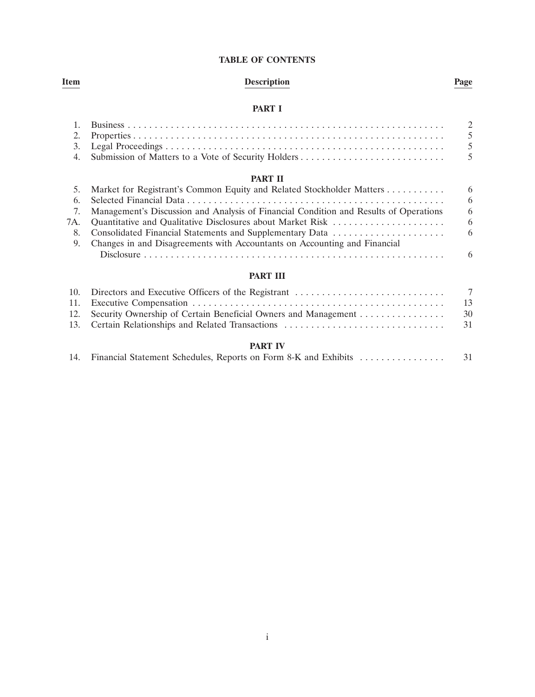### **TABLE OF CONTENTS**

## **Item Description Page**

### **PART I**

| 2.<br>3. |                                                                                       | $\mathcal{D}_{\mathcal{L}}$<br>$\overline{5}$<br>$\overline{5}$ |
|----------|---------------------------------------------------------------------------------------|-----------------------------------------------------------------|
| 4.       | Submission of Matters to a Vote of Security Holders                                   | $\overline{5}$                                                  |
|          | <b>PART II</b>                                                                        |                                                                 |
| 5.       | Market for Registrant's Common Equity and Related Stockholder Matters                 | 6                                                               |
| 6.       |                                                                                       | 6                                                               |
| 7.       | Management's Discussion and Analysis of Financial Condition and Results of Operations | 6                                                               |
| 7A.      | Quantitative and Qualitative Disclosures about Market Risk                            | 6                                                               |
| 8.       | Consolidated Financial Statements and Supplementary Data                              | -6                                                              |
| 9.       | Changes in and Disagreements with Accountants on Accounting and Financial             |                                                                 |
|          |                                                                                       | 6                                                               |

### **PART III**

|                                                                    | 7    |
|--------------------------------------------------------------------|------|
|                                                                    | -13  |
| 12. Security Ownership of Certain Beneficial Owners and Management | - 30 |
| 13. Certain Relationships and Related Transactions                 | - 31 |

### **PART IV**

|  |  |  |  |  |  | 14. Financial Statement Schedules, Reports on Form 8-K and Exhibits |  |
|--|--|--|--|--|--|---------------------------------------------------------------------|--|
|--|--|--|--|--|--|---------------------------------------------------------------------|--|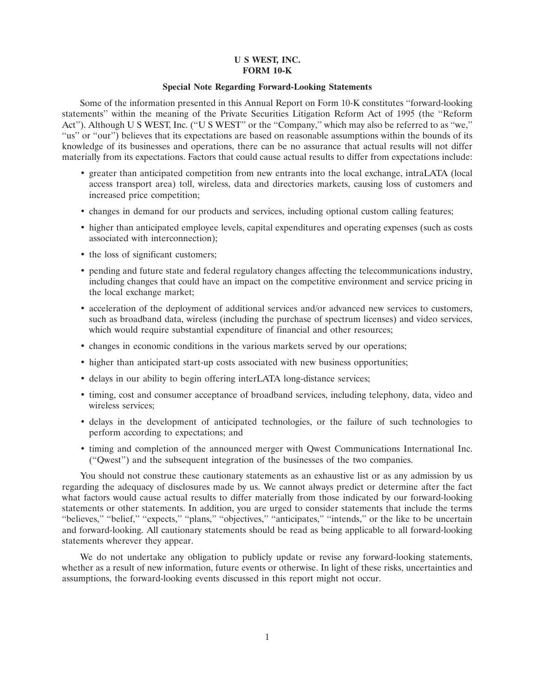### **U S WEST, INC. FORM 10-K**

### **Special Note Regarding Forward-Looking Statements**

Some of the information presented in this Annual Report on Form 10-K constitutes ''forward-looking statements'' within the meaning of the Private Securities Litigation Reform Act of 1995 (the ''Reform Act''). Although U S WEST, Inc. (''U S WEST'' or the ''Company,'' which may also be referred to as ''we,'' "us" or "our") believes that its expectations are based on reasonable assumptions within the bounds of its knowledge of its businesses and operations, there can be no assurance that actual results will not differ materially from its expectations. Factors that could cause actual results to differ from expectations include:

- greater than anticipated competition from new entrants into the local exchange, intraLATA (local access transport area) toll, wireless, data and directories markets, causing loss of customers and increased price competition;
- changes in demand for our products and services, including optional custom calling features;
- higher than anticipated employee levels, capital expenditures and operating expenses (such as costs associated with interconnection);
- the loss of significant customers;
- pending and future state and federal regulatory changes affecting the telecommunications industry, including changes that could have an impact on the competitive environment and service pricing in the local exchange market;
- acceleration of the deployment of additional services and/or advanced new services to customers, such as broadband data, wireless (including the purchase of spectrum licenses) and video services, which would require substantial expenditure of financial and other resources;
- changes in economic conditions in the various markets served by our operations;
- higher than anticipated start-up costs associated with new business opportunities;
- delays in our ability to begin offering interLATA long-distance services;
- timing, cost and consumer acceptance of broadband services, including telephony, data, video and wireless services;
- delays in the development of anticipated technologies, or the failure of such technologies to perform according to expectations; and
- timing and completion of the announced merger with Qwest Communications International Inc. (''Qwest'') and the subsequent integration of the businesses of the two companies.

You should not construe these cautionary statements as an exhaustive list or as any admission by us regarding the adequacy of disclosures made by us. We cannot always predict or determine after the fact what factors would cause actual results to differ materially from those indicated by our forward-looking statements or other statements. In addition, you are urged to consider statements that include the terms "believes," "belief," "expects," "plans," "objectives," "anticipates," "intends," or the like to be uncertain and forward-looking. All cautionary statements should be read as being applicable to all forward-looking statements wherever they appear.

We do not undertake any obligation to publicly update or revise any forward-looking statements, whether as a result of new information, future events or otherwise. In light of these risks, uncertainties and assumptions, the forward-looking events discussed in this report might not occur.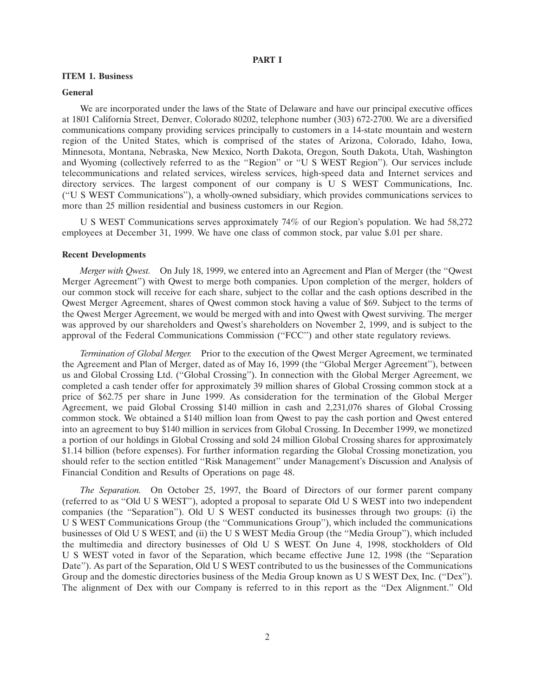### **PART I**

### **ITEM 1. Business**

#### **General**

We are incorporated under the laws of the State of Delaware and have our principal executive offices at 1801 California Street, Denver, Colorado 80202, telephone number (303) 672-2700. We are a diversified communications company providing services principally to customers in a 14-state mountain and western region of the United States, which is comprised of the states of Arizona, Colorado, Idaho, Iowa, Minnesota, Montana, Nebraska, New Mexico, North Dakota, Oregon, South Dakota, Utah, Washington and Wyoming (collectively referred to as the ''Region'' or ''U S WEST Region''). Our services include telecommunications and related services, wireless services, high-speed data and Internet services and directory services. The largest component of our company is U S WEST Communications, Inc. (''U S WEST Communications'') , a wholly-owned subsidiary, which provides communications services to more than 25 million residential and business customers in our Region.

U S WEST Communications serves approximately 74% of our Region's population. We had 58,272 employees at December 31, 1999. We have one class of common stock, par value \$.01 per share.

### **Recent Developments**

*Merger with Qwest.* On July 18, 1999, we entered into an Agreement and Plan of Merger (the ''Qwest Merger Agreement'') with Qwest to merge both companies. Upon completion of the merger, holders of our common stock will receive for each share, subject to the collar and the cash options described in the Qwest Merger Agreement, shares of Qwest common stock having a value of \$69. Subject to the terms of the Qwest Merger Agreement, we would be merged with and into Qwest with Qwest surviving. The merger was approved by our shareholders and Qwest's shareholders on November 2, 1999, and is subject to the approval of the Federal Communications Commission (''FCC'') and other state regulatory reviews.

*Termination of Global Merger.* Prior to the execution of the Qwest Merger Agreement, we terminated the Agreement and Plan of Merger, dated as of May 16, 1999 (the ''Global Merger Agreement''), between us and Global Crossing Ltd. (''Global Crossing''). In connection with the Global Merger Agreement, we completed a cash tender offer for approximately 39 million shares of Global Crossing common stock at a price of \$62.75 per share in June 1999. As consideration for the termination of the Global Merger Agreement, we paid Global Crossing \$140 million in cash and 2,231,076 shares of Global Crossing common stock. We obtained a \$140 million loan from Qwest to pay the cash portion and Qwest entered into an agreement to buy \$140 million in services from Global Crossing. In December 1999, we monetized a portion of our holdings in Global Crossing and sold 24 million Global Crossing shares for approximately \$1.14 billion (before expenses). For further information regarding the Global Crossing monetization, you should refer to the section entitled ''Risk Management'' under Management's Discussion and Analysis of Financial Condition and Results of Operations on page 48.

*The Separation.* On October 25, 1997, the Board of Directors of our former parent company (referred to as ''Old U S WEST''), adopted a proposal to separate Old U S WEST into two independent companies (the ''Separation''). Old U S WEST conducted its businesses through two groups: (i) the U S WEST Communications Group (the ''Communications Group''), which included the communications businesses of Old U S WEST, and (ii) the U S WEST Media Group (the ''Media Group''), which included the multimedia and directory businesses of Old U S WEST. On June 4, 1998, stockholders of Old U S WEST voted in favor of the Separation, which became effective June 12, 1998 (the ''Separation Date"). As part of the Separation, Old U S WEST contributed to us the businesses of the Communications Group and the domestic directories business of the Media Group known as U S WEST Dex, Inc. (''Dex''). The alignment of Dex with our Company is referred to in this report as the ''Dex Alignment.'' Old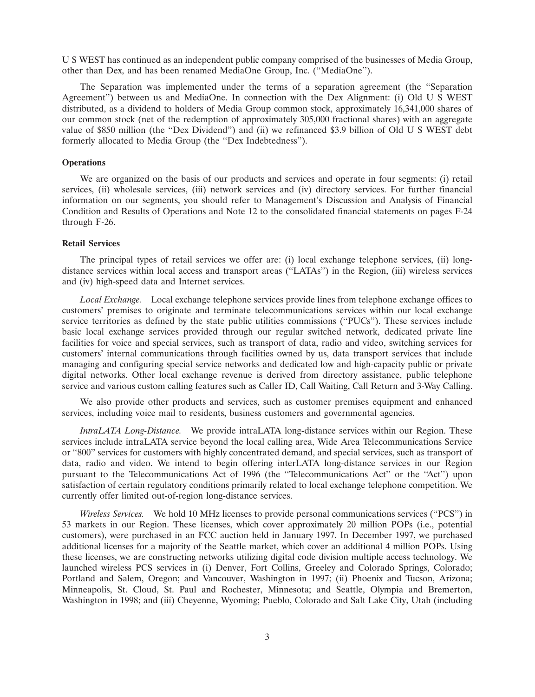U S WEST has continued as an independent public company comprised of the businesses of Media Group, other than Dex, and has been renamed MediaOne Group, Inc. (''MediaOne'').

The Separation was implemented under the terms of a separation agreement (the ''Separation Agreement") between us and MediaOne. In connection with the Dex Alignment: (i) Old U S WEST distributed, as a dividend to holders of Media Group common stock, approximately 16,341,000 shares of our common stock (net of the redemption of approximately 305,000 fractional shares) with an aggregate value of \$850 million (the ''Dex Dividend'') and (ii) we refinanced \$3.9 billion of Old U S WEST debt formerly allocated to Media Group (the ''Dex Indebtedness'').

### **Operations**

We are organized on the basis of our products and services and operate in four segments: (i) retail services, (ii) wholesale services, (iii) network services and (iv) directory services. For further financial information on our segments, you should refer to Management's Discussion and Analysis of Financial Condition and Results of Operations and Note 12 to the consolidated financial statements on pages F-24 through F-26.

#### **Retail Services**

The principal types of retail services we offer are: (i) local exchange telephone services, (ii) longdistance services within local access and transport areas (''LATAs'') in the Region, (iii) wireless services and (iv) high-speed data and Internet services.

*Local Exchange.* Local exchange telephone services provide lines from telephone exchange offices to customers' premises to originate and terminate telecommunications services within our local exchange service territories as defined by the state public utilities commissions (''PUCs''). These services include basic local exchange services provided through our regular switched network, dedicated private line facilities for voice and special services, such as transport of data, radio and video, switching services for customers' internal communications through facilities owned by us, data transport services that include managing and configuring special service networks and dedicated low and high-capacity public or private digital networks. Other local exchange revenue is derived from directory assistance, public telephone service and various custom calling features such as Caller ID, Call Waiting, Call Return and 3-Way Calling.

We also provide other products and services, such as customer premises equipment and enhanced services, including voice mail to residents, business customers and governmental agencies.

*IntraLATA Long-Distance.* We provide intraLATA long-distance services within our Region. These services include intraLATA service beyond the local calling area, Wide Area Telecommunications Service or ''800'' services for customers with highly concentrated demand, and special services, such as transport of data, radio and video. We intend to begin offering interLATA long-distance services in our Region pursuant to the Telecommunications Act of 1996 (the "Telecommunications Act" or the "Act") upon satisfaction of certain regulatory conditions primarily related to local exchange telephone competition. We currently offer limited out-of-region long-distance services.

*Wireless Services.* We hold 10 MHz licenses to provide personal communications services (''PCS'') in 53 markets in our Region. These licenses, which cover approximately 20 million POPs (i.e., potential customers), were purchased in an FCC auction held in January 1997. In December 1997, we purchased additional licenses for a majority of the Seattle market, which cover an additional 4 million POPs. Using these licenses, we are constructing networks utilizing digital code division multiple access technology. We launched wireless PCS services in (i) Denver, Fort Collins, Greeley and Colorado Springs, Colorado; Portland and Salem, Oregon; and Vancouver, Washington in 1997; (ii) Phoenix and Tucson, Arizona; Minneapolis, St. Cloud, St. Paul and Rochester, Minnesota; and Seattle, Olympia and Bremerton, Washington in 1998; and (iii) Cheyenne, Wyoming; Pueblo, Colorado and Salt Lake City, Utah (including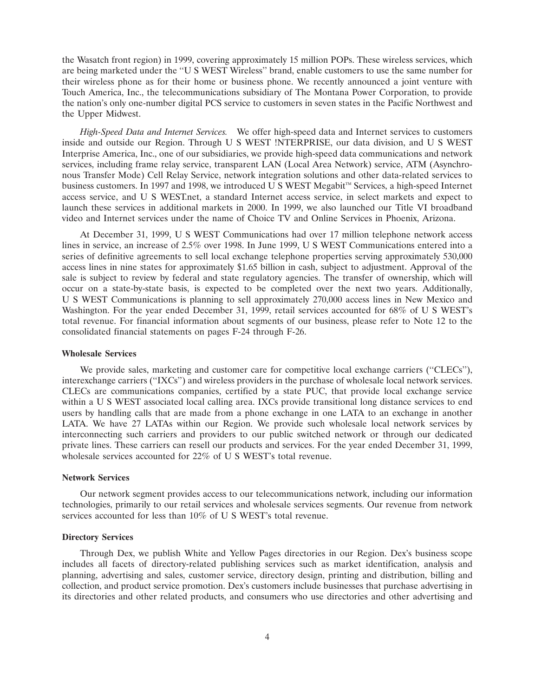the Wasatch front region) in 1999, covering approximately 15 million POPs. These wireless services, which are being marketed under the ''U S WEST Wireless'' brand, enable customers to use the same number for their wireless phone as for their home or business phone. We recently announced a joint venture with Touch America, Inc., the telecommunications subsidiary of The Montana Power Corporation, to provide the nation's only one-number digital PCS service to customers in seven states in the Pacific Northwest and the Upper Midwest.

*High-Speed Data and Internet Services.* We offer high-speed data and Internet services to customers inside and outside our Region. Through U S WEST !NTERPRISE, our data division, and U S WEST Interprise America, Inc., one of our subsidiaries, we provide high-speed data communications and network services, including frame relay service, transparent LAN (Local Area Network) service, ATM (Asynchronous Transfer Mode) Cell Relay Service, network integration solutions and other data-related services to business customers. In 1997 and 1998, we introduced U S WEST Megabit<sup>™</sup> Services, a high-speed Internet access service, and U S WEST.net, a standard Internet access service, in select markets and expect to launch these services in additional markets in 2000. In 1999, we also launched our Title VI broadband video and Internet services under the name of Choice TV and Online Services in Phoenix, Arizona.

At December 31, 1999, U S WEST Communications had over 17 million telephone network access lines in service, an increase of 2.5% over 1998. In June 1999, U S WEST Communications entered into a series of definitive agreements to sell local exchange telephone properties serving approximately 530,000 access lines in nine states for approximately \$1.65 billion in cash, subject to adjustment. Approval of the sale is subject to review by federal and state regulatory agencies. The transfer of ownership, which will occur on a state-by-state basis, is expected to be completed over the next two years. Additionally, U S WEST Communications is planning to sell approximately 270,000 access lines in New Mexico and Washington. For the year ended December 31, 1999, retail services accounted for 68% of U S WEST's total revenue. For financial information about segments of our business, please refer to Note 12 to the consolidated financial statements on pages F-24 through F-26.

### **Wholesale Services**

We provide sales, marketing and customer care for competitive local exchange carriers ("CLECs"), interexchange carriers (''IXCs'') and wireless providers in the purchase of wholesale local network services. CLECs are communications companies, certified by a state PUC, that provide local exchange service within a U S WEST associated local calling area. IXCs provide transitional long distance services to end users by handling calls that are made from a phone exchange in one LATA to an exchange in another LATA. We have 27 LATAs within our Region. We provide such wholesale local network services by interconnecting such carriers and providers to our public switched network or through our dedicated private lines. These carriers can resell our products and services. For the year ended December 31, 1999, wholesale services accounted for 22% of U S WEST's total revenue.

### **Network Services**

Our network segment provides access to our telecommunications network, including our information technologies, primarily to our retail services and wholesale services segments. Our revenue from network services accounted for less than 10% of U S WEST's total revenue.

### **Directory Services**

Through Dex, we publish White and Yellow Pages directories in our Region. Dex's business scope includes all facets of directory-related publishing services such as market identification, analysis and planning, advertising and sales, customer service, directory design, printing and distribution, billing and collection, and product service promotion. Dex's customers include businesses that purchase advertising in its directories and other related products, and consumers who use directories and other advertising and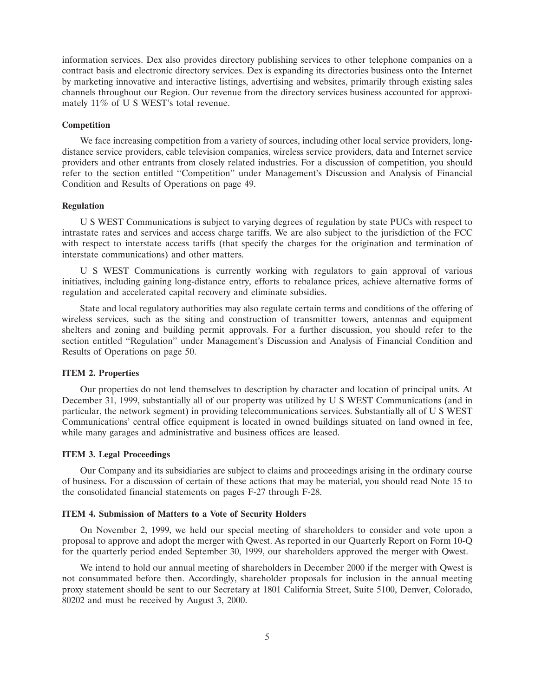information services. Dex also provides directory publishing services to other telephone companies on a contract basis and electronic directory services. Dex is expanding its directories business onto the Internet by marketing innovative and interactive listings, advertising and websites, primarily through existing sales channels throughout our Region. Our revenue from the directory services business accounted for approximately 11% of U S WEST's total revenue.

### **Competition**

We face increasing competition from a variety of sources, including other local service providers, longdistance service providers, cable television companies, wireless service providers, data and Internet service providers and other entrants from closely related industries. For a discussion of competition, you should refer to the section entitled ''Competition'' under Management's Discussion and Analysis of Financial Condition and Results of Operations on page 49.

### **Regulation**

U S WEST Communications is subject to varying degrees of regulation by state PUCs with respect to intrastate rates and services and access charge tariffs. We are also subject to the jurisdiction of the FCC with respect to interstate access tariffs (that specify the charges for the origination and termination of interstate communications) and other matters.

U S WEST Communications is currently working with regulators to gain approval of various initiatives, including gaining long-distance entry, efforts to rebalance prices, achieve alternative forms of regulation and accelerated capital recovery and eliminate subsidies.

State and local regulatory authorities may also regulate certain terms and conditions of the offering of wireless services, such as the siting and construction of transmitter towers, antennas and equipment shelters and zoning and building permit approvals. For a further discussion, you should refer to the section entitled ''Regulation'' under Management's Discussion and Analysis of Financial Condition and Results of Operations on page 50.

### **ITEM 2. Properties**

Our properties do not lend themselves to description by character and location of principal units. At December 31, 1999, substantially all of our property was utilized by U S WEST Communications (and in particular, the network segment) in providing telecommunications services. Substantially all of U S WEST Communications' central office equipment is located in owned buildings situated on land owned in fee, while many garages and administrative and business offices are leased.

### **ITEM 3. Legal Proceedings**

Our Company and its subsidiaries are subject to claims and proceedings arising in the ordinary course of business. For a discussion of certain of these actions that may be material, you should read Note 15 to the consolidated financial statements on pages F-27 through F-28.

### **ITEM 4. Submission of Matters to a Vote of Security Holders**

On November 2, 1999, we held our special meeting of shareholders to consider and vote upon a proposal to approve and adopt the merger with Qwest. As reported in our Quarterly Report on Form 10-Q for the quarterly period ended September 30, 1999, our shareholders approved the merger with Qwest.

We intend to hold our annual meeting of shareholders in December 2000 if the merger with Qwest is not consummated before then. Accordingly, shareholder proposals for inclusion in the annual meeting proxy statement should be sent to our Secretary at 1801 California Street, Suite 5100, Denver, Colorado, 80202 and must be received by August 3, 2000.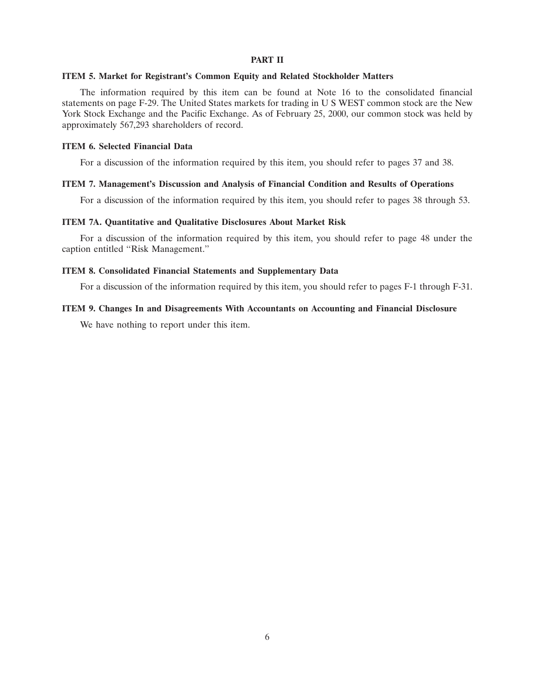### **PART II**

### **ITEM 5. Market for Registrant's Common Equity and Related Stockholder Matters**

The information required by this item can be found at Note 16 to the consolidated financial statements on page F-29. The United States markets for trading in U S WEST common stock are the New York Stock Exchange and the Pacific Exchange. As of February 25, 2000, our common stock was held by approximately 567,293 shareholders of record.

### **ITEM 6. Selected Financial Data**

For a discussion of the information required by this item, you should refer to pages 37 and 38.

### **ITEM 7. Management's Discussion and Analysis of Financial Condition and Results of Operations**

For a discussion of the information required by this item, you should refer to pages 38 through 53.

### **ITEM 7A. Quantitative and Qualitative Disclosures About Market Risk**

For a discussion of the information required by this item, you should refer to page 48 under the caption entitled ''Risk Management.''

### **ITEM 8. Consolidated Financial Statements and Supplementary Data**

For a discussion of the information required by this item, you should refer to pages F-1 through F-31.

### **ITEM 9. Changes In and Disagreements With Accountants on Accounting and Financial Disclosure**

We have nothing to report under this item.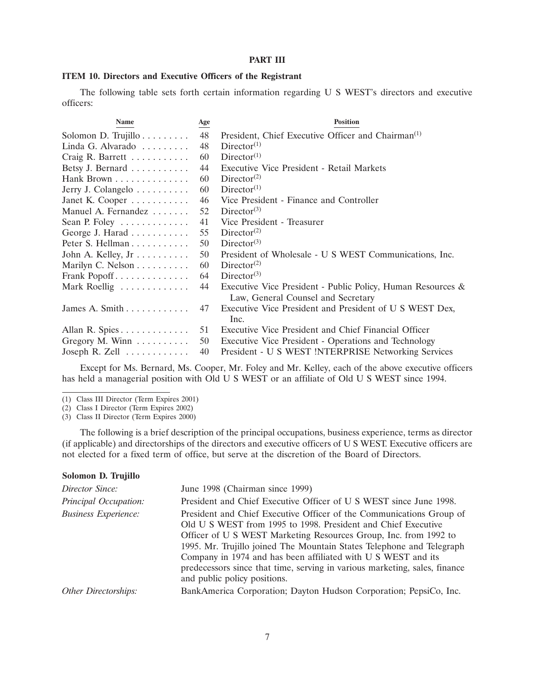### **PART III**

### **ITEM 10. Directors and Executive Officers of the Registrant**

The following table sets forth certain information regarding U S WEST's directors and executive officers:

| <b>Name</b>                        | Age | <b>Position</b>                                                |
|------------------------------------|-----|----------------------------------------------------------------|
| Solomon D. Trujillo                | 48  | President, Chief Executive Officer and Chairman <sup>(1)</sup> |
| Linda G. Alvarado $\ldots \ldots$  | 48  | Director <sup>(1)</sup>                                        |
| Craig R. Barrett                   | 60  | Director <sup>(1)</sup>                                        |
| Betsy J. Bernard                   | 44  | Executive Vice President - Retail Markets                      |
| Hank Brown                         | 60  | Director <sup>(2)</sup>                                        |
| Jerry J. Colangelo                 | 60  | Director <sup>(1)</sup>                                        |
| Janet K. Cooper $\dots \dots$      | 46  | Vice President - Finance and Controller                        |
| Manuel A. Fernandez                | 52  | Director <sup>(3)</sup>                                        |
| Sean P. Foley $\dots \dots \dots$  | 41  | Vice President - Treasurer                                     |
| George J. Harad                    | 55  | Director <sup>(2)</sup>                                        |
| Peter S. Hellman                   | 50  | Director <sup>(3)</sup>                                        |
| John A. Kelley, $Jr$               | 50  | President of Wholesale - U S WEST Communications, Inc.         |
| Marilyn C. Nelson                  | 60  | Director <sup>(2)</sup>                                        |
| Frank Popoff                       | 64  | Director <sup>(3)</sup>                                        |
| Mark Roellig                       | 44  | Executive Vice President - Public Policy, Human Resources &    |
|                                    |     | Law, General Counsel and Secretary                             |
| James A. Smith $\ldots$            | 47  | Executive Vice President and President of U S WEST Dex,        |
|                                    |     | Inc.                                                           |
| Allan R. Spies                     | 51  | Executive Vice President and Chief Financial Officer           |
| Gregory M. Winn $\dots \dots$      | 50  | Executive Vice President - Operations and Technology           |
| Joseph R. Zell $\dots \dots \dots$ | 40  | President - U S WEST !NTERPRISE Networking Services            |

Except for Ms. Bernard, Ms. Cooper, Mr. Foley and Mr. Kelley, each of the above executive officers has held a managerial position with Old U S WEST or an affiliate of Old U S WEST since 1994.

(1) Class III Director (Term Expires 2001)

(2) Class I Director (Term Expires 2002)

(3) Class II Director (Term Expires 2000)

The following is a brief description of the principal occupations, business experience, terms as director (if applicable) and directorships of the directors and executive officers of U S WEST. Executive officers are not elected for a fixed term of office, but serve at the discretion of the Board of Directors.

#### **Solomon D. Trujillo**

| Director Since:             | June 1998 (Chairman since 1999)                                                                                                                                                                                                                                                                                                                                                                                                                                   |
|-----------------------------|-------------------------------------------------------------------------------------------------------------------------------------------------------------------------------------------------------------------------------------------------------------------------------------------------------------------------------------------------------------------------------------------------------------------------------------------------------------------|
| Principal Occupation:       | President and Chief Executive Officer of U S WEST since June 1998.                                                                                                                                                                                                                                                                                                                                                                                                |
| <b>Business Experience:</b> | President and Chief Executive Officer of the Communications Group of<br>Old U S WEST from 1995 to 1998. President and Chief Executive<br>Officer of U S WEST Marketing Resources Group, Inc. from 1992 to<br>1995. Mr. Trujillo joined The Mountain States Telephone and Telegraph<br>Company in 1974 and has been affiliated with U S WEST and its<br>predecessors since that time, serving in various marketing, sales, finance<br>and public policy positions. |
| Other Directorships:        | BankAmerica Corporation; Dayton Hudson Corporation; PepsiCo, Inc.                                                                                                                                                                                                                                                                                                                                                                                                 |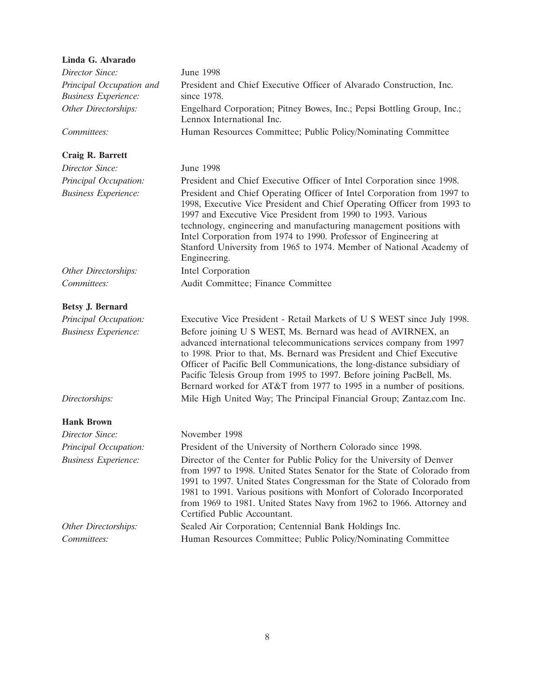| Linda G. Alvarado                                       |                                                                                                                                                                                                                                                                                                                                                                                                                                                       |
|---------------------------------------------------------|-------------------------------------------------------------------------------------------------------------------------------------------------------------------------------------------------------------------------------------------------------------------------------------------------------------------------------------------------------------------------------------------------------------------------------------------------------|
| Director Since:                                         | <b>June 1998</b>                                                                                                                                                                                                                                                                                                                                                                                                                                      |
| Principal Occupation and<br><b>Business Experience:</b> | President and Chief Executive Officer of Alvarado Construction, Inc.<br>since 1978.                                                                                                                                                                                                                                                                                                                                                                   |
| Other Directorships:                                    | Engelhard Corporation; Pitney Bowes, Inc.; Pepsi Bottling Group, Inc.;<br>Lennox International Inc.                                                                                                                                                                                                                                                                                                                                                   |
| Committees:                                             | Human Resources Committee; Public Policy/Nominating Committee                                                                                                                                                                                                                                                                                                                                                                                         |
| Craig R. Barrett                                        |                                                                                                                                                                                                                                                                                                                                                                                                                                                       |
| Director Since:                                         | <b>June 1998</b>                                                                                                                                                                                                                                                                                                                                                                                                                                      |
| Principal Occupation:                                   | President and Chief Executive Officer of Intel Corporation since 1998.                                                                                                                                                                                                                                                                                                                                                                                |
| <b>Business Experience:</b>                             | President and Chief Operating Officer of Intel Corporation from 1997 to<br>1998, Executive Vice President and Chief Operating Officer from 1993 to<br>1997 and Executive Vice President from 1990 to 1993. Various<br>technology, engineering and manufacturing management positions with<br>Intel Corporation from 1974 to 1990. Professor of Engineering at<br>Stanford University from 1965 to 1974. Member of National Academy of<br>Engineering. |
| Other Directorships:                                    | Intel Corporation                                                                                                                                                                                                                                                                                                                                                                                                                                     |
| Committees:                                             | Audit Committee; Finance Committee                                                                                                                                                                                                                                                                                                                                                                                                                    |
| Betsy J. Bernard                                        |                                                                                                                                                                                                                                                                                                                                                                                                                                                       |
| Principal Occupation:                                   | Executive Vice President - Retail Markets of U S WEST since July 1998.                                                                                                                                                                                                                                                                                                                                                                                |
| <b>Business Experience:</b>                             | Before joining U S WEST, Ms. Bernard was head of AVIRNEX, an<br>advanced international telecommunications services company from 1997<br>to 1998. Prior to that, Ms. Bernard was President and Chief Executive<br>Officer of Pacific Bell Communications, the long-distance subsidiary of<br>Pacific Telesis Group from 1995 to 1997. Before joining PacBell, Ms.<br>Bernard worked for AT&T from 1977 to 1995 in a number of positions.               |
| Directorships:                                          | Mile High United Way; The Principal Financial Group; Zantaz.com Inc.                                                                                                                                                                                                                                                                                                                                                                                  |
| <b>Hank Brown</b>                                       |                                                                                                                                                                                                                                                                                                                                                                                                                                                       |
| Director Since:                                         | November 1998                                                                                                                                                                                                                                                                                                                                                                                                                                         |
| Principal Occupation:                                   | President of the University of Northern Colorado since 1998.                                                                                                                                                                                                                                                                                                                                                                                          |
| <b>Business Experience:</b>                             | Director of the Center for Public Policy for the University of Denver<br>from 1997 to 1998. United States Senator for the State of Colorado from<br>1991 to 1997. United States Congressman for the State of Colorado from<br>1981 to 1991. Various positions with Monfort of Colorado Incorporated<br>from 1969 to 1981. United States Navy from 1962 to 1966. Attorney and<br>Certified Public Accountant.                                          |
| Other Directorships:                                    | Sealed Air Corporation; Centennial Bank Holdings Inc.                                                                                                                                                                                                                                                                                                                                                                                                 |
| Committees:                                             | Human Resources Committee; Public Policy/Nominating Committee                                                                                                                                                                                                                                                                                                                                                                                         |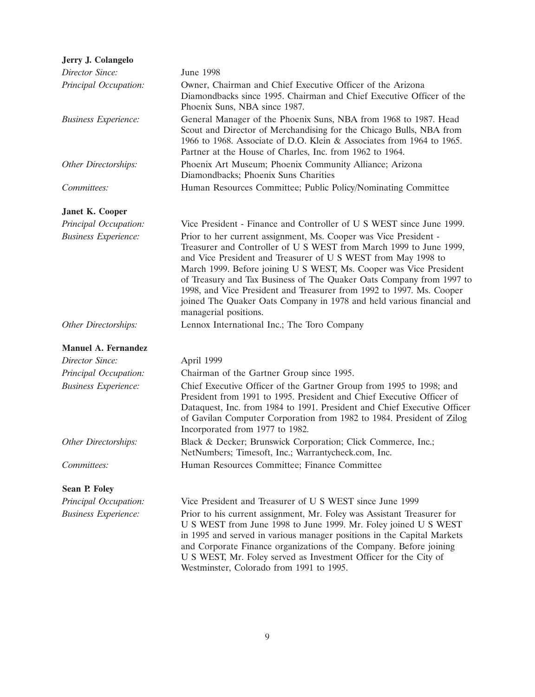| Jerry J. Colangelo          |                                                                                                                                                                                                                                                                                                                                                                                                                                                                                                                                 |
|-----------------------------|---------------------------------------------------------------------------------------------------------------------------------------------------------------------------------------------------------------------------------------------------------------------------------------------------------------------------------------------------------------------------------------------------------------------------------------------------------------------------------------------------------------------------------|
| Director Since:             | June 1998                                                                                                                                                                                                                                                                                                                                                                                                                                                                                                                       |
| Principal Occupation:       | Owner, Chairman and Chief Executive Officer of the Arizona<br>Diamondbacks since 1995. Chairman and Chief Executive Officer of the<br>Phoenix Suns, NBA since 1987.                                                                                                                                                                                                                                                                                                                                                             |
| <b>Business Experience:</b> | General Manager of the Phoenix Suns, NBA from 1968 to 1987. Head<br>Scout and Director of Merchandising for the Chicago Bulls, NBA from<br>1966 to 1968. Associate of D.O. Klein & Associates from 1964 to 1965.<br>Partner at the House of Charles, Inc. from 1962 to 1964.                                                                                                                                                                                                                                                    |
| Other Directorships:        | Phoenix Art Museum; Phoenix Community Alliance; Arizona<br>Diamondbacks; Phoenix Suns Charities                                                                                                                                                                                                                                                                                                                                                                                                                                 |
| Committees:                 | Human Resources Committee; Public Policy/Nominating Committee                                                                                                                                                                                                                                                                                                                                                                                                                                                                   |
| Janet K. Cooper             |                                                                                                                                                                                                                                                                                                                                                                                                                                                                                                                                 |
| Principal Occupation:       | Vice President - Finance and Controller of U S WEST since June 1999.                                                                                                                                                                                                                                                                                                                                                                                                                                                            |
| <b>Business Experience:</b> | Prior to her current assignment, Ms. Cooper was Vice President -<br>Treasurer and Controller of U S WEST from March 1999 to June 1999,<br>and Vice President and Treasurer of U S WEST from May 1998 to<br>March 1999. Before joining U S WEST, Ms. Cooper was Vice President<br>of Treasury and Tax Business of The Quaker Oats Company from 1997 to<br>1998, and Vice President and Treasurer from 1992 to 1997. Ms. Cooper<br>joined The Quaker Oats Company in 1978 and held various financial and<br>managerial positions. |
| Other Directorships:        | Lennox International Inc.; The Toro Company                                                                                                                                                                                                                                                                                                                                                                                                                                                                                     |
| <b>Manuel A. Fernandez</b>  |                                                                                                                                                                                                                                                                                                                                                                                                                                                                                                                                 |
| Director Since:             | April 1999                                                                                                                                                                                                                                                                                                                                                                                                                                                                                                                      |
| Principal Occupation:       | Chairman of the Gartner Group since 1995.                                                                                                                                                                                                                                                                                                                                                                                                                                                                                       |
| <b>Business Experience:</b> | Chief Executive Officer of the Gartner Group from 1995 to 1998; and<br>President from 1991 to 1995. President and Chief Executive Officer of<br>Dataquest, Inc. from 1984 to 1991. President and Chief Executive Officer<br>of Gavilan Computer Corporation from 1982 to 1984. President of Zilog<br>Incorporated from 1977 to 1982.                                                                                                                                                                                            |
| Other Directorships:        | Black & Decker; Brunswick Corporation; Click Commerce, Inc.;<br>NetNumbers; Timesoft, Inc.; Warrantycheck.com, Inc.                                                                                                                                                                                                                                                                                                                                                                                                             |
| Committees:                 | Human Resources Committee; Finance Committee                                                                                                                                                                                                                                                                                                                                                                                                                                                                                    |
| <b>Sean P. Foley</b>        |                                                                                                                                                                                                                                                                                                                                                                                                                                                                                                                                 |
| Principal Occupation:       | Vice President and Treasurer of U S WEST since June 1999                                                                                                                                                                                                                                                                                                                                                                                                                                                                        |
| <b>Business Experience:</b> | Prior to his current assignment, Mr. Foley was Assistant Treasurer for<br>U S WEST from June 1998 to June 1999. Mr. Foley joined U S WEST<br>in 1995 and served in various manager positions in the Capital Markets<br>and Corporate Finance organizations of the Company. Before joining<br>U S WEST, Mr. Foley served as Investment Officer for the City of<br>Westminster, Colorado from 1991 to 1995.                                                                                                                       |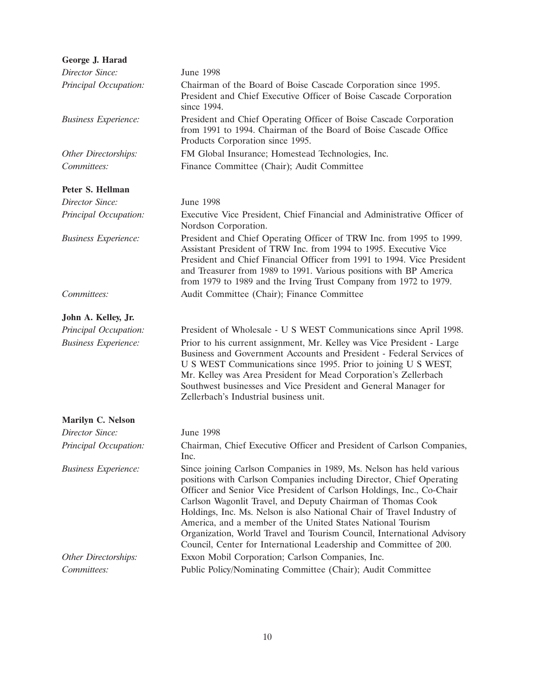| George J. Harad             |                                                                                                                                                                                                                                                                                                                                                                                                                                                                                                                                                                               |
|-----------------------------|-------------------------------------------------------------------------------------------------------------------------------------------------------------------------------------------------------------------------------------------------------------------------------------------------------------------------------------------------------------------------------------------------------------------------------------------------------------------------------------------------------------------------------------------------------------------------------|
| Director Since:             | June 1998                                                                                                                                                                                                                                                                                                                                                                                                                                                                                                                                                                     |
| Principal Occupation:       | Chairman of the Board of Boise Cascade Corporation since 1995.<br>President and Chief Executive Officer of Boise Cascade Corporation<br>since 1994.                                                                                                                                                                                                                                                                                                                                                                                                                           |
| <b>Business Experience:</b> | President and Chief Operating Officer of Boise Cascade Corporation<br>from 1991 to 1994. Chairman of the Board of Boise Cascade Office<br>Products Corporation since 1995.                                                                                                                                                                                                                                                                                                                                                                                                    |
| Other Directorships:        | FM Global Insurance; Homestead Technologies, Inc.                                                                                                                                                                                                                                                                                                                                                                                                                                                                                                                             |
| Committees:                 | Finance Committee (Chair); Audit Committee                                                                                                                                                                                                                                                                                                                                                                                                                                                                                                                                    |
| Peter S. Hellman            |                                                                                                                                                                                                                                                                                                                                                                                                                                                                                                                                                                               |
| Director Since:             | June 1998                                                                                                                                                                                                                                                                                                                                                                                                                                                                                                                                                                     |
| Principal Occupation:       | Executive Vice President, Chief Financial and Administrative Officer of<br>Nordson Corporation.                                                                                                                                                                                                                                                                                                                                                                                                                                                                               |
| <b>Business Experience:</b> | President and Chief Operating Officer of TRW Inc. from 1995 to 1999.<br>Assistant President of TRW Inc. from 1994 to 1995. Executive Vice<br>President and Chief Financial Officer from 1991 to 1994. Vice President<br>and Treasurer from 1989 to 1991. Various positions with BP America<br>from 1979 to 1989 and the Irving Trust Company from 1972 to 1979.                                                                                                                                                                                                               |
| Committees:                 | Audit Committee (Chair); Finance Committee                                                                                                                                                                                                                                                                                                                                                                                                                                                                                                                                    |
| John A. Kelley, Jr.         |                                                                                                                                                                                                                                                                                                                                                                                                                                                                                                                                                                               |
| Principal Occupation:       | President of Wholesale - U S WEST Communications since April 1998.                                                                                                                                                                                                                                                                                                                                                                                                                                                                                                            |
| <b>Business Experience:</b> | Prior to his current assignment, Mr. Kelley was Vice President - Large<br>Business and Government Accounts and President - Federal Services of<br>U S WEST Communications since 1995. Prior to joining U S WEST,<br>Mr. Kelley was Area President for Mead Corporation's Zellerbach<br>Southwest businesses and Vice President and General Manager for<br>Zellerbach's Industrial business unit.                                                                                                                                                                              |
| Marilyn C. Nelson           |                                                                                                                                                                                                                                                                                                                                                                                                                                                                                                                                                                               |
| Director Since:             | <b>June 1998</b>                                                                                                                                                                                                                                                                                                                                                                                                                                                                                                                                                              |
| Principal Occupation:       | Chairman, Chief Executive Officer and President of Carlson Companies,<br>Inc.                                                                                                                                                                                                                                                                                                                                                                                                                                                                                                 |
| <b>Business Experience:</b> | Since joining Carlson Companies in 1989, Ms. Nelson has held various<br>positions with Carlson Companies including Director, Chief Operating<br>Officer and Senior Vice President of Carlson Holdings, Inc., Co-Chair<br>Carlson Wagonlit Travel, and Deputy Chairman of Thomas Cook<br>Holdings, Inc. Ms. Nelson is also National Chair of Travel Industry of<br>America, and a member of the United States National Tourism<br>Organization, World Travel and Tourism Council, International Advisory<br>Council, Center for International Leadership and Committee of 200. |
| Other Directorships:        | Exxon Mobil Corporation; Carlson Companies, Inc.                                                                                                                                                                                                                                                                                                                                                                                                                                                                                                                              |
| Committees:                 | Public Policy/Nominating Committee (Chair); Audit Committee                                                                                                                                                                                                                                                                                                                                                                                                                                                                                                                   |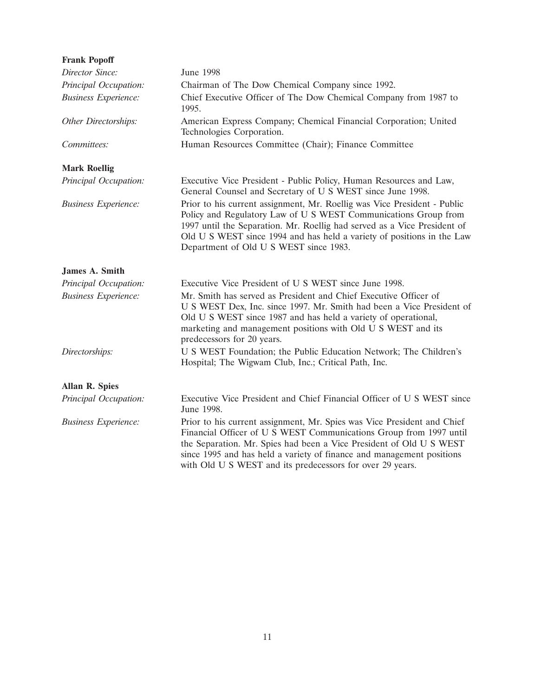| <b>Frank Popoff</b>         |                                                                                                                                                                                                                                                                                                                                                            |
|-----------------------------|------------------------------------------------------------------------------------------------------------------------------------------------------------------------------------------------------------------------------------------------------------------------------------------------------------------------------------------------------------|
| Director Since:             | <b>June 1998</b>                                                                                                                                                                                                                                                                                                                                           |
| Principal Occupation:       | Chairman of The Dow Chemical Company since 1992.                                                                                                                                                                                                                                                                                                           |
| <b>Business Experience:</b> | Chief Executive Officer of The Dow Chemical Company from 1987 to<br>1995.                                                                                                                                                                                                                                                                                  |
| Other Directorships:        | American Express Company; Chemical Financial Corporation; United<br>Technologies Corporation.                                                                                                                                                                                                                                                              |
| Committees:                 | Human Resources Committee (Chair); Finance Committee                                                                                                                                                                                                                                                                                                       |
| <b>Mark Roellig</b>         |                                                                                                                                                                                                                                                                                                                                                            |
| Principal Occupation:       | Executive Vice President - Public Policy, Human Resources and Law,<br>General Counsel and Secretary of U S WEST since June 1998.                                                                                                                                                                                                                           |
| <b>Business Experience:</b> | Prior to his current assignment, Mr. Roellig was Vice President - Public<br>Policy and Regulatory Law of U S WEST Communications Group from<br>1997 until the Separation. Mr. Roellig had served as a Vice President of<br>Old U S WEST since 1994 and has held a variety of positions in the Law<br>Department of Old U S WEST since 1983.                |
| James A. Smith              |                                                                                                                                                                                                                                                                                                                                                            |
| Principal Occupation:       | Executive Vice President of U S WEST since June 1998.                                                                                                                                                                                                                                                                                                      |
| <b>Business Experience:</b> | Mr. Smith has served as President and Chief Executive Officer of<br>U S WEST Dex, Inc. since 1997. Mr. Smith had been a Vice President of<br>Old U S WEST since 1987 and has held a variety of operational,<br>marketing and management positions with Old U S WEST and its<br>predecessors for 20 years.                                                  |
| Directorships:              | U S WEST Foundation; the Public Education Network; The Children's<br>Hospital; The Wigwam Club, Inc.; Critical Path, Inc.                                                                                                                                                                                                                                  |
| <b>Allan R. Spies</b>       |                                                                                                                                                                                                                                                                                                                                                            |
| Principal Occupation:       | Executive Vice President and Chief Financial Officer of U S WEST since<br>June 1998.                                                                                                                                                                                                                                                                       |
| <b>Business Experience:</b> | Prior to his current assignment, Mr. Spies was Vice President and Chief<br>Financial Officer of U S WEST Communications Group from 1997 until<br>the Separation. Mr. Spies had been a Vice President of Old U S WEST<br>since 1995 and has held a variety of finance and management positions<br>with Old U S WEST and its predecessors for over 29 years. |
|                             |                                                                                                                                                                                                                                                                                                                                                            |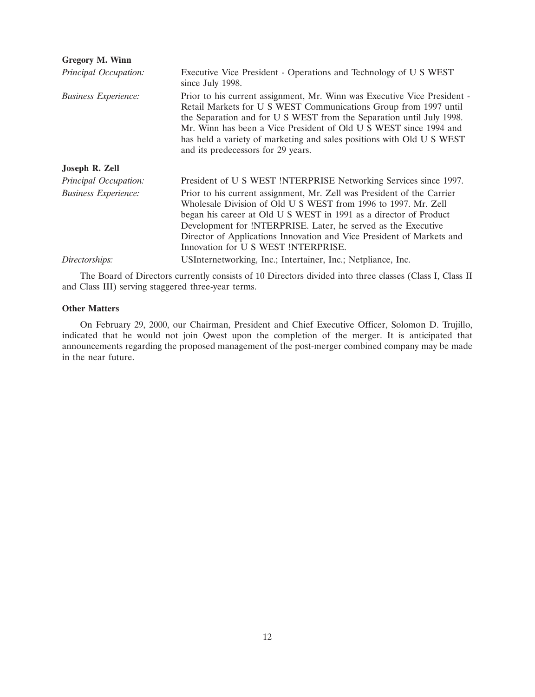| <b>Gregory M. Winn</b>      |                                                                                                                                                                                                                                                                                                                                                                                                          |
|-----------------------------|----------------------------------------------------------------------------------------------------------------------------------------------------------------------------------------------------------------------------------------------------------------------------------------------------------------------------------------------------------------------------------------------------------|
| Principal Occupation:       | Executive Vice President - Operations and Technology of U S WEST<br>since July 1998.                                                                                                                                                                                                                                                                                                                     |
| <i>Business Experience:</i> | Prior to his current assignment, Mr. Winn was Executive Vice President -<br>Retail Markets for U S WEST Communications Group from 1997 until<br>the Separation and for U S WEST from the Separation until July 1998.<br>Mr. Winn has been a Vice President of Old U S WEST since 1994 and<br>has held a variety of marketing and sales positions with Old U S WEST<br>and its predecessors for 29 years. |
| Joseph R. Zell              |                                                                                                                                                                                                                                                                                                                                                                                                          |
| Principal Occupation:       | President of U S WEST INTERPRISE Networking Services since 1997.                                                                                                                                                                                                                                                                                                                                         |
| <b>Business Experience:</b> | Prior to his current assignment, Mr. Zell was President of the Carrier<br>Wholesale Division of Old U S WEST from 1996 to 1997. Mr. Zell<br>began his career at Old U S WEST in 1991 as a director of Product<br>Development for !NTERPRISE. Later, he served as the Executive<br>Director of Applications Innovation and Vice President of Markets and<br>Innovation for U S WEST !NTERPRISE.           |
| Directorships:              | USInternetworking, Inc.; Intertainer, Inc.; Netpliance, Inc.                                                                                                                                                                                                                                                                                                                                             |
|                             |                                                                                                                                                                                                                                                                                                                                                                                                          |

The Board of Directors currently consists of 10 Directors divided into three classes (Class I, Class II and Class III) serving staggered three-year terms.

### **Other Matters**

On February 29, 2000, our Chairman, President and Chief Executive Officer, Solomon D. Trujillo, indicated that he would not join Qwest upon the completion of the merger. It is anticipated that announcements regarding the proposed management of the post-merger combined company may be made in the near future.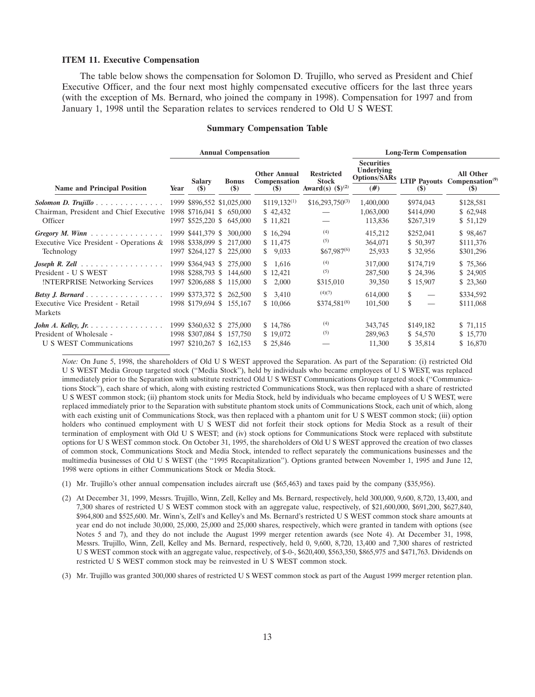#### **ITEM 11. Executive Compensation**

The table below shows the compensation for Solomon D. Trujillo, who served as President and Chief Executive Officer, and the four next most highly compensated executive officers for the last three years (with the exception of Ms. Bernard, who joined the company in 1998). Compensation for 1997 and from January 1, 1998 until the Separation relates to services rendered to Old U S WEST.

#### **Summary Compensation Table**

|                                                                                          | <b>Annual Compensation</b> |                                        |                                                                                    |                                               |                                                                     | <b>Long-Term Compensation</b>                                 |                                   |                                                                        |
|------------------------------------------------------------------------------------------|----------------------------|----------------------------------------|------------------------------------------------------------------------------------|-----------------------------------------------|---------------------------------------------------------------------|---------------------------------------------------------------|-----------------------------------|------------------------------------------------------------------------|
| <b>Name and Principal Position</b>                                                       | Year                       | <b>Salary</b><br>$(\$)$                | <b>Bonus</b><br>$(\$)$                                                             | <b>Other Annual</b><br>Compensation<br>$(\$)$ | <b>Restricted</b><br><b>Stock</b><br>Award(s) $(\frac{6}{3})^{(2)}$ | <b>Securities</b><br>Underlying<br><b>Options/SARs</b><br>(#) | (S)                               | <b>All Other</b><br>LTIP Payouts Compensation <sup>(9)</sup><br>$(\$)$ |
|                                                                                          |                            |                                        | 1999 \$896,552 \$1,025,000                                                         | $$119,132^{(1)}$                              | $$16,293,750^{(3)}$                                                 | 1,400,000                                                     | \$974,043                         | \$128,581                                                              |
| Chairman, President and Chief Executive<br>Officer                                       |                            |                                        | 1998 \$716,041 \$ 650,000<br>1997 \$525,220 \$ 645,000                             | \$42,432<br>\$11,821                          |                                                                     | 1,063,000<br>113,836                                          | \$414,090<br>\$267,319            | \$62,948<br>\$ 51,129                                                  |
| Gregory M. Winn<br>Executive Vice President - Operations &<br>Technology                 |                            | 1999 \$441,379 \$<br>1998 \$338,099 \$ | 300,000<br>217,000<br>1997 \$264,127 \$ 225,000                                    | \$16,294<br>\$11,475<br>\$9,033               | (4)<br>(5)<br>$$67,987^{(6)}$                                       | 415,212<br>364,071<br>25,933                                  | \$252,041<br>\$50,397<br>\$32,956 | \$98,467<br>\$111,376<br>\$301,296                                     |
| Joseph R. Zell $\ldots$<br>President - U S WEST<br><b>INTERPRISE Networking Services</b> |                            |                                        | 1999 \$364,943 \$ 275,000<br>1998 \$288,793 \$ 144,600<br>1997 \$206,688 \$115,000 | \$1,616<br>\$12,421<br>2,000<br>S.            | (4)<br>(5)<br>\$315,010                                             | 317,000<br>287,500<br>39,350                                  | \$174,719<br>\$24,396<br>\$15,907 | \$75,366<br>\$24,905<br>\$23,360                                       |
| Executive Vice President - Retail<br>Markets                                             |                            | 1999 \$373,372 \$                      | 262,500<br>1998 \$179,694 \$155,167                                                | \$3,410<br>\$10,066                           | (4)(7)<br>$$374,581^{(8)}$                                          | 614,000<br>101,500                                            | \$<br>\$<br>$\hspace{0.05cm}$     | \$334,592<br>\$111,068                                                 |
| John A. Kelley, Jr.<br>President of Wholesale -<br>U S WEST Communications               |                            | 1999 \$360,632 \$                      | 275,000<br>1998 \$307,084 \$ 157,750<br>1997 \$210,267 \$ 162,153                  | \$14,786<br>\$19,072<br>\$25,846              | (4)<br>(5)                                                          | 343,745<br>289,963<br>11,300                                  | \$149,182<br>\$54,570<br>\$35,814 | \$71,115<br>\$15,770<br>\$16,870                                       |

*Note:* On June 5, 1998, the shareholders of Old U S WEST approved the Separation. As part of the Separation: (i) restricted Old U S WEST Media Group targeted stock (''Media Stock''), held by individuals who became employees of U S WEST, was replaced immediately prior to the Separation with substitute restricted Old U S WEST Communications Group targeted stock (''Communications Stock''), each share of which, along with existing restricted Communications Stock, was then replaced with a share of restricted U S WEST common stock; (ii) phantom stock units for Media Stock, held by individuals who became employees of U S WEST, were replaced immediately prior to the Separation with substitute phantom stock units of Communications Stock, each unit of which, along with each existing unit of Communications Stock, was then replaced with a phantom unit for U S WEST common stock; (iii) option holders who continued employment with U S WEST did not forfeit their stock options for Media Stock as a result of their termination of employment with Old U S WEST; and (iv) stock options for Communications Stock were replaced with substitute options for U S WEST common stock. On October 31, 1995, the shareholders of Old U S WEST approved the creation of two classes of common stock, Communications Stock and Media Stock, intended to reflect separately the communications businesses and the multimedia businesses of Old U S WEST (the ''1995 Recapitalization''). Options granted between November 1, 1995 and June 12, 1998 were options in either Communications Stock or Media Stock.

- (1) Mr. Trujillo's other annual compensation includes aircraft use (\$65,463) and taxes paid by the company (\$35,956).
- (2) At December 31, 1999, Messrs. Trujillo, Winn, Zell, Kelley and Ms. Bernard, respectively, held 300,000, 9,600, 8,720, 13,400, and 7,300 shares of restricted U S WEST common stock with an aggregate value, respectively, of \$21,600,000, \$691,200, \$627,840, \$964,800 and \$525,600. Mr. Winn's, Zell's and Kelley's and Ms. Bernard's restricted U S WEST common stock share amounts at year end do not include 30,000, 25,000, 25,000 and 25,000 shares, respectively, which were granted in tandem with options (see Notes 5 and 7), and they do not include the August 1999 merger retention awards (see Note 4). At December 31, 1998, Messrs. Trujillo, Winn, Zell, Kelley and Ms. Bernard, respectively, held 0, 9,600, 8,720, 13,400 and 7,300 shares of restricted U S WEST common stock with an aggregate value, respectively, of \$-0-, \$620,400, \$563,350, \$865,975 and \$471,763. Dividends on restricted U S WEST common stock may be reinvested in U S WEST common stock.
- (3) Mr. Trujillo was granted 300,000 shares of restricted U S WEST common stock as part of the August 1999 merger retention plan.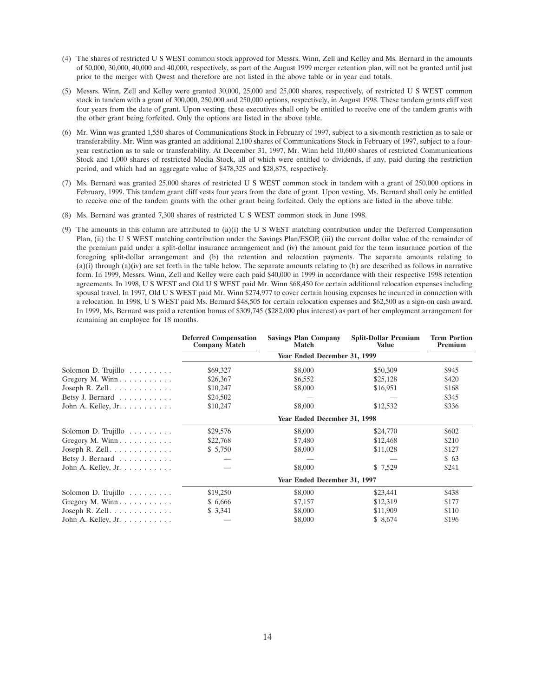- (4) The shares of restricted U S WEST common stock approved for Messrs. Winn, Zell and Kelley and Ms. Bernard in the amounts of 50,000, 30,000, 40,000 and 40,000, respectively, as part of the August 1999 merger retention plan, will not be granted until just prior to the merger with Qwest and therefore are not listed in the above table or in year end totals.
- (5) Messrs. Winn, Zell and Kelley were granted 30,000, 25,000 and 25,000 shares, respectively, of restricted U S WEST common stock in tandem with a grant of 300,000, 250,000 and 250,000 options, respectively, in August 1998. These tandem grants cliff vest four years from the date of grant. Upon vesting, these executives shall only be entitled to receive one of the tandem grants with the other grant being forfeited. Only the options are listed in the above table.
- (6) Mr. Winn was granted 1,550 shares of Communications Stock in February of 1997, subject to a six-month restriction as to sale or transferability. Mr. Winn was granted an additional 2,100 shares of Communications Stock in February of 1997, subject to a fouryear restriction as to sale or transferability. At December 31, 1997, Mr. Winn held 10,600 shares of restricted Communications Stock and 1,000 shares of restricted Media Stock, all of which were entitled to dividends, if any, paid during the restriction period, and which had an aggregate value of \$478,325 and \$28,875, respectively.
- (7) Ms. Bernard was granted 25,000 shares of restricted U S WEST common stock in tandem with a grant of 250,000 options in February, 1999. This tandem grant cliff vests four years from the date of grant. Upon vesting, Ms. Bernard shall only be entitled to receive one of the tandem grants with the other grant being forfeited. Only the options are listed in the above table.
- (8) Ms. Bernard was granted 7,300 shares of restricted U S WEST common stock in June 1998.
- (9) The amounts in this column are attributed to (a)(i) the U S WEST matching contribution under the Deferred Compensation Plan, (ii) the U S WEST matching contribution under the Savings Plan/ESOP, (iii) the current dollar value of the remainder of the premium paid under a split-dollar insurance arrangement and (iv) the amount paid for the term insurance portion of the foregoing split-dollar arrangement and (b) the retention and relocation payments. The separate amounts relating to (a)(i) through (a)(iv) are set forth in the table below. The separate amounts relating to (b) are described as follows in narrative form. In 1999, Messrs. Winn, Zell and Kelley were each paid \$40,000 in 1999 in accordance with their respective 1998 retention agreements. In 1998, U S WEST and Old U S WEST paid Mr. Winn \$68,450 for certain additional relocation expenses including spousal travel. In 1997, Old U S WEST paid Mr. Winn \$274,977 to cover certain housing expenses he incurred in connection with a relocation. In 1998, U S WEST paid Ms. Bernard \$48,505 for certain relocation expenses and \$62,500 as a sign-on cash award. In 1999, Ms. Bernard was paid a retention bonus of \$309,745 (\$282,000 plus interest) as part of her employment arrangement for remaining an employee for 18 months.

|                                            | <b>Deferred Compensation</b><br><b>Company Match</b> | <b>Savings Plan Company</b><br><b>Match</b> | <b>Split-Dollar Premium</b><br><b>Value</b> | <b>Term Portion</b><br>Premium |  |  |  |  |
|--------------------------------------------|------------------------------------------------------|---------------------------------------------|---------------------------------------------|--------------------------------|--|--|--|--|
|                                            |                                                      | Year Ended December 31, 1999                |                                             |                                |  |  |  |  |
| Solomon D. Trujillo $\ldots \ldots \ldots$ | \$69,327                                             | \$8,000                                     | \$50,309                                    | \$945                          |  |  |  |  |
| Gregory M. Winn                            | \$26,367                                             | \$6,552                                     | \$25,128                                    | \$420                          |  |  |  |  |
| Joseph R. Zell                             | \$10,247                                             | \$8,000                                     | \$16,951                                    | \$168                          |  |  |  |  |
| Betsy J. Bernard                           | \$24,502                                             |                                             |                                             | \$345                          |  |  |  |  |
| John A. Kelley, Jr.                        | \$10,247                                             | \$8,000                                     | \$12,532                                    | \$336                          |  |  |  |  |
|                                            | Year Ended December 31, 1998                         |                                             |                                             |                                |  |  |  |  |
| Solomon D. Trujillo $\ldots \ldots \ldots$ | \$29,576                                             | \$8,000                                     | \$24,770                                    | \$602                          |  |  |  |  |
| Gregory M. Winn $\dots \dots \dots$        | \$22,768                                             | \$7,480                                     | \$12,468                                    | \$210                          |  |  |  |  |
| Joseph R. Zell                             | \$5,750                                              | \$8,000                                     | \$11,028                                    | \$127                          |  |  |  |  |
| Betsy J. Bernard                           |                                                      |                                             |                                             | \$63                           |  |  |  |  |
| John A. Kelley, Jr. $\ldots \ldots \ldots$ |                                                      | \$8,000                                     | \$ 7,529                                    | \$241                          |  |  |  |  |
|                                            |                                                      | Year Ended December 31, 1997                |                                             |                                |  |  |  |  |
| Solomon D. Trujillo $\dots \dots$          | \$19,250                                             | \$8,000                                     | \$23,441                                    | \$438                          |  |  |  |  |
| Gregory M. Winn                            | \$ 6,666                                             | \$7,157                                     | \$12,319                                    | \$177                          |  |  |  |  |
| Joseph R. Zell                             | \$3,341                                              | \$8,000                                     | \$11,909                                    | \$110                          |  |  |  |  |
| John A. Kelley, Jr.                        |                                                      | \$8,000                                     | \$8,674                                     | \$196                          |  |  |  |  |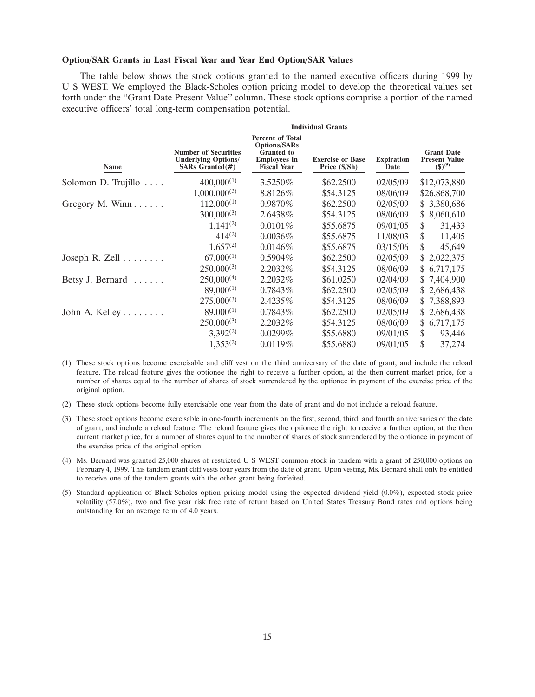### **Option/SAR Grants in Last Fiscal Year and Year End Option/SAR Values**

The table below shows the stock options granted to the named executive officers during 1999 by U S WEST. We employed the Black-Scholes option pricing model to develop the theoretical values set forth under the ''Grant Date Present Value'' column. These stock options comprise a portion of the named executive officers' total long-term compensation potential.

|                                | <b>Individual Grants</b>                                                         |                                                                                                                  |                                          |                           |                                                           |  |  |
|--------------------------------|----------------------------------------------------------------------------------|------------------------------------------------------------------------------------------------------------------|------------------------------------------|---------------------------|-----------------------------------------------------------|--|--|
| Name                           | <b>Number of Securities</b><br><b>Underlying Options/</b><br>SARs Granted $(\#)$ | <b>Percent of Total</b><br><b>Options/SARs</b><br><b>Granted</b> to<br><b>Employees</b> in<br><b>Fiscal Year</b> | <b>Exercise or Base</b><br>Price (\$/Sh) | <b>Expiration</b><br>Date | <b>Grant Date</b><br><b>Present Value</b><br>$(\$)^{(5)}$ |  |  |
| Solomon D. Trujillo            | $400,000^{(1)}$                                                                  | 3.5250\%                                                                                                         | \$62,2500                                | 02/05/09                  | \$12,073,880                                              |  |  |
|                                | $1,000,000^{(3)}$                                                                | 8.8126\%                                                                                                         | \$54.3125                                | 08/06/09                  | \$26,868,700                                              |  |  |
| Gregory M. Winn $\ldots$ .     | $112,000^{(1)}$                                                                  | 0.9870%                                                                                                          | \$62.2500                                | 02/05/09                  | \$3,380,686                                               |  |  |
|                                | $300,000^{(3)}$                                                                  | 2.6438%                                                                                                          | \$54.3125                                | 08/06/09                  | 8,060,610<br>S.                                           |  |  |
|                                | $1,141^{(2)}$                                                                    | 0.0101%                                                                                                          | \$55.6875                                | 09/01/05                  | \$<br>31,433                                              |  |  |
|                                | $414^{(2)}$                                                                      | 0.0036%                                                                                                          | \$55.6875                                | 11/08/03                  | \$<br>11,405                                              |  |  |
|                                | $1,657^{(2)}$                                                                    | $0.0146\%$                                                                                                       | \$55.6875                                | 03/15/06                  | \$<br>45,649                                              |  |  |
| Joseph R. Zell $\ldots \ldots$ | $67,000^{(1)}$                                                                   | $0.5904\%$                                                                                                       | \$62.2500                                | 02/05/09                  | 2,022,375<br>S.                                           |  |  |
|                                | $250,000^{(3)}$                                                                  | 2.2032%                                                                                                          | \$54.3125                                | 08/06/09                  | \$6,717,175                                               |  |  |
| Betsy J. Bernard $\ldots$ .    | $250,000^{(4)}$                                                                  | 2.2032%                                                                                                          | \$61.0250                                | 02/04/09                  | \$7,404,900                                               |  |  |
|                                | $89,000^{(1)}$                                                                   | 0.7843%                                                                                                          | \$62.2500                                | 02/05/09                  | \$2,686,438                                               |  |  |
|                                | $275,000^{(3)}$                                                                  | 2.4235%                                                                                                          | \$54.3125                                | 08/06/09                  | \$7,388,893                                               |  |  |
| John A. Kelley                 | $89,000^{(1)}$                                                                   | $0.7843\%$                                                                                                       | \$62,2500                                | 02/05/09                  | \$2,686,438                                               |  |  |
|                                | $250,000^{(3)}$                                                                  | 2.2032\%                                                                                                         | \$54.3125                                | 08/06/09                  | \$6,717,175                                               |  |  |
|                                | $3,392^{(2)}$                                                                    | $0.0299\%$                                                                                                       | \$55.6880                                | 09/01/05                  | 93,446<br>\$                                              |  |  |
|                                | $1,353^{(2)}$                                                                    | 0.0119%                                                                                                          | \$55.6880                                | 09/01/05                  | \$<br>37,274                                              |  |  |

<sup>(1)</sup> These stock options become exercisable and cliff vest on the third anniversary of the date of grant, and include the reload feature. The reload feature gives the optionee the right to receive a further option, at the then current market price, for a number of shares equal to the number of shares of stock surrendered by the optionee in payment of the exercise price of the original option.

(2) These stock options become fully exercisable one year from the date of grant and do not include a reload feature.

- (4) Ms. Bernard was granted 25,000 shares of restricted U S WEST common stock in tandem with a grant of 250,000 options on February 4, 1999. This tandem grant cliff vests four years from the date of grant. Upon vesting, Ms. Bernard shall only be entitled to receive one of the tandem grants with the other grant being forfeited.
- (5) Standard application of Black-Scholes option pricing model using the expected dividend yield (0.0%), expected stock price volatility (57.0%), two and five year risk free rate of return based on United States Treasury Bond rates and options being outstanding for an average term of 4.0 years.

<sup>(3)</sup> These stock options become exercisable in one-fourth increments on the first, second, third, and fourth anniversaries of the date of grant, and include a reload feature. The reload feature gives the optionee the right to receive a further option, at the then current market price, for a number of shares equal to the number of shares of stock surrendered by the optionee in payment of the exercise price of the original option.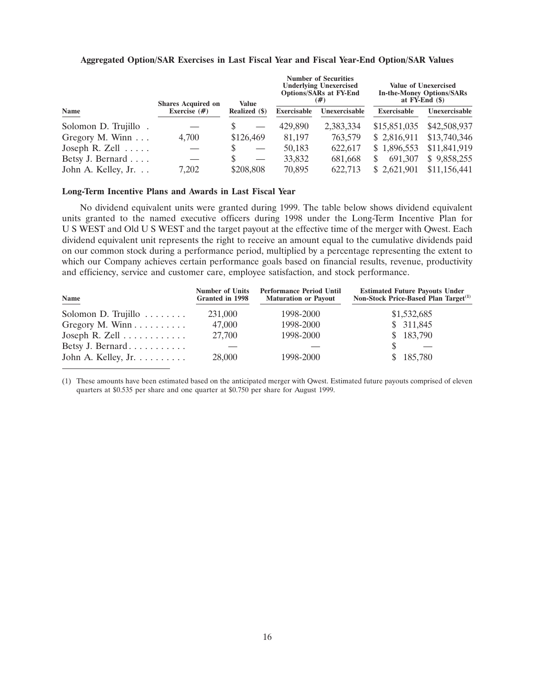|                           | <b>Shares Acquired on</b> | Value         |                    | <b>Number of Securities</b><br><b>Underlying Unexercised</b><br><b>Options/SARs at FY-End</b><br>(#) |              | <b>Value of Unexercised</b><br><b>In-the-Money Options/SARs</b><br>at $FY\text{-}End(S)$ |
|---------------------------|---------------------------|---------------|--------------------|------------------------------------------------------------------------------------------------------|--------------|------------------------------------------------------------------------------------------|
| Name                      | Exercise $(#)$            | Realized (\$) | <b>Exercisable</b> | Unexercisable                                                                                        | Exercisable  | Unexercisable                                                                            |
| Solomon D. Trujillo.      |                           |               | 429,890            | 2,383,334                                                                                            | \$15,851,035 | \$42,508,937                                                                             |
| Gregory M. Winn $\ldots$  | 4,700                     | \$126,469     | 81.197             | 763,579                                                                                              | \$ 2,816,911 | \$13,740,346                                                                             |
| Joseph R. Zell $\ldots$ . |                           |               | 50,183             | 622.617                                                                                              | \$1,896,553  | \$11,841,919                                                                             |
| Betsy J. Bernard          |                           |               | 33,832             | 681,668                                                                                              | 691,307      | \$9,858,255                                                                              |
| John A. Kelley, Jr.       | 7.202                     | \$208,808     | 70,895             | 622,713                                                                                              | \$2.621,901  | \$11,156,441                                                                             |

### **Aggregated Option/SAR Exercises in Last Fiscal Year and Fiscal Year-End Option/SAR Values**

### **Long-Term Incentive Plans and Awards in Last Fiscal Year**

No dividend equivalent units were granted during 1999. The table below shows dividend equivalent units granted to the named executive officers during 1998 under the Long-Term Incentive Plan for U S WEST and Old U S WEST and the target payout at the effective time of the merger with Qwest. Each dividend equivalent unit represents the right to receive an amount equal to the cumulative dividends paid on our common stock during a performance period, multiplied by a percentage representing the extent to which our Company achieves certain performance goals based on financial results, revenue, productivity and efficiency, service and customer care, employee satisfaction, and stock performance.

| Name                               | <b>Number of Units</b><br>Granted in 1998 | <b>Performance Period Until</b><br><b>Maturation or Payout</b> | <b>Estimated Future Payouts Under</b><br>Non-Stock Price-Based Plan Target <sup>(1)</sup> |
|------------------------------------|-------------------------------------------|----------------------------------------------------------------|-------------------------------------------------------------------------------------------|
| Solomon D. Trujillo $\dots \dots$  | 231,000                                   | 1998-2000                                                      | \$1,532,685                                                                               |
| Gregory M. Winn $\dots \dots$      | 47,000                                    | 1998-2000                                                      | \$311,845                                                                                 |
| Joseph R. Zell $\dots \dots \dots$ | 27,700                                    | 1998-2000                                                      | \$183,790                                                                                 |
| Betsy J. Bernard                   |                                           |                                                                |                                                                                           |
| John A. Kelley, Jr. $\dots \dots$  | 28,000                                    | 1998-2000                                                      | \$185,780                                                                                 |

(1) These amounts have been estimated based on the anticipated merger with Qwest. Estimated future payouts comprised of eleven quarters at \$0.535 per share and one quarter at \$0.750 per share for August 1999.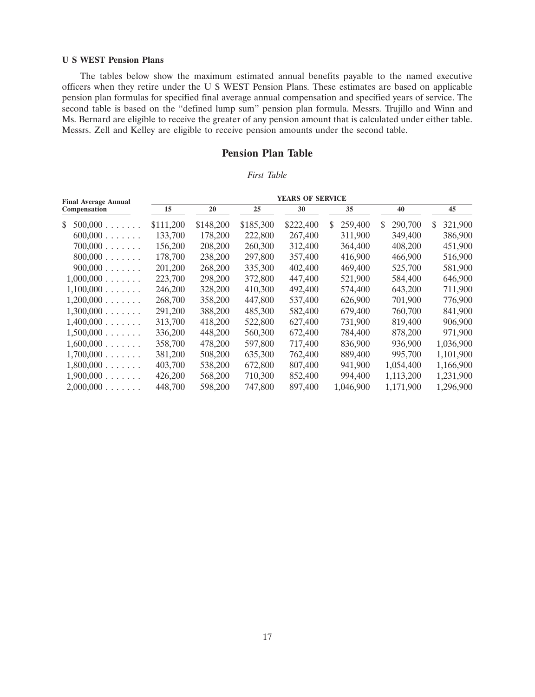### **U S WEST Pension Plans**

The tables below show the maximum estimated annual benefits payable to the named executive officers when they retire under the U S WEST Pension Plans. These estimates are based on applicable pension plan formulas for specified final average annual compensation and specified years of service. The second table is based on the ''defined lump sum'' pension plan formula. Messrs. Trujillo and Winn and Ms. Bernard are eligible to receive the greater of any pension amount that is calculated under either table. Messrs. Zell and Kelley are eligible to receive pension amounts under the second table.

## **Pension Plan Table**

### *First Table*

| <b>Final Average Annual</b> |           |           |           | <b>YEARS OF SERVICE</b> |               |              |               |
|-----------------------------|-----------|-----------|-----------|-------------------------|---------------|--------------|---------------|
| Compensation                | 15        | 20        | 25        | 30                      | 35            | 40           | 45            |
| \$<br>500,000               | \$111,200 | \$148,200 | \$185,300 | \$222,400               | 259,400<br>\$ | 290,700<br>S | 321,900<br>\$ |
| 600,000                     | 133,700   | 178,200   | 222,800   | 267,400                 | 311,900       | 349,400      | 386,900       |
| $700,000$ .<br>.            | 156,200   | 208,200   | 260,300   | 312,400                 | 364,400       | 408,200      | 451,900       |
| 800,000<br>.                | 178,700   | 238,200   | 297,800   | 357,400                 | 416,900       | 466,900      | 516,900       |
| $900,000$ .<br>1.1.1.1.1    | 201,200   | 268,200   | 335,300   | 402,400                 | 469,400       | 525,700      | 581,900       |
| 1,000,000                   | 223,700   | 298,200   | 372,800   | 447,400                 | 521,900       | 584,400      | 646,900       |
| 1,100,000                   | 246,200   | 328,200   | 410,300   | 492,400                 | 574,400       | 643,200      | 711,900       |
| 1,200,000                   | 268,700   | 358,200   | 447,800   | 537,400                 | 626,900       | 701,900      | 776,900       |
| 1,300,000                   | 291,200   | 388,200   | 485,300   | 582,400                 | 679,400       | 760,700      | 841,900       |
| 1,400,000                   | 313,700   | 418,200   | 522,800   | 627,400                 | 731,900       | 819,400      | 906,900       |
| 1,500,000                   | 336,200   | 448,200   | 560,300   | 672,400                 | 784,400       | 878,200      | 971,900       |
| 1,600,000                   | 358,700   | 478,200   | 597,800   | 717,400                 | 836,900       | 936,900      | 1,036,900     |
| 1,700,000                   | 381,200   | 508,200   | 635,300   | 762,400                 | 889,400       | 995,700      | 1,101,900     |
| 1,800,000                   | 403,700   | 538,200   | 672,800   | 807,400                 | 941,900       | 1,054,400    | 1,166,900     |
| 1,900,000                   | 426,200   | 568,200   | 710,300   | 852,400                 | 994,400       | 1,113,200    | 1,231,900     |
| 2,000,000                   | 448,700   | 598,200   | 747,800   | 897,400                 | 1,046,900     | 1,171,900    | 1,296,900     |
|                             |           |           |           |                         |               |              |               |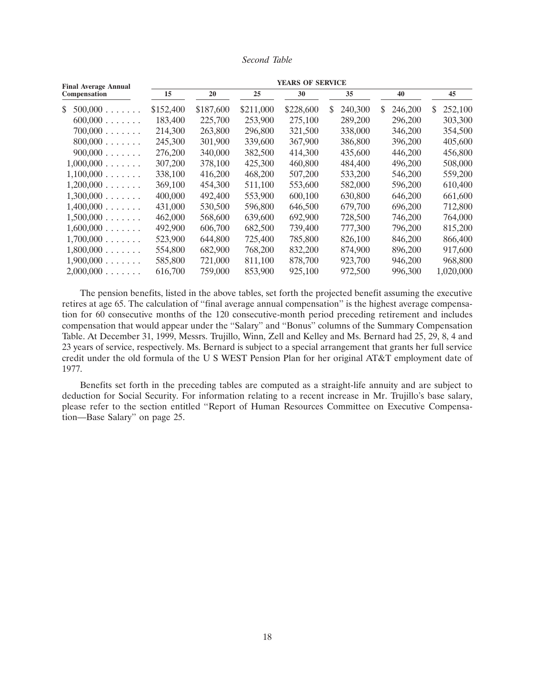### *Second Table*

| <b>Final Average Annual</b> |           |           |           | <b>YEARS OF SERVICE</b> |               |              |              |
|-----------------------------|-----------|-----------|-----------|-------------------------|---------------|--------------|--------------|
| Compensation                | 15        | 20        | 25        | 30                      | 35            | 40           | 45           |
| \$<br>500,000               | \$152,400 | \$187,600 | \$211,000 | \$228,600               | 240,300<br>S. | 246,200<br>S | 252,100<br>S |
| 600,000                     | 183,400   | 225,700   | 253,900   | 275,100                 | 289,200       | 296,200      | 303,300      |
| 700,000                     | 214,300   | 263,800   | 296,800   | 321,500                 | 338,000       | 346,200      | 354,500      |
| 800,000                     | 245,300   | 301,900   | 339,600   | 367,900                 | 386,800       | 396,200      | 405,600      |
| 900,000                     | 276,200   | 340,000   | 382,500   | 414,300                 | 435,600       | 446,200      | 456,800      |
| 1,000,000                   | 307,200   | 378,100   | 425,300   | 460,800                 | 484,400       | 496,200      | 508,000      |
| 1,100,000                   | 338,100   | 416,200   | 468,200   | 507,200                 | 533,200       | 546,200      | 559,200      |
| 1,200,000                   | 369,100   | 454,300   | 511,100   | 553,600                 | 582,000       | 596,200      | 610,400      |
| 1,300,000                   | 400,000   | 492,400   | 553,900   | 600,100                 | 630,800       | 646,200      | 661,600      |
| 1,400,000                   | 431,000   | 530,500   | 596,800   | 646,500                 | 679,700       | 696,200      | 712,800      |
| 1,500,000                   | 462,000   | 568,600   | 639,600   | 692,900                 | 728,500       | 746,200      | 764,000      |
| 1,600,000                   | 492,900   | 606,700   | 682,500   | 739,400                 | 777,300       | 796,200      | 815,200      |
| 1,700,000                   | 523,900   | 644,800   | 725,400   | 785,800                 | 826,100       | 846,200      | 866,400      |
| 1,800,000                   | 554,800   | 682,900   | 768,200   | 832,200                 | 874,900       | 896,200      | 917,600      |
| 1,900,000                   | 585,800   | 721,000   | 811,100   | 878,700                 | 923,700       | 946,200      | 968,800      |
| 2,000,000                   | 616,700   | 759,000   | 853,900   | 925,100                 | 972,500       | 996,300      | 1,020,000    |

The pension benefits, listed in the above tables, set forth the projected benefit assuming the executive retires at age 65. The calculation of ''final average annual compensation'' is the highest average compensation for 60 consecutive months of the 120 consecutive-month period preceding retirement and includes compensation that would appear under the ''Salary'' and ''Bonus'' columns of the Summary Compensation Table. At December 31, 1999, Messrs. Trujillo, Winn, Zell and Kelley and Ms. Bernard had 25, 29, 8, 4 and 23 years of service, respectively. Ms. Bernard is subject to a special arrangement that grants her full service credit under the old formula of the U S WEST Pension Plan for her original AT&T employment date of 1977.

Benefits set forth in the preceding tables are computed as a straight-life annuity and are subject to deduction for Social Security. For information relating to a recent increase in Mr. Trujillo's base salary, please refer to the section entitled ''Report of Human Resources Committee on Executive Compensation—Base Salary'' on page 25.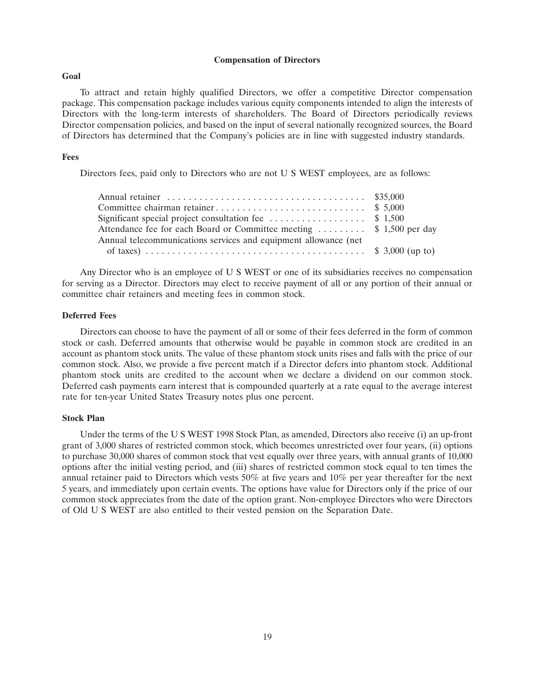### **Compensation of Directors**

### **Goal**

To attract and retain highly qualified Directors, we offer a competitive Director compensation package. This compensation package includes various equity components intended to align the interests of Directors with the long-term interests of shareholders. The Board of Directors periodically reviews Director compensation policies, and based on the input of several nationally recognized sources, the Board of Directors has determined that the Company's policies are in line with suggested industry standards.

### **Fees**

Directors fees, paid only to Directors who are not U S WEST employees, are as follows:

| Significant special project consultation fee $\dots \dots \dots \dots$ \$ 1,500 |  |
|---------------------------------------------------------------------------------|--|
| Attendance fee for each Board or Committee meeting  \$ 1,500 per day            |  |
| Annual telecommunications services and equipment allowance (net                 |  |
|                                                                                 |  |

Any Director who is an employee of U S WEST or one of its subsidiaries receives no compensation for serving as a Director. Directors may elect to receive payment of all or any portion of their annual or committee chair retainers and meeting fees in common stock.

### **Deferred Fees**

Directors can choose to have the payment of all or some of their fees deferred in the form of common stock or cash. Deferred amounts that otherwise would be payable in common stock are credited in an account as phantom stock units. The value of these phantom stock units rises and falls with the price of our common stock. Also, we provide a five percent match if a Director defers into phantom stock. Additional phantom stock units are credited to the account when we declare a dividend on our common stock. Deferred cash payments earn interest that is compounded quarterly at a rate equal to the average interest rate for ten-year United States Treasury notes plus one percent.

### **Stock Plan**

Under the terms of the U S WEST 1998 Stock Plan, as amended, Directors also receive (i) an up-front grant of 3,000 shares of restricted common stock, which becomes unrestricted over four years, (ii) options to purchase 30,000 shares of common stock that vest equally over three years, with annual grants of 10,000 options after the initial vesting period, and (iii) shares of restricted common stock equal to ten times the annual retainer paid to Directors which vests 50% at five years and 10% per year thereafter for the next 5 years, and immediately upon certain events. The options have value for Directors only if the price of our common stock appreciates from the date of the option grant. Non-employee Directors who were Directors of Old U S WEST are also entitled to their vested pension on the Separation Date.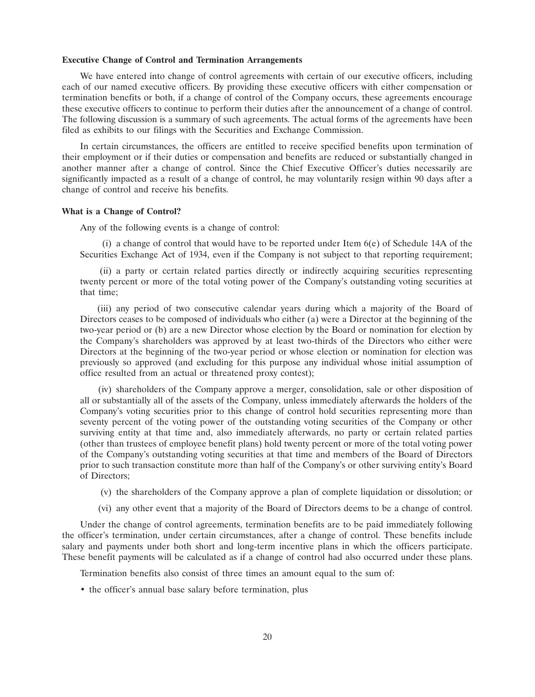### **Executive Change of Control and Termination Arrangements**

We have entered into change of control agreements with certain of our executive officers, including each of our named executive officers. By providing these executive officers with either compensation or termination benefits or both, if a change of control of the Company occurs, these agreements encourage these executive officers to continue to perform their duties after the announcement of a change of control. The following discussion is a summary of such agreements. The actual forms of the agreements have been filed as exhibits to our filings with the Securities and Exchange Commission.

In certain circumstances, the officers are entitled to receive specified benefits upon termination of their employment or if their duties or compensation and benefits are reduced or substantially changed in another manner after a change of control. Since the Chief Executive Officer's duties necessarily are significantly impacted as a result of a change of control, he may voluntarily resign within 90 days after a change of control and receive his benefits.

### **What is a Change of Control?**

Any of the following events is a change of control:

(i) a change of control that would have to be reported under Item 6(e) of Schedule 14A of the Securities Exchange Act of 1934, even if the Company is not subject to that reporting requirement;

(ii) a party or certain related parties directly or indirectly acquiring securities representing twenty percent or more of the total voting power of the Company's outstanding voting securities at that time;

(iii) any period of two consecutive calendar years during which a majority of the Board of Directors ceases to be composed of individuals who either (a) were a Director at the beginning of the two-year period or (b) are a new Director whose election by the Board or nomination for election by the Company's shareholders was approved by at least two-thirds of the Directors who either were Directors at the beginning of the two-year period or whose election or nomination for election was previously so approved (and excluding for this purpose any individual whose initial assumption of office resulted from an actual or threatened proxy contest);

(iv) shareholders of the Company approve a merger, consolidation, sale or other disposition of all or substantially all of the assets of the Company, unless immediately afterwards the holders of the Company's voting securities prior to this change of control hold securities representing more than seventy percent of the voting power of the outstanding voting securities of the Company or other surviving entity at that time and, also immediately afterwards, no party or certain related parties (other than trustees of employee benefit plans) hold twenty percent or more of the total voting power of the Company's outstanding voting securities at that time and members of the Board of Directors prior to such transaction constitute more than half of the Company's or other surviving entity's Board of Directors;

- (v) the shareholders of the Company approve a plan of complete liquidation or dissolution; or
- (vi) any other event that a majority of the Board of Directors deems to be a change of control.

Under the change of control agreements, termination benefits are to be paid immediately following the officer's termination, under certain circumstances, after a change of control. These benefits include salary and payments under both short and long-term incentive plans in which the officers participate. These benefit payments will be calculated as if a change of control had also occurred under these plans.

Termination benefits also consist of three times an amount equal to the sum of:

• the officer's annual base salary before termination, plus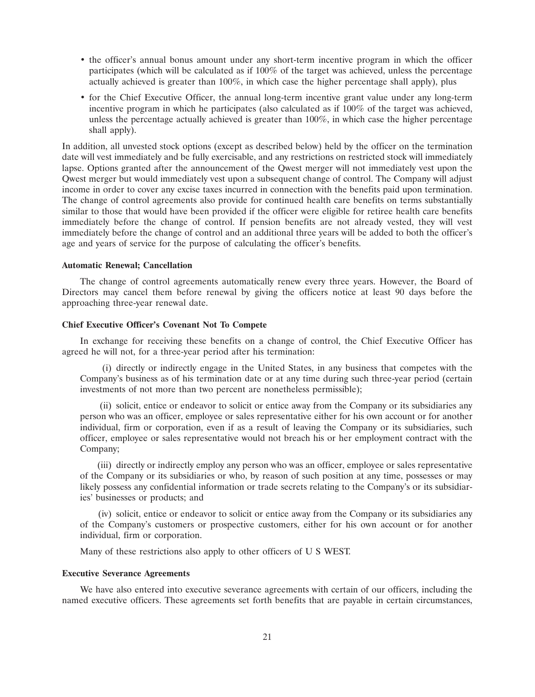- the officer's annual bonus amount under any short-term incentive program in which the officer participates (which will be calculated as if 100% of the target was achieved, unless the percentage actually achieved is greater than 100%, in which case the higher percentage shall apply), plus
- for the Chief Executive Officer, the annual long-term incentive grant value under any long-term incentive program in which he participates (also calculated as if 100% of the target was achieved, unless the percentage actually achieved is greater than 100%, in which case the higher percentage shall apply).

In addition, all unvested stock options ( except as described below) held by the officer on the termination date will vest immediately and be fully exercisable, and any restrictions on restricted stock will immediately lapse. Options granted after the announcement of the Qwest merger will not immediately vest upon the Qwest merger but would immediately vest upon a subsequent change of control. The Company will adjust income in order to cover any excise taxes incurred in connection with the benefits paid upon termination. The change of control agreements also provide for continued health care benefits on terms substantially similar to those that would have been provided if the officer were eligible for retiree health care benefits immediately before the change of control. If pension benefits are not already vested, they will vest immediately before the change of control and an additional three years will be added to both the officer's age and years of service for the purpose of calculating the officer's benefits.

### **Automatic Renewal; Cancellation**

The change of control agreements automatically renew every three years. However, the Board of Directors may cancel them before renewal by giving the officers notice at least 90 days before the approaching three-year renewal date.

### **Chief Executive Officer's Covenant Not To Compete**

In exchange for receiving these benefits on a change of control, the Chief Executive Officer has agreed he will not, for a three-year period after his termination:

(i) directly or indirectly engage in the United States, in any business that competes with the Company's business as of his termination date or at any time during such three-year period (certain investments of not more than two percent are nonetheless permissible);

(ii) solicit, entice or endeavor to solicit or entice away from the Company or its subsidiaries any person who was an officer, employee or sales representative either for his own account or for another individual, firm or corporation, even if as a result of leaving the Company or its subsidiaries, such officer, employee or sales representative would not breach his or her employment contract with the Company;

(iii) directly or indirectly employ any person who was an officer, employee or sales representative of the Company or its subsidiaries or who, by reason of such position at any time, possesses or may likely possess any confidential information or trade secrets relating to the Company's or its subsidiaries' businesses or products; and

(iv) solicit, entice or endeavor to solicit or entice away from the Company or its subsidiaries any of the Company's customers or prospective customers, either for his own account or for another individual, firm or corporation.

Many of these restrictions also apply to other officers of U S WEST.

### **Executive Severance Agreements**

We have also entered into executive severance agreements with certain of our officers, including the named executive officers. These agreements set forth benefits that are payable in certain circumstances,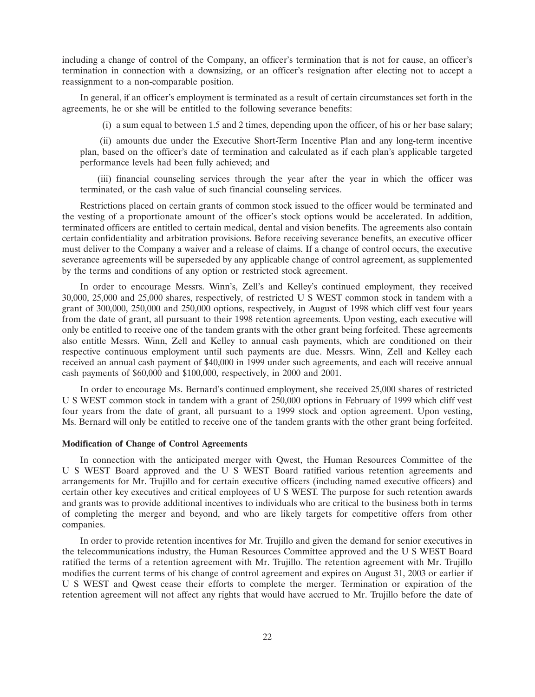including a change of control of the Company, an officer's termination that is not for cause, an officer's termination in connection with a downsizing, or an officer's resignation after electing not to accept a reassignment to a non-comparable position.

In general, if an officer's employment is terminated as a result of certain circumstances set forth in the agreements, he or she will be entitled to the following severance benefits:

(i) a sum equal to between 1.5 and 2 times, depending upon the officer, of his or her base salary;

(ii) amounts due under the Executive Short-Term Incentive Plan and any long-term incentive plan, based on the officer's date of termination and calculated as if each plan's applicable targeted performance levels had been fully achieved; and

(iii) financial counseling services through the year after the year in which the officer was terminated, or the cash value of such financial counseling services.

Restrictions placed on certain grants of common stock issued to the officer would be terminated and the vesting of a proportionate amount of the officer's stock options would be accelerated. In addition, terminated officers are entitled to certain medical, dental and vision benefits. The agreements also contain certain confidentiality and arbitration provisions. Before receiving severance benefits, an executive officer must deliver to the Company a waiver and a release of claims. If a change of control occurs, the executive severance agreements will be superseded by any applicable change of control agreement, as supplemented by the terms and conditions of any option or restricted stock agreement.

In order to encourage Messrs. Winn's, Zell's and Kelley's continued employment, they received 30,000, 25,000 and 25,000 shares, respectively, of restricted U S WEST common stock in tandem with a grant of 300,000, 250,000 and 250,000 options, respectively, in August of 1998 which cliff vest four years from the date of grant, all pursuant to their 1998 retention agreements. Upon vesting, each executive will only be entitled to receive one of the tandem grants with the other grant being forfeited. These agreements also entitle Messrs. Winn, Zell and Kelley to annual cash payments, which are conditioned on their respective continuous employment until such payments are due. Messrs. Winn, Zell and Kelley each received an annual cash payment of \$40,000 in 1999 under such agreements, and each will receive annual cash payments of \$60,000 and \$100,000, respectively, in 2000 and 2001.

In order to encourage Ms. Bernard's continued employment, she received 25,000 shares of restricted U S WEST common stock in tandem with a grant of 250,000 options in February of 1999 which cliff vest four years from the date of grant, all pursuant to a 1999 stock and option agreement. Upon vesting, Ms. Bernard will only be entitled to receive one of the tandem grants with the other grant being forfeited.

### **Modification of Change of Control Agreements**

In connection with the anticipated merger with Qwest, the Human Resources Committee of the U S WEST Board approved and the U S WEST Board ratified various retention agreements and arrangements for Mr. Trujillo and for certain executive officers (including named executive officers) and certain other key executives and critical employees of U S WEST. The purpose for such retention awards and grants was to provide additional incentives to individuals who are critical to the business both in terms of completing the merger and beyond, and who are likely targets for competitive offers from other companies.

In order to provide retention incentives for Mr. Trujillo and given the demand for senior executives in the telecommunications industry, the Human Resources Committee approved and the U S WEST Board ratified the terms of a retention agreement with Mr. Trujillo. The retention agreement with Mr. Trujillo modifies the current terms of his change of control agreement and expires on August 31, 2003 or earlier if U S WEST and Qwest cease their efforts to complete the merger. Termination or expiration of the retention agreement will not affect any rights that would have accrued to Mr. Trujillo before the date of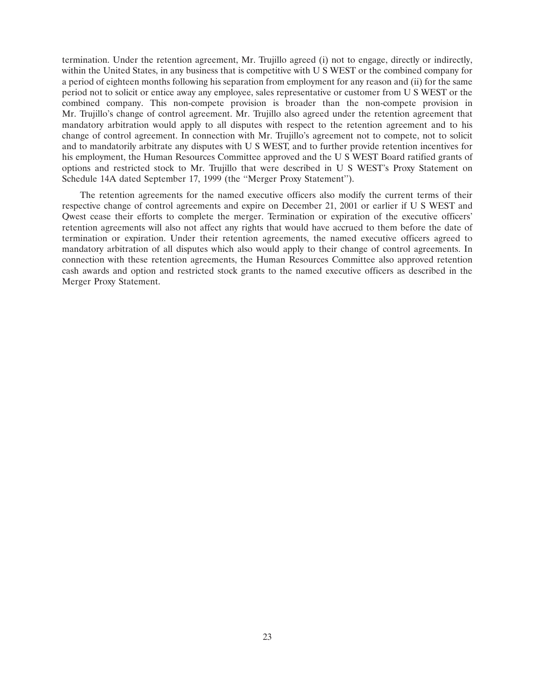termination. Under the retention agreement, Mr. Trujillo agreed (i) not to engage, directly or indirectly, within the United States, in any business that is competitive with U S WEST or the combined company for a period of eighteen months following his separation from employment for any reason and (ii) for the same period not to solicit or entice away any employee, sales representative or customer from U S WEST or the combined company. This non-compete provision is broader than the non-compete provision in Mr. Trujillo's change of control agreement. Mr. Trujillo also agreed under the retention agreement that mandatory arbitration would apply to all disputes with respect to the retention agreement and to his change of control agreement. In connection with Mr. Trujillo's agreement not to compete, not to solicit and to mandatorily arbitrate any disputes with U S WEST, and to further provide retention incentives for his employment, the Human Resources Committee approved and the U S WEST Board ratified grants of options and restricted stock to Mr. Trujillo that were described in U S WEST's Proxy Statement on Schedule 14A dated September 17, 1999 (the ''Merger Proxy Statement'').

The retention agreements for the named executive officers also modify the current terms of their respective change of control agreements and expire on December 21, 2001 or earlier if U S WEST and Qwest cease their efforts to complete the merger. Termination or expiration of the executive officers' retention agreements will also not affect any rights that would have accrued to them before the date of termination or expiration. Under their retention agreements, the named executive officers agreed to mandatory arbitration of all disputes which also would apply to their change of control agreements. In connection with these retention agreements, the Human Resources Committee also approved retention cash awards and option and restricted stock grants to the named executive officers as described in the Merger Proxy Statement.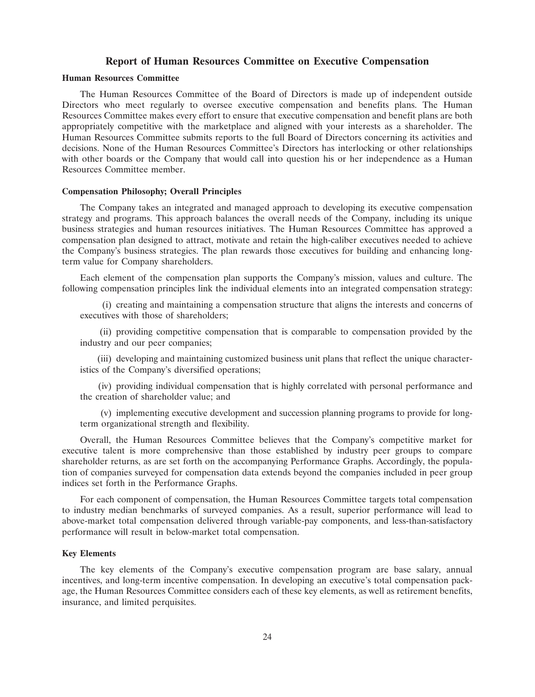### **Report of Human Resources Committee on Executive Compensation**

### **Human Resources Committee**

The Human Resources Committee of the Board of Directors is made up of independent outside Directors who meet regularly to oversee executive compensation and benefits plans. The Human Resources Committee makes every effort to ensure that executive compensation and benefit plans are both appropriately competitive with the marketplace and aligned with your interests as a shareholder. The Human Resources Committee submits reports to the full Board of Directors concerning its activities and decisions. None of the Human Resources Committee's Directors has interlocking or other relationships with other boards or the Company that would call into question his or her independence as a Human Resources Committee member.

### **Compensation Philosophy; Overall Principles**

The Company takes an integrated and managed approach to developing its executive compensation strategy and programs. This approach balances the overall needs of the Company, including its unique business strategies and human resources initiatives. The Human Resources Committee has approved a compensation plan designed to attract, motivate and retain the high-caliber executives needed to achieve the Company's business strategies. The plan rewards those executives for building and enhancing longterm value for Company shareholders.

Each element of the compensation plan supports the Company's mission, values and culture. The following compensation principles link the individual elements into an integrated compensation strategy:

(i) creating and maintaining a compensation structure that aligns the interests and concerns of executives with those of shareholders;

(ii) providing competitive compensation that is comparable to compensation provided by the industry and our peer companies;

(iii) developing and maintaining customized business unit plans that reflect the unique characteristics of the Company's diversified operations;

(iv) providing individual compensation that is highly correlated with personal performance and the creation of shareholder value; and

(v) implementing executive development and succession planning programs to provide for longterm organizational strength and flexibility.

Overall, the Human Resources Committee believes that the Company's competitive market for executive talent is more comprehensive than those established by industry peer groups to compare shareholder returns, as are set forth on the accompanying Performance Graphs. Accordingly, the population of companies surveyed for compensation data extends beyond the companies included in peer group indices set forth in the Performance Graphs.

For each component of compensation, the Human Resources Committee targets total compensation to industry median benchmarks of surveyed companies. As a result, superior performance will lead to above-market total compensation delivered through variable-pay components, and less-than-satisfactory performance will result in below-market total compensation.

### **Key Elements**

The key elements of the Company's executive compensation program are base salary, annual incentives, and long-term incentive compensation. In developing an executive's total compensation package, the Human Resources Committee considers each of these key elements, as well as retirement benefits, insurance, and limited perquisites.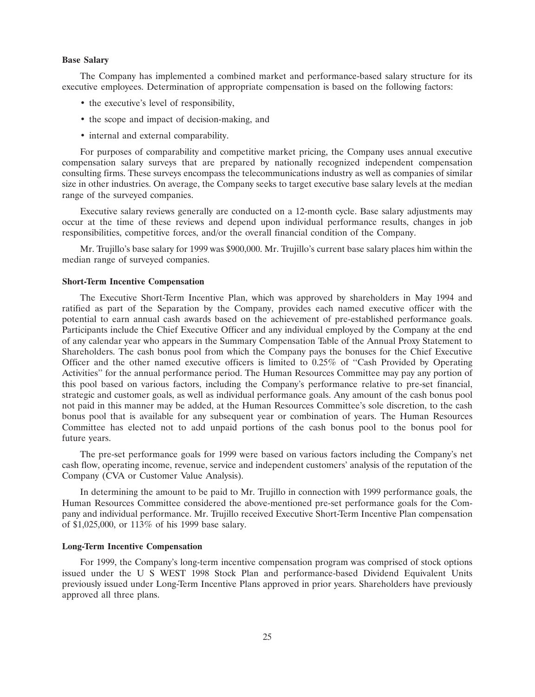### **Base Salary**

The Company has implemented a combined market and performance-based salary structure for its executive employees. Determination of appropriate compensation is based on the following factors:

- the executive's level of responsibility,
- the scope and impact of decision-making, and
- internal and external comparability.

For purposes of comparability and competitive market pricing, the Company uses annual executive compensation salary surveys that are prepared by nationally recognized independent compensation consulting firms. These surveys encompass the telecommunications industry as well as companies of similar size in other industries. On average, the Company seeks to target executive base salary levels at the median range of the surveyed companies.

Executive salary reviews generally are conducted on a 12-month cycle. Base salary adjustments may occur at the time of these reviews and depend upon individual performance results, changes in job responsibilities, competitive forces, and/or the overall financial condition of the Company.

Mr. Trujillo's base salary for 1999 was \$900,000. Mr. Trujillo's current base salary places him within the median range of surveyed companies.

### **Short-Term Incentive Compensation**

The Executive Short-Term Incentive Plan, which was approved by shareholders in May 1994 and ratified as part of the Separation by the Company, provides each named executive officer with the potential to earn annual cash awards based on the achievement of pre-established performance goals. Participants include the Chief Executive Officer and any individual employed by the Company at the end of any calendar year who appears in the Summary Compensation Table of the Annual Proxy Statement to Shareholders. The cash bonus pool from which the Company pays the bonuses for the Chief Executive Officer and the other named executive officers is limited to 0.25% of ''Cash Provided by Operating Activities'' for the annual performance period. The Human Resources Committee may pay any portion of this pool based on various factors, including the Company's performance relative to pre-set financial, strategic and customer goals, as well as individual performance goals. Any amount of the cash bonus pool not paid in this manner may be added, at the Human Resources Committee's sole discretion, to the cash bonus pool that is available for any subsequent year or combination of years. The Human Resources Committee has elected not to add unpaid portions of the cash bonus pool to the bonus pool for future years.

The pre-set performance goals for 1999 were based on various factors including the Company's net cash flow, operating income, revenue, service and independent customers' analysis of the reputation of the Company (CVA or Customer Value Analysis).

In determining the amount to be paid to Mr. Trujillo in connection with 1999 performance goals, the Human Resources Committee considered the above-mentioned pre-set performance goals for the Company and individual performance. Mr. Trujillo received Executive Short-Term Incentive Plan compensation of \$1,025,000, or 113% of his 1999 base salary.

### **Long-Term Incentive Compensation**

For 1999, the Company's long-term incentive compensation program was comprised of stock options issued under the U S WEST 1998 Stock Plan and performance-based Dividend Equivalent Units previously issued under Long-Term Incentive Plans approved in prior years. Shareholders have previously approved all three plans.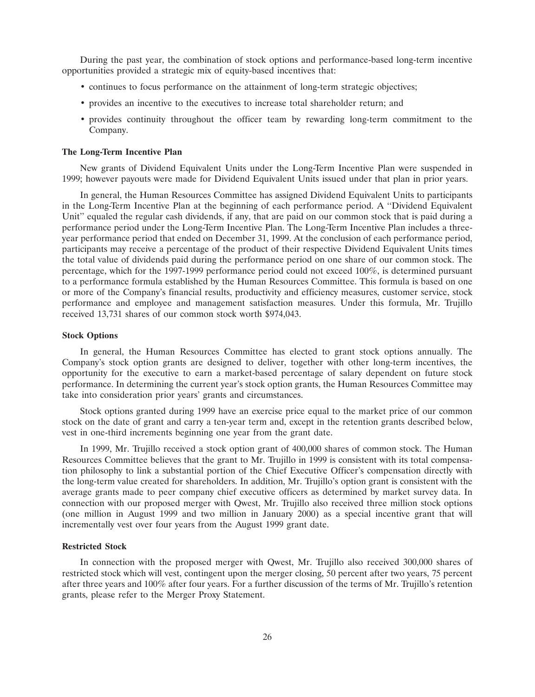During the past year, the combination of stock options and performance-based long-term incentive opportunities provided a strategic mix of equity-based incentives that:

- continues to focus performance on the attainment of long-term strategic objectives;
- provides an incentive to the executives to increase total shareholder return; and
- provides continuity throughout the officer team by rewarding long-term commitment to the Company.

#### **The Long-Term Incentive Plan**

New grants of Dividend Equivalent Units under the Long-Term Incentive Plan were suspended in 1999; however payouts were made for Dividend Equivalent Units issued under that plan in prior years.

In general, the Human Resources Committee has assigned Dividend Equivalent Units to participants in the Long-Term Incentive Plan at the beginning of each performance period. A ''Dividend Equivalent Unit" equaled the regular cash dividends, if any, that are paid on our common stock that is paid during a performance period under the Long-Term Incentive Plan. The Long-Term Incentive Plan includes a threeyear performance period that ended on December 31, 1999. At the conclusion of each performance period, participants may receive a percentage of the product of their respective Dividend Equivalent Units times the total value of dividends paid during the performance period on one share of our common stock. The percentage, which for the 1997-1999 performance period could not exceed 100%, is determined pursuant to a performance formula established by the Human Resources Committee. This formula is based on one or more of the Company's financial results, productivity and efficiency measures, customer service, stock performance and employee and management satisfaction measures. Under this formula, Mr. Trujillo received 13,731 shares of our common stock worth \$974,043.

### **Stock Options**

In general, the Human Resources Committee has elected to grant stock options annually. The Company's stock option grants are designed to deliver, together with other long-term incentives, the opportunity for the executive to earn a market-based percentage of salary dependent on future stock performance. In determining the current year's stock option grants, the Human Resources Committee may take into consideration prior years' grants and circumstances.

Stock options granted during 1999 have an exercise price equal to the market price of our common stock on the date of grant and carry a ten-year term and, except in the retention grants described below, vest in one-third increments beginning one year from the grant date.

In 1999, Mr. Trujillo received a stock option grant of 400,000 shares of common stock. The Human Resources Committee believes that the grant to Mr. Trujillo in 1999 is consistent with its total compensation philosophy to link a substantial portion of the Chief Executive Officer's compensation directly with the long-term value created for shareholders. In addition, Mr. Trujillo's option grant is consistent with the average grants made to peer company chief executive officers as determined by market survey data. In connection with our proposed merger with Qwest, Mr. Trujillo also received three million stock options (one million in August 1999 and two million in January 2000) as a special incentive grant that will incrementally vest over four years from the August 1999 grant date.

### **Restricted Stock**

In connection with the proposed merger with Qwest, Mr. Trujillo also received 300,000 shares of restricted stock which will vest, contingent upon the merger closing, 50 percent after two years, 75 percent after three years and 100% after four years. For a further discussion of the terms of Mr. Trujillo's retention grants, please refer to the Merger Proxy Statement.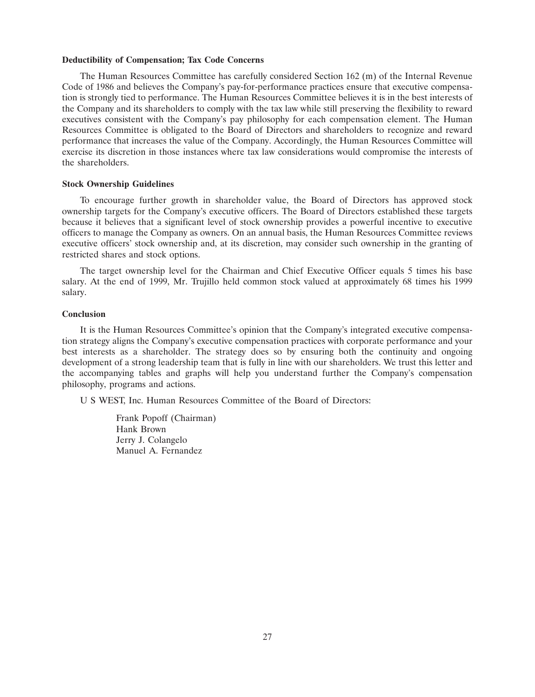#### **Deductibility of Compensation; Tax Code Concerns**

The Human Resources Committee has carefully considered Section 162 (m) of the Internal Revenue Code of 1986 and believes the Company's pay-for-performance practices ensure that executive compensation is strongly tied to performance. The Human Resources Committee believes it is in the best interests of the Company and its shareholders to comply with the tax law while still preserving the flexibility to reward executives consistent with the Company's pay philosophy for each compensation element. The Human Resources Committee is obligated to the Board of Directors and shareholders to recognize and reward performance that increases the value of the Company. Accordingly, the Human Resources Committee will exercise its discretion in those instances where tax law considerations would compromise the interests of the shareholders.

### **Stock Ownership Guidelines**

To encourage further growth in shareholder value, the Board of Directors has approved stock ownership targets for the Company's executive officers. The Board of Directors established these targets because it believes that a significant level of stock ownership provides a powerful incentive to executive officers to manage the Company as owners. On an annual basis, the Human Resources Committee reviews executive officers' stock ownership and, at its discretion, may consider such ownership in the granting of restricted shares and stock options.

The target ownership level for the Chairman and Chief Executive Officer equals 5 times his base salary. At the end of 1999, Mr. Trujillo held common stock valued at approximately 68 times his 1999 salary.

### **Conclusion**

It is the Human Resources Committee's opinion that the Company's integrated executive compensation strategy aligns the Company's executive compensation practices with corporate performance and your best interests as a shareholder. The strategy does so by ensuring both the continuity and ongoing development of a strong leadership team that is fully in line with our shareholders. We trust this letter and the accompanying tables and graphs will help you understand further the Company's compensation philosophy, programs and actions.

U S WEST, Inc. Human Resources Committee of the Board of Directors:

Frank Popoff (Chairman) Hank Brown Jerry J. Colangelo Manuel A. Fernandez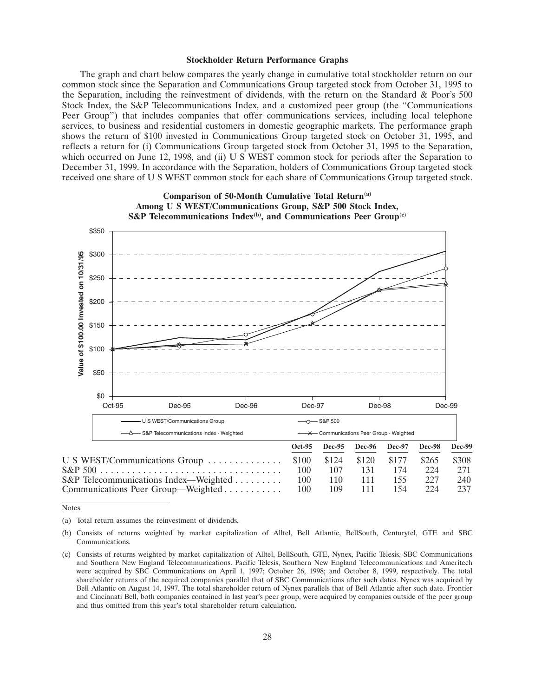#### **Stockholder Return Performance Graphs**

The graph and chart below compares the yearly change in cumulative total stockholder return on our common stock since the Separation and Communications Group targeted stock from October 31, 1995 to the Separation, including the reinvestment of dividends, with the return on the Standard & Poor's 500 Stock Index, the S&P Telecommunications Index, and a customized peer group (the ''Communications Peer Group") that includes companies that offer communications services, including local telephone services, to business and residential customers in domestic geographic markets. The performance graph shows the return of \$100 invested in Communications Group targeted stock on October 31, 1995, and reflects a return for (i) Communications Group targeted stock from October 31, 1995 to the Separation, which occurred on June 12, 1998, and (ii) U S WEST common stock for periods after the Separation to December 31, 1999. In accordance with the Separation, holders of Communications Group targeted stock received one share of U S WEST common stock for each share of Communications Group targeted stock.



Notes.

<sup>(</sup>a) Total return assumes the reinvestment of dividends.

<sup>(</sup>b) Consists of returns weighted by market capitalization of Alltel, Bell Atlantic, BellSouth, Centurytel, GTE and SBC Communications.

<sup>(</sup>c) Consists of returns weighted by market capitalization of Alltel, BellSouth, GTE, Nynex, Pacific Telesis, SBC Communications and Southern New England Telecommunications. Pacific Telesis, Southern New England Telecommunications and Ameritech were acquired by SBC Communications on April 1, 1997; October 26, 1998; and October 8, 1999, respectively. The total shareholder returns of the acquired companies parallel that of SBC Communications after such dates. Nynex was acquired by Bell Atlantic on August 14, 1997. The total shareholder return of Nynex parallels that of Bell Atlantic after such date. Frontier and Cincinnati Bell, both companies contained in last year's peer group, were acquired by companies outside of the peer group and thus omitted from this year's total shareholder return calculation.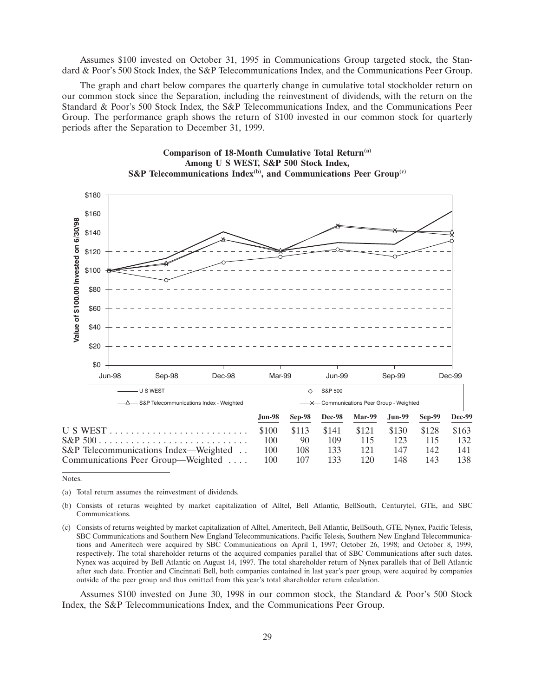Assumes \$100 invested on October 31, 1995 in Communications Group targeted stock, the Standard & Poor's 500 Stock Index, the S&P Telecommunications Index, and the Communications Peer Group.

The graph and chart below compares the quarterly change in cumulative total stockholder return on our common stock since the Separation, including the reinvestment of dividends, with the return on the Standard & Poor's 500 Stock Index, the S&P Telecommunications Index, and the Communications Peer Group. The performance graph shows the return of \$100 invested in our common stock for quarterly periods after the Separation to December 31, 1999.

**Comparison of 18-Month Cumulative Total Return(a)**



Notes.

- (b) Consists of returns weighted by market capitalization of Alltel, Bell Atlantic, BellSouth, Centurytel, GTE, and SBC Communications.
- (c) Consists of returns weighted by market capitalization of Alltel, Ameritech, Bell Atlantic, BellSouth, GTE, Nynex, Pacific Telesis, SBC Communications and Southern New England Telecommunications. Pacific Telesis, Southern New England Telecommunications and Ameritech were acquired by SBC Communications on April 1, 1997; October 26, 1998; and October 8, 1999, respectively. The total shareholder returns of the acquired companies parallel that of SBC Communications after such dates. Nynex was acquired by Bell Atlantic on August 14, 1997. The total shareholder return of Nynex parallels that of Bell Atlantic after such date. Frontier and Cincinnati Bell, both companies contained in last year's peer group, were acquired by companies outside of the peer group and thus omitted from this year's total shareholder return calculation.

Assumes \$100 invested on June 30, 1998 in our common stock, the Standard & Poor's 500 Stock Index, the S&P Telecommunications Index, and the Communications Peer Group.

<sup>(</sup>a) Total return assumes the reinvestment of dividends.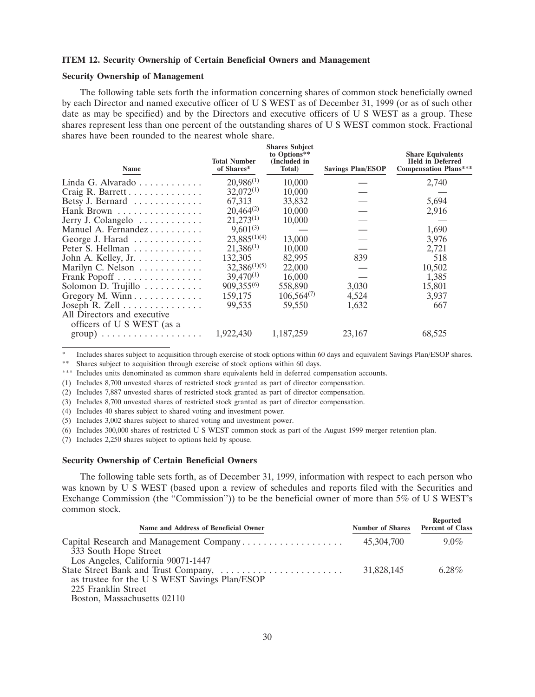### **ITEM 12. Security Ownership of Certain Beneficial Owners and Management**

### **Security Ownership of Management**

The following table sets forth the information concerning shares of common stock beneficially owned by each Director and named executive officer of U S WEST as of December 31, 1999 (or as of such other date as may be specified) and by the Directors and executive officers of U S WEST as a group. These shares represent less than one percent of the outstanding shares of U S WEST common stock. Fractional shares have been rounded to the nearest whole share.

| Name                                                      | <b>Total Number</b><br>of Shares* | <b>Shares Subject</b><br>to Options**<br>(Included in<br>Total) | <b>Savings Plan/ESOP</b> | <b>Share Equivalents</b><br><b>Held in Deferred</b><br><b>Compensation Plans***</b> |
|-----------------------------------------------------------|-----------------------------------|-----------------------------------------------------------------|--------------------------|-------------------------------------------------------------------------------------|
| Linda G. Alvarado $\ldots \ldots \ldots$                  | $20,986^{(1)}$                    | 10,000                                                          |                          | 2,740                                                                               |
| Craig R. Barrett                                          | $32,072^{(1)}$                    | 10,000                                                          |                          |                                                                                     |
| Betsy J. Bernard                                          | 67,313                            | 33,832                                                          |                          | 5,694                                                                               |
| Hank Brown                                                | $20,464^{(2)}$                    | 10,000                                                          |                          | 2,916                                                                               |
| Jerry J. Colangelo                                        | $21,273^{(1)}$                    | 10,000                                                          |                          |                                                                                     |
| Manuel A. Fernandez                                       | $9,601^{(3)}$                     |                                                                 |                          | 1,690                                                                               |
| George J. Harad                                           | $23,885^{(1)(4)}$                 | 13,000                                                          |                          | 3,976                                                                               |
| Peter S. Hellman                                          | $21,386^{(1)}$                    | 10,000                                                          |                          | 2,721                                                                               |
| John A. Kelley, Jr.                                       | 132,305                           | 82,995                                                          | 839                      | 518                                                                                 |
| Marilyn C. Nelson                                         | $32,386^{(1)(5)}$                 | 22,000                                                          |                          | 10,502                                                                              |
| Frank Popoff                                              | $39,470^{(1)}$                    | 16,000                                                          |                          | 1,385                                                                               |
| Solomon D. Trujillo                                       | 909,355(6)                        | 558,890                                                         | 3,030                    | 15,801                                                                              |
| Gregory M. Winn                                           | 159,175                           | $106,564^{(7)}$                                                 | 4,524                    | 3,937                                                                               |
| Joseph R. Zell                                            | 99.535                            | 59,550                                                          | 1,632                    | 667                                                                                 |
| All Directors and executive<br>officers of U S WEST (as a |                                   |                                                                 |                          |                                                                                     |
|                                                           | 1,922,430                         | 1,187,259                                                       | 23,167                   | 68,525                                                                              |

\* Includes shares subject to acquisition through exercise of stock options within 60 days and equivalent Savings Plan/ESOP shares.

\*\* Shares subject to acquisition through exercise of stock options within 60 days.

\*\*\* Includes units denominated as common share equivalents held in deferred compensation accounts.

(1) Includes 8,700 unvested shares of restricted stock granted as part of director compensation.

(2) Includes 7,887 unvested shares of restricted stock granted as part of director compensation.

(3) Includes 8,700 unvested shares of restricted stock granted as part of director compensation.

(4) Includes 40 shares subject to shared voting and investment power.

(5) Includes 3,002 shares subject to shared voting and investment power.

(6) Includes 300,000 shares of restricted U S WEST common stock as part of the August 1999 merger retention plan.

(7) Includes 2,250 shares subject to options held by spouse.

#### **Security Ownership of Certain Beneficial Owners**

The following table sets forth, as of December 31, 1999, information with respect to each person who was known by U S WEST (based upon a review of schedules and reports filed with the Securities and Exchange Commission (the "Commission")) to be the beneficial owner of more than 5% of U S WEST's common stock.

**Reported**

| <b>Number of Shares</b> | <b>INCPULLED</b><br><b>Percent of Class</b> |
|-------------------------|---------------------------------------------|
| 45,304,700              | $9.0\%$                                     |
|                         |                                             |
|                         |                                             |
| 31,828,145              | $6.28\%$                                    |
|                         |                                             |
|                         |                                             |
|                         |                                             |
|                         | Capital Research and Management Company     |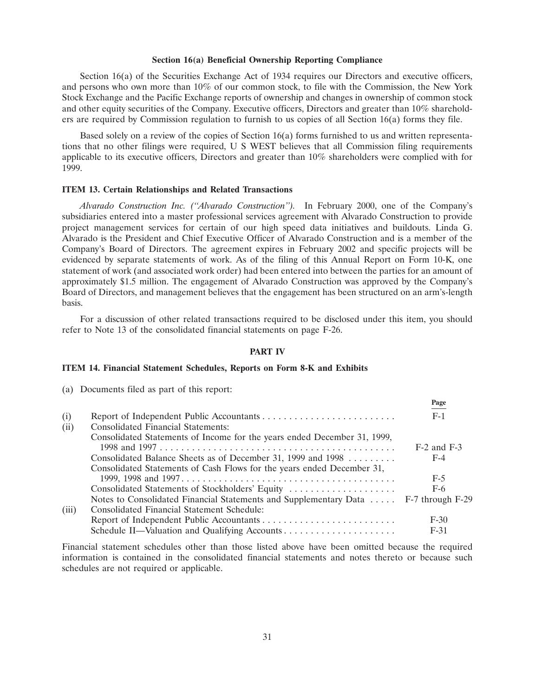### **Section 16(a) Beneficial Ownership Reporting Compliance**

Section 16(a) of the Securities Exchange Act of 1934 requires our Directors and executive officers, and persons who own more than 10% of our common stock, to file with the Commission, the New York Stock Exchange and the Pacific Exchange reports of ownership and changes in ownership of common stock and other equity securities of the Company. Executive officers, Directors and greater than 10% shareholders are required by Commission regulation to furnish to us copies of all Section 16(a) forms they file.

Based solely on a review of the copies of Section 16(a) forms furnished to us and written representations that no other filings were required, U S WEST believes that all Commission filing requirements applicable to its executive officers, Directors and greater than 10% shareholders were complied with for 1999.

### **ITEM 13. Certain Relationships and Related Transactions**

*Alvarado Construction Inc. (''Alvarado Construction'').* In February 2000, one of the Company's subsidiaries entered into a master professional services agreement with Alvarado Construction to provide project management services for certain of our high speed data initiatives and buildouts. Linda G. Alvarado is the President and Chief Executive Officer of Alvarado Construction and is a member of the Company's Board of Directors. The agreement expires in February 2002 and specific projects will be evidenced by separate statements of work. As of the filing of this Annual Report on Form 10-K, one statement of work (and associated work order) had been entered into between the parties for an amount of approximately \$1.5 million. The engagement of Alvarado Construction was approved by the Company's Board of Directors, and management believes that the engagement has been structured on an arm's-length basis.

For a discussion of other related transactions required to be disclosed under this item, you should refer to Note 13 of the consolidated financial statements on page F-26.

### **PART IV**

**Page**

### **ITEM 14. Financial Statement Schedules, Reports on Form 8-K and Exhibits**

(a) Documents filed as part of this report:

|       |                                                                                     | 105c            |
|-------|-------------------------------------------------------------------------------------|-----------------|
| (i)   |                                                                                     | $F-1$           |
| (ii)  | <b>Consolidated Financial Statements:</b>                                           |                 |
|       | Consolidated Statements of Income for the years ended December 31, 1999,            |                 |
|       |                                                                                     | $F-2$ and $F-3$ |
|       | Consolidated Balance Sheets as of December 31, 1999 and 1998                        | $F-4$           |
|       | Consolidated Statements of Cash Flows for the years ended December 31,              |                 |
|       |                                                                                     | $F-5$           |
|       | Consolidated Statements of Stockholders' Equity                                     | $F-6$           |
|       | Notes to Consolidated Financial Statements and Supplementary Data  F-7 through F-29 |                 |
| (iii) | Consolidated Financial Statement Schedule:                                          |                 |
|       |                                                                                     | $F-30$          |
|       |                                                                                     | $F-31$          |
|       |                                                                                     |                 |

Financial statement schedules other than those listed above have been omitted because the required information is contained in the consolidated financial statements and notes thereto or because such schedules are not required or applicable.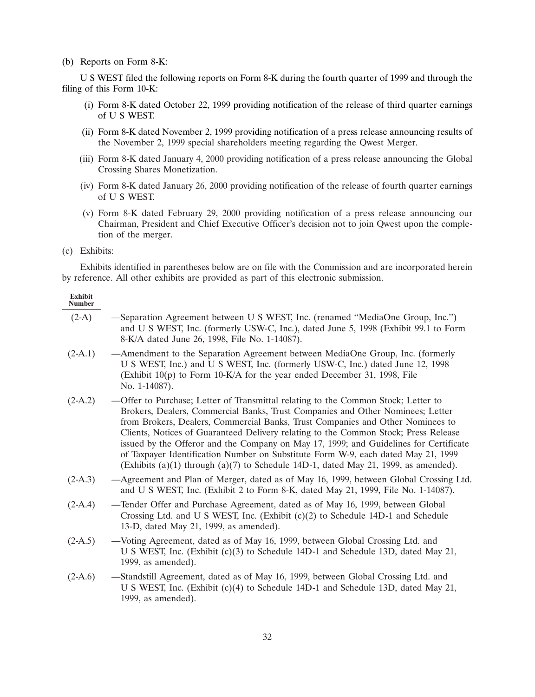### (b) Reports on Form 8-K:

U S WEST filed the following reports on Form 8-K during the fourth quarter of 1999 and through the filing of this Form 10-K:

- (i) Form 8-K dated October 22, 1999 providing notification of the release of third quarter earnings of U S WEST.
- (ii) Form 8-K dated November 2, 1999 providing notification of a press release announcing results of the November 2, 1999 special shareholders meeting regarding the Qwest Merger.
- (iii) Form 8-K dated January 4, 2000 providing notification of a press release announcing the Global Crossing Shares Monetization.
- (iv) Form 8-K dated January 26, 2000 providing notification of the release of fourth quarter earnings of U S WEST.
- (v) Form 8-K dated February 29, 2000 providing notification of a press release announcing our Chairman, President and Chief Executive Officer's decision not to join Qwest upon the completion of the merger.
- (c) Exhibits:

Exhibits identified in parentheses below are on file with the Commission and are incorporated herein by reference. All other exhibits are provided as part of this electronic submission.

#### **Exhibit Number**

| $(2-A)$ | -Separation Agreement between U S WEST, Inc. (renamed "MediaOne Group, Inc.")       |
|---------|-------------------------------------------------------------------------------------|
|         | and U S WEST, Inc. (formerly USW-C, Inc.), dated June 5, 1998 (Exhibit 99.1 to Form |
|         | 8-K/A dated June 26, 1998, File No. 1-14087).                                       |

- (2-A.1) —Amendment to the Separation Agreement between MediaOne Group, Inc. (formerly U S WEST, Inc.) and U S WEST, Inc. (formerly USW-C, Inc.) dated June 12, 1998 (Exhibit 10(p) to Form 10-K/A for the year ended December 31, 1998, File No. 1-14087).
- (2-A.2) —Offer to Purchase; Letter of Transmittal relating to the Common Stock; Letter to Brokers, Dealers, Commercial Banks, Trust Companies and Other Nominees; Letter from Brokers, Dealers, Commercial Banks, Trust Companies and Other Nominees to Clients, Notices of Guaranteed Delivery relating to the Common Stock; Press Release issued by the Offeror and the Company on May 17, 1999; and Guidelines for Certificate of Taxpayer Identification Number on Substitute Form W-9, each dated May 21, 1999 (Exhibits  $(a)(1)$  through  $(a)(7)$  to Schedule 14D-1, dated May 21, 1999, as amended).
- (2-A.3) —Agreement and Plan of Merger, dated as of May 16, 1999, between Global Crossing Ltd. and U S WEST, Inc. (Exhibit 2 to Form 8-K, dated May 21, 1999, File No. 1-14087).
- (2-A.4) —Tender Offer and Purchase Agreement, dated as of May 16, 1999, between Global Crossing Ltd. and U S WEST, Inc. (Exhibit  $(c)(2)$  to Schedule 14D-1 and Schedule 13-D, dated May 21, 1999, as amended).
- (2-A.5) —Voting Agreement, dated as of May 16, 1999, between Global Crossing Ltd. and U S WEST, Inc. (Exhibit (c)(3) to Schedule 14D-1 and Schedule 13D, dated May 21, 1999, as amended).
- (2-A.6) —Standstill Agreement, dated as of May 16, 1999, between Global Crossing Ltd. and U S WEST, Inc. (Exhibit (c)(4) to Schedule 14D-1 and Schedule 13D, dated May 21, 1999, as amended).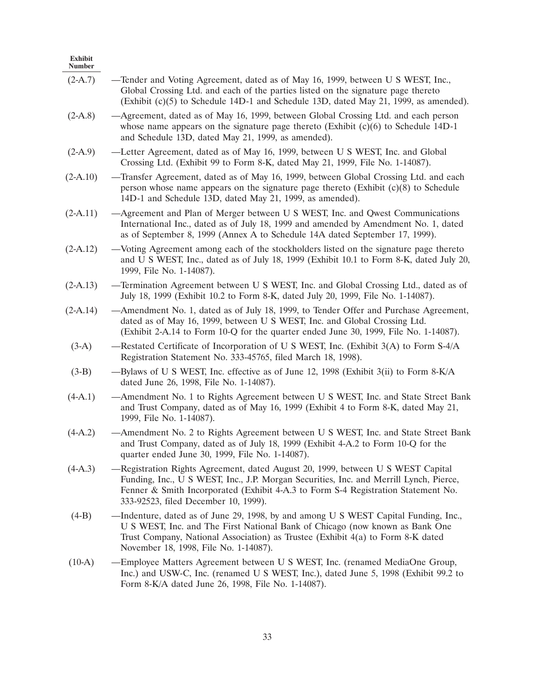| Exhibit<br><b>Number</b> |                                                                                                                                                                                                                                                                                                        |
|--------------------------|--------------------------------------------------------------------------------------------------------------------------------------------------------------------------------------------------------------------------------------------------------------------------------------------------------|
| $(2-A.7)$                | -Tender and Voting Agreement, dated as of May 16, 1999, between U S WEST, Inc.,<br>Global Crossing Ltd. and each of the parties listed on the signature page thereto<br>(Exhibit $(c)(5)$ to Schedule 14D-1 and Schedule 13D, dated May 21, 1999, as amended).                                         |
| $(2-A.8)$                | -Agreement, dated as of May 16, 1999, between Global Crossing Ltd. and each person<br>whose name appears on the signature page thereto (Exhibit $(c)(6)$ to Schedule 14D-1<br>and Schedule 13D, dated May 21, 1999, as amended).                                                                       |
| $(2-A.9)$                | -Letter Agreement, dated as of May 16, 1999, between U S WEST, Inc. and Global<br>Crossing Ltd. (Exhibit 99 to Form 8-K, dated May 21, 1999, File No. 1-14087).                                                                                                                                        |
| $(2-A.10)$               | -Transfer Agreement, dated as of May 16, 1999, between Global Crossing Ltd. and each<br>person whose name appears on the signature page thereto (Exhibit $(c)(8)$ to Schedule<br>14D-1 and Schedule 13D, dated May 21, 1999, as amended).                                                              |
| $(2-A.11)$               | -Agreement and Plan of Merger between U S WEST, Inc. and Qwest Communications<br>International Inc., dated as of July 18, 1999 and amended by Amendment No. 1, dated<br>as of September 8, 1999 (Annex A to Schedule 14A dated September 17, 1999).                                                    |
| $(2-A.12)$               | -Voting Agreement among each of the stockholders listed on the signature page thereto<br>and U S WEST, Inc., dated as of July 18, 1999 (Exhibit 10.1 to Form 8-K, dated July 20,<br>1999, File No. 1-14087).                                                                                           |
| $(2-A.13)$               | -Termination Agreement between U S WEST, Inc. and Global Crossing Ltd., dated as of<br>July 18, 1999 (Exhibit 10.2 to Form 8-K, dated July 20, 1999, File No. 1-14087).                                                                                                                                |
| $(2-A.14)$               | -Amendment No. 1, dated as of July 18, 1999, to Tender Offer and Purchase Agreement,<br>dated as of May 16, 1999, between U S WEST, Inc. and Global Crossing Ltd.<br>(Exhibit 2-A.14 to Form 10-Q for the quarter ended June 30, 1999, File No. 1-14087).                                              |
| $(3-A)$                  | -Restated Certificate of Incorporation of U S WEST, Inc. (Exhibit 3(A) to Form S-4/A<br>Registration Statement No. 333-45765, filed March 18, 1998).                                                                                                                                                   |
| $(3-B)$                  | dated June 26, 1998, File No. 1-14087).                                                                                                                                                                                                                                                                |
| $(4-A.1)$                | -Amendment No. 1 to Rights Agreement between U S WEST, Inc. and State Street Bank<br>and Trust Company, dated as of May 16, 1999 (Exhibit 4 to Form 8-K, dated May 21,<br>1999, File No. 1-14087).                                                                                                     |
| $(4-A.2)$                | -Amendment No. 2 to Rights Agreement between U S WEST, Inc. and State Street Bank<br>and Trust Company, dated as of July 18, 1999 (Exhibit 4-A.2 to Form 10-Q for the<br>quarter ended June 30, 1999, File No. 1-14087).                                                                               |
| $(4-A.3)$                | -Registration Rights Agreement, dated August 20, 1999, between U S WEST Capital<br>Funding, Inc., U S WEST, Inc., J.P. Morgan Securities, Inc. and Merrill Lynch, Pierce,<br>Fenner & Smith Incorporated (Exhibit 4-A.3 to Form S-4 Registration Statement No.<br>333-92523, filed December 10, 1999). |
| $(4-B)$                  | —Indenture, dated as of June 29, 1998, by and among U S WEST Capital Funding, Inc.,<br>U S WEST, Inc. and The First National Bank of Chicago (now known as Bank One<br>Trust Company, National Association) as Trustee (Exhibit 4(a) to Form 8-K dated<br>November 18, 1998, File No. 1-14087).        |
| $(10-A)$                 | -Employee Matters Agreement between U S WEST, Inc. (renamed MediaOne Group,<br>Inc.) and USW-C, Inc. (renamed U S WEST, Inc.), dated June 5, 1998 (Exhibit 99.2 to<br>Form 8-K/A dated June 26, 1998, File No. 1-14087).                                                                               |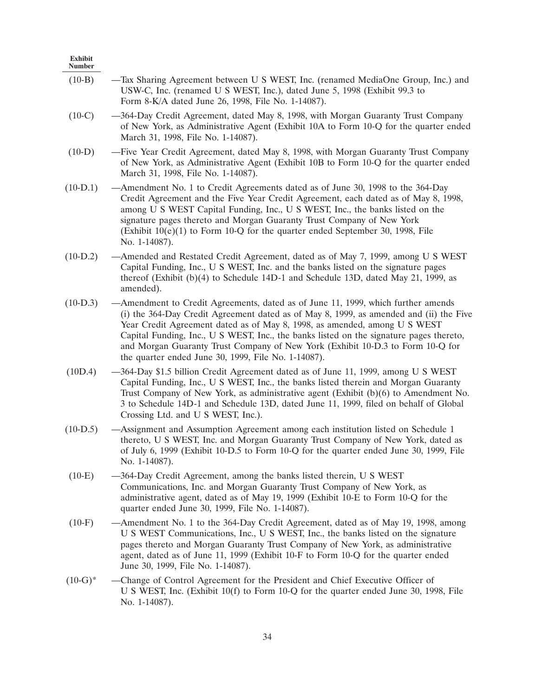| <b>Exhibit</b><br><b>Number</b> |                                                                                                                                                                                                                                                                                                                                                                                                                                                                                             |
|---------------------------------|---------------------------------------------------------------------------------------------------------------------------------------------------------------------------------------------------------------------------------------------------------------------------------------------------------------------------------------------------------------------------------------------------------------------------------------------------------------------------------------------|
| $(10-B)$                        | —Tax Sharing Agreement between U S WEST, Inc. (renamed MediaOne Group, Inc.) and<br>USW-C, Inc. (renamed U S WEST, Inc.), dated June 5, 1998 (Exhibit 99.3 to<br>Form 8-K/A dated June 26, 1998, File No. 1-14087).                                                                                                                                                                                                                                                                         |
| $(10-C)$                        | -364-Day Credit Agreement, dated May 8, 1998, with Morgan Guaranty Trust Company<br>of New York, as Administrative Agent (Exhibit 10A to Form 10-Q for the quarter ended<br>March 31, 1998, File No. 1-14087).                                                                                                                                                                                                                                                                              |
| $(10-D)$                        | -Five Year Credit Agreement, dated May 8, 1998, with Morgan Guaranty Trust Company<br>of New York, as Administrative Agent (Exhibit 10B to Form 10-Q for the quarter ended<br>March 31, 1998, File No. 1-14087).                                                                                                                                                                                                                                                                            |
| $(10-D.1)$                      | -Amendment No. 1 to Credit Agreements dated as of June 30, 1998 to the 364-Day<br>Credit Agreement and the Five Year Credit Agreement, each dated as of May 8, 1998,<br>among U S WEST Capital Funding, Inc., U S WEST, Inc., the banks listed on the<br>signature pages thereto and Morgan Guaranty Trust Company of New York<br>(Exhibit $10(e)(1)$ to Form 10-Q for the quarter ended September 30, 1998, File<br>No. 1-14087).                                                          |
| $(10-D.2)$                      | -Amended and Restated Credit Agreement, dated as of May 7, 1999, among U S WEST<br>Capital Funding, Inc., U S WEST, Inc. and the banks listed on the signature pages<br>thereof (Exhibit $(b)(4)$ to Schedule 14D-1 and Schedule 13D, dated May 21, 1999, as<br>amended).                                                                                                                                                                                                                   |
| $(10-D.3)$                      | -Amendment to Credit Agreements, dated as of June 11, 1999, which further amends<br>(i) the 364-Day Credit Agreement dated as of May 8, 1999, as amended and (ii) the Five<br>Year Credit Agreement dated as of May 8, 1998, as amended, among U S WEST<br>Capital Funding, Inc., U S WEST, Inc., the banks listed on the signature pages thereto,<br>and Morgan Guaranty Trust Company of New York (Exhibit 10-D.3 to Form 10-Q for<br>the quarter ended June 30, 1999, File No. 1-14087). |
| (10D.4)                         | -364-Day \$1.5 billion Credit Agreement dated as of June 11, 1999, among U S WEST<br>Capital Funding, Inc., U S WEST, Inc., the banks listed therein and Morgan Guaranty<br>Trust Company of New York, as administrative agent (Exhibit $(b)(6)$ to Amendment No.<br>3 to Schedule 14D-1 and Schedule 13D, dated June 11, 1999, filed on behalf of Global<br>Crossing Ltd. and U S WEST, Inc.).                                                                                             |
| $(10-D.5)$                      | — Assignment and Assumption Agreement among each institution listed on Schedule 1<br>thereto, U S WEST, Inc. and Morgan Guaranty Trust Company of New York, dated as<br>of July 6, 1999 (Exhibit 10-D.5 to Form 10-Q for the quarter ended June 30, 1999, File<br>No. 1-14087).                                                                                                                                                                                                             |
| $(10-E)$                        | -364-Day Credit Agreement, among the banks listed therein, U S WEST<br>Communications, Inc. and Morgan Guaranty Trust Company of New York, as<br>administrative agent, dated as of May 19, 1999 (Exhibit 10-E to Form 10-Q for the<br>quarter ended June 30, 1999, File No. 1-14087).                                                                                                                                                                                                       |
| $(10-F)$                        | -Amendment No. 1 to the 364-Day Credit Agreement, dated as of May 19, 1998, among<br>U S WEST Communications, Inc., U S WEST, Inc., the banks listed on the signature<br>pages thereto and Morgan Guaranty Trust Company of New York, as administrative<br>agent, dated as of June 11, 1999 (Exhibit 10-F to Form 10-Q for the quarter ended<br>June 30, 1999, File No. 1-14087).                                                                                                           |
| $(10-G)^*$                      | -Change of Control Agreement for the President and Chief Executive Officer of<br>U S WEST, Inc. (Exhibit $10(f)$ to Form 10-Q for the quarter ended June 30, 1998, File<br>No. 1-14087).                                                                                                                                                                                                                                                                                                    |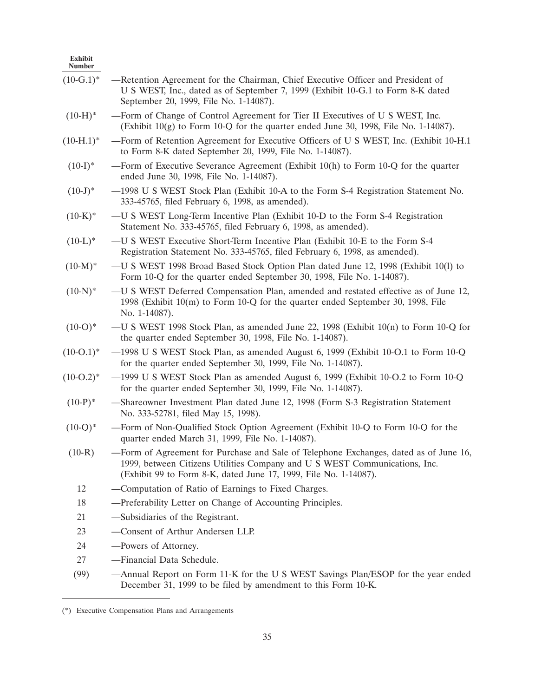| Exhibit<br><b>Number</b> |                                                                                                                                                                                                                                         |
|--------------------------|-----------------------------------------------------------------------------------------------------------------------------------------------------------------------------------------------------------------------------------------|
| $(10-G.1)^*$             | -Retention Agreement for the Chairman, Chief Executive Officer and President of<br>U S WEST, Inc., dated as of September 7, 1999 (Exhibit 10-G.1 to Form 8-K dated<br>September 20, 1999, File No. 1-14087).                            |
| $(10-H)^*$               | -Form of Change of Control Agreement for Tier II Executives of U S WEST, Inc.<br>(Exhibit $10(g)$ to Form 10-Q for the quarter ended June 30, 1998, File No. 1-14087).                                                                  |
| $(10-H.1)^*$             | -Form of Retention Agreement for Executive Officers of U S WEST, Inc. (Exhibit 10-H.1)<br>to Form 8-K dated September 20, 1999, File No. 1-14087).                                                                                      |
| $(10-I)^*$               | —Form of Executive Severance Agreement (Exhibit $10(h)$ to Form $10-Q$ for the quarter<br>ended June 30, 1998, File No. 1-14087).                                                                                                       |
| $(10-J)^*$               | -1998 U S WEST Stock Plan (Exhibit 10-A to the Form S-4 Registration Statement No.<br>333-45765, filed February 6, 1998, as amended).                                                                                                   |
| $(10-K)^*$               | -U S WEST Long-Term Incentive Plan (Exhibit 10-D to the Form S-4 Registration<br>Statement No. 333-45765, filed February 6, 1998, as amended).                                                                                          |
| $(10-L)^*$               | -U S WEST Executive Short-Term Incentive Plan (Exhibit 10-E to the Form S-4<br>Registration Statement No. 333-45765, filed February 6, 1998, as amended).                                                                               |
| $(10-M)^*$               | -U S WEST 1998 Broad Based Stock Option Plan dated June 12, 1998 (Exhibit 10(1) to<br>Form 10-Q for the quarter ended September 30, 1998, File No. 1-14087).                                                                            |
| $(10-N)^*$               | -U S WEST Deferred Compensation Plan, amended and restated effective as of June 12,<br>1998 (Exhibit 10(m) to Form 10-Q for the quarter ended September 30, 1998, File<br>No. 1-14087).                                                 |
| $(10-O)*$                | —U S WEST 1998 Stock Plan, as amended June 22, 1998 (Exhibit $10(n)$ to Form 10-Q for<br>the quarter ended September 30, 1998, File No. 1-14087).                                                                                       |
| $(10-O.1)^*$             | -1998 U S WEST Stock Plan, as amended August 6, 1999 (Exhibit 10-O.1 to Form 10-Q<br>for the quarter ended September 30, 1999, File No. 1-14087).                                                                                       |
| $(10-O.2)^*$             | -1999 U S WEST Stock Plan as amended August 6, 1999 (Exhibit 10-O.2 to Form 10-Q<br>for the quarter ended September 30, 1999, File No. 1-14087).                                                                                        |
| $(10-P)^*$               | -Shareowner Investment Plan dated June 12, 1998 (Form S-3 Registration Statement<br>No. 333-52781, filed May 15, 1998).                                                                                                                 |
| $(10-Q)^*$               | -Form of Non-Qualified Stock Option Agreement (Exhibit 10-Q to Form 10-Q for the<br>quarter ended March 31, 1999, File No. 1-14087).                                                                                                    |
| $(10-R)$                 | -Form of Agreement for Purchase and Sale of Telephone Exchanges, dated as of June 16,<br>1999, between Citizens Utilities Company and U S WEST Communications, Inc.<br>(Exhibit 99 to Form 8-K, dated June 17, 1999, File No. 1-14087). |
| 12                       | -Computation of Ratio of Earnings to Fixed Charges.                                                                                                                                                                                     |
| 18                       | -Preferability Letter on Change of Accounting Principles.                                                                                                                                                                               |
| 21                       | -Subsidiaries of the Registrant.                                                                                                                                                                                                        |
| 23                       | -Consent of Arthur Andersen LLP.                                                                                                                                                                                                        |
| 24                       | -Powers of Attorney.                                                                                                                                                                                                                    |
| 27                       | -Financial Data Schedule.                                                                                                                                                                                                               |

<sup>(99) —</sup>Annual Report on Form 11-K for the U S WEST Savings Plan/ESOP for the year ended December 31, 1999 to be filed by amendment to this Form 10-K.

<sup>(\*)</sup> Executive Compensation Plans and Arrangements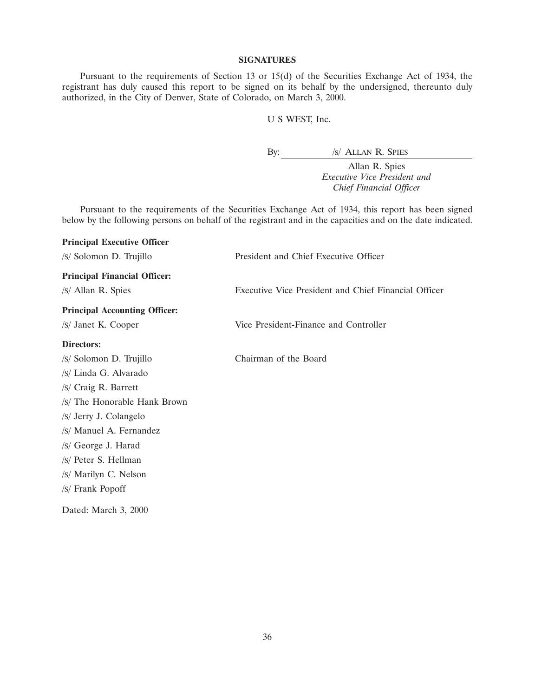### **SIGNATURES**

Pursuant to the requirements of Section 13 or 15(d) of the Securities Exchange Act of 1934, the registrant has duly caused this report to be signed on its behalf by the undersigned, thereunto duly authorized, in the City of Denver, State of Colorado, on March 3, 2000.

# U S WEST, Inc.

By: /s/ ALLAN R. SPIES

Allan R. Spies *Executive Vice President and Chief Financial Officer*

Pursuant to the requirements of the Securities Exchange Act of 1934, this report has been signed below by the following persons on behalf of the registrant and in the capacities and on the date indicated.

| <b>Principal Executive Officer</b>   |                                                      |
|--------------------------------------|------------------------------------------------------|
| /s/ Solomon D. Trujillo              | President and Chief Executive Officer                |
| <b>Principal Financial Officer:</b>  |                                                      |
| /s/ Allan R. Spies                   | Executive Vice President and Chief Financial Officer |
| <b>Principal Accounting Officer:</b> |                                                      |
| /s/ Janet K. Cooper                  | Vice President-Finance and Controller                |
| Directors:                           |                                                      |
| /s/ Solomon D. Trujillo              | Chairman of the Board                                |
| /S/ Linda G. Alvarado                |                                                      |
| /s/ Craig R. Barrett                 |                                                      |
| /S/ The Honorable Hank Brown         |                                                      |
| /s/ Jerry J. Colangelo               |                                                      |
| /S/ Manuel A. Fernandez              |                                                      |
| /s/ George J. Harad                  |                                                      |
| /s/ Peter S. Hellman                 |                                                      |
| /S/ Marilyn C. Nelson                |                                                      |
| /S/ Frank Popoff                     |                                                      |
| Dated: March 3, 2000                 |                                                      |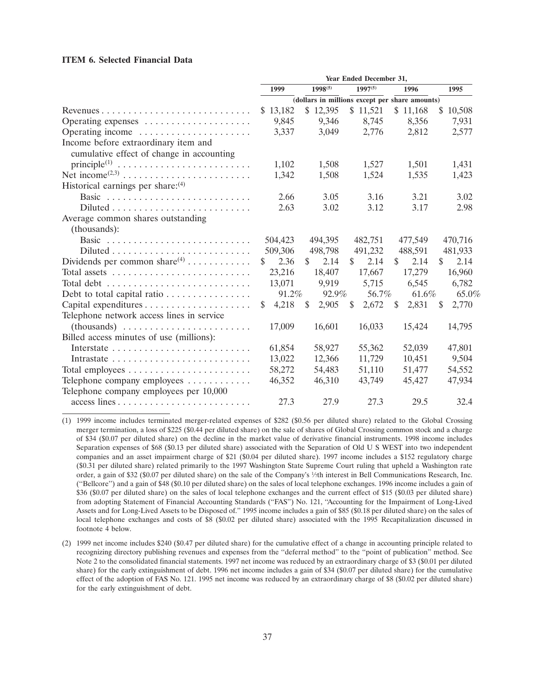### **ITEM 6. Selected Financial Data**

|                                                                          | Year Ended December 31,                        |              |                      |                      |             |
|--------------------------------------------------------------------------|------------------------------------------------|--------------|----------------------|----------------------|-------------|
|                                                                          | 1999                                           | $1998^{(5)}$ | $1997^{(5)}$         | 1996                 | 1995        |
|                                                                          | (dollars in millions except per share amounts) |              |                      |                      |             |
|                                                                          | \$13,182                                       | \$12,395     | \$11,521             | \$11,168             | \$10,508    |
| Operating expenses                                                       | 9,845                                          | 9,346        | 8.745                | 8.356                | 7.931       |
| Operating income                                                         | 3,337                                          | 3,049        | 2,776                | 2,812                | 2,577       |
| Income before extraordinary item and                                     |                                                |              |                      |                      |             |
| cumulative effect of change in accounting                                |                                                |              |                      |                      |             |
| $principle(1)$                                                           | 1,102                                          | 1,508        | 1,527                | 1,501                | 1,431       |
|                                                                          | 1,342                                          | 1,508        | 1,524                | 1,535                | 1,423       |
| Historical earnings per share: <sup>(4)</sup>                            |                                                |              |                      |                      |             |
|                                                                          | 2.66                                           | 3.05         | 3.16                 | 3.21                 | 3.02        |
| $Diluted \dots \dots \dots \dots \dots \dots \dots \dots \dots$          | 2.63                                           | 3.02         | 3.12                 | 3.17                 | 2.98        |
| Average common shares outstanding                                        |                                                |              |                      |                      |             |
| (thousands):                                                             |                                                |              |                      |                      |             |
|                                                                          | 504,423                                        | 494,395      | 482,751              | 477,549              | 470,716     |
| $Diluted \ldots \ldots \ldots \ldots \ldots \ldots \ldots$               | 509,306                                        | 498,798      | 491,232              | 488,591              | 481,933     |
|                                                                          | \$<br>2.36                                     | \$<br>2.14   | $\mathbb{S}$<br>2.14 | $\mathbb{S}$<br>2.14 | \$<br>2.14  |
| Total assets $\dots \dots \dots \dots \dots \dots \dots \dots \dots$     | 23,216                                         | 18,407       | 17,667               | 17,279               | 16,960      |
| Total debt $\dots \dots \dots \dots \dots \dots \dots \dots \dots \dots$ | 13,071                                         | 9,919        | 5,715                | 6,545                | 6,782       |
| Debt to total capital ratio $\ldots \ldots \ldots \ldots$                | 91.2%                                          | 92.9%        | 56.7%                | 61.6%                | 65.0%       |
|                                                                          | 4,218<br>\$                                    | 2,905<br>S.  | 2,672<br>\$          | 2,831<br>\$          | \$<br>2,770 |
| Telephone network access lines in service                                |                                                |              |                      |                      |             |
|                                                                          | 17,009                                         | 16,601       | 16,033               | 15,424               | 14,795      |
| Billed access minutes of use (millions):                                 |                                                |              |                      |                      |             |
|                                                                          | 61,854                                         | 58,927       | 55,362               | 52,039               | 47,801      |
|                                                                          | 13,022                                         | 12,366       | 11,729               | 10,451               | 9,504       |
|                                                                          | 58,272                                         | 54,483       | 51,110               | 51,477               | 54,552      |
| Telephone company employees                                              | 46,352                                         | 46,310       | 43,749               | 45,427               | 47,934      |
| Telephone company employees per 10,000                                   |                                                |              |                      |                      |             |
|                                                                          | 27.3                                           | 27.9         | 27.3                 | 29.5                 | 32.4        |

(1) 1999 income includes terminated merger-related expenses of \$282 (\$0.56 per diluted share) related to the Global Crossing merger termination, a loss of \$225 (\$0.44 per diluted share) on the sale of shares of Global Crossing common stock and a charge of \$34 (\$0.07 per diluted share) on the decline in the market value of derivative financial instruments. 1998 income includes Separation expenses of \$68 (\$0.13 per diluted share) associated with the Separation of Old U S WEST into two independent companies and an asset impairment charge of \$21 (\$0.04 per diluted share). 1997 income includes a \$152 regulatory charge (\$0.31 per diluted share) related primarily to the 1997 Washington State Supreme Court ruling that upheld a Washington rate order, a gain of \$32 (\$0.07 per diluted share) on the sale of the Company's 1⁄7th interest in Bell Communications Research, Inc. (''Bellcore'') and a gain of \$48 (\$0.10 per diluted share) on the sales of local telephone exchanges. 1996 income includes a gain of \$36 (\$0.07 per diluted share) on the sales of local telephone exchanges and the current effect of \$15 (\$0.03 per diluted share) from adopting Statement of Financial Accounting Standards (''FAS'') No. 121, ''Accounting for the Impairment of Long-Lived Assets and for Long-Lived Assets to be Disposed of.'' 1995 income includes a gain of \$85 (\$0.18 per diluted share) on the sales of local telephone exchanges and costs of \$8 (\$0.02 per diluted share) associated with the 1995 Recapitalization discussed in footnote 4 below.

<sup>(2) 1999</sup> net income includes \$240 (\$0.47 per diluted share) for the cumulative effect of a change in accounting principle related to recognizing directory publishing revenues and expenses from the ''deferral method'' to the ''point of publication'' method. See Note 2 to the consolidated financial statements. 1997 net income was reduced by an extraordinary charge of \$3 (\$0.01 per diluted share) for the early extinguishment of debt. 1996 net income includes a gain of \$34 (\$0.07 per diluted share) for the cumulative effect of the adoption of FAS No. 121. 1995 net income was reduced by an extraordinary charge of \$8 (\$0.02 per diluted share) for the early extinguishment of debt.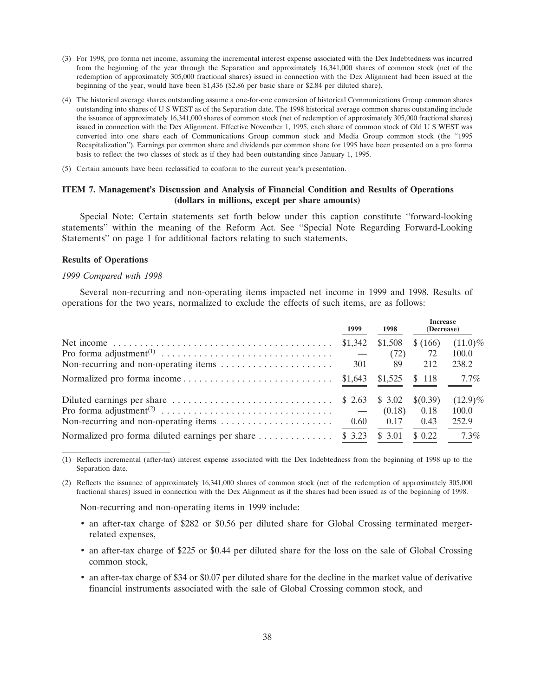- (3) For 1998, pro forma net income, assuming the incremental interest expense associated with the Dex Indebtedness was incurred from the beginning of the year through the Separation and approximately 16,341,000 shares of common stock (net of the redemption of approximately 305,000 fractional shares) issued in connection with the Dex Alignment had been issued at the beginning of the year, would have been \$1,436 (\$2.86 per basic share or \$2.84 per diluted share).
- (4) The historical average shares outstanding assume a one-for-one conversion of historical Communications Group common shares outstanding into shares of U S WEST as of the Separation date. The 1998 historical average common shares outstanding include the issuance of approximately 16,341,000 shares of common stock (net of redemption of approximately 305,000 fractional shares) issued in connection with the Dex Alignment. Effective November 1, 1995, each share of common stock of Old U S WEST was converted into one share each of Communications Group common stock and Media Group common stock (the ''1995 Recapitalization''). Earnings per common share and dividends per common share for 1995 have been presented on a pro forma basis to reflect the two classes of stock as if they had been outstanding since January 1, 1995.
- (5) Certain amounts have been reclassified to conform to the current year's presentation.

### **ITEM 7. Management's Discussion and Analysis of Financial Condition and Results of Operations (dollars in millions, except per share amounts)**

Special Note: Certain statements set forth below under this caption constitute ''forward-looking statements'' within the meaning of the Reform Act. See ''Special Note Regarding Forward-Looking Statements'' on page 1 for additional factors relating to such statements.

#### **Results of Operations**

#### *1999 Compared with 1998*

Several non-recurring and non-operating items impacted net income in 1999 and 1998. Results of operations for the two years, normalized to exclude the effects of such items, are as follows:

|                                                 | 1999             | 1998                              | <b>Increase</b><br>(Decrease) |            |
|-------------------------------------------------|------------------|-----------------------------------|-------------------------------|------------|
|                                                 | \$1,342          | \$1,508                           | \$ (166)                      | $(11.0)\%$ |
|                                                 |                  | (72)                              | 72                            | 100.0      |
|                                                 | 301              | -89                               | 212                           | 238.2      |
|                                                 | \$1,643          |                                   | $$1,525$ $$118$               | $7.7\%$    |
|                                                 |                  | $$2.63 \quad $3.02 \quad $(0.39)$ |                               | $(12.9)\%$ |
|                                                 | $\hspace{0.1cm}$ | (0.18)                            | 0.18                          | 100.0      |
|                                                 | 0.60             | 0.17                              | 0.43                          | 252.9      |
| Normalized pro forma diluted earnings per share | \$ 3.23          | \$ 3.01                           | \$0.22                        | $7.3\%$    |

(1) Reflects incremental (after-tax) interest expense associated with the Dex Indebtedness from the beginning of 1998 up to the Separation date.

(2) Reflects the issuance of approximately 16,341,000 shares of common stock (net of the redemption of approximately 305,000 fractional shares) issued in connection with the Dex Alignment as if the shares had been issued as of the beginning of 1998.

Non-recurring and non-operating items in 1999 include:

- an after-tax charge of \$282 or \$0.56 per diluted share for Global Crossing terminated mergerrelated expenses,
- an after-tax charge of \$225 or \$0.44 per diluted share for the loss on the sale of Global Crossing common stock,
- an after-tax charge of \$34 or \$0.07 per diluted share for the decline in the market value of derivative financial instruments associated with the sale of Global Crossing common stock, and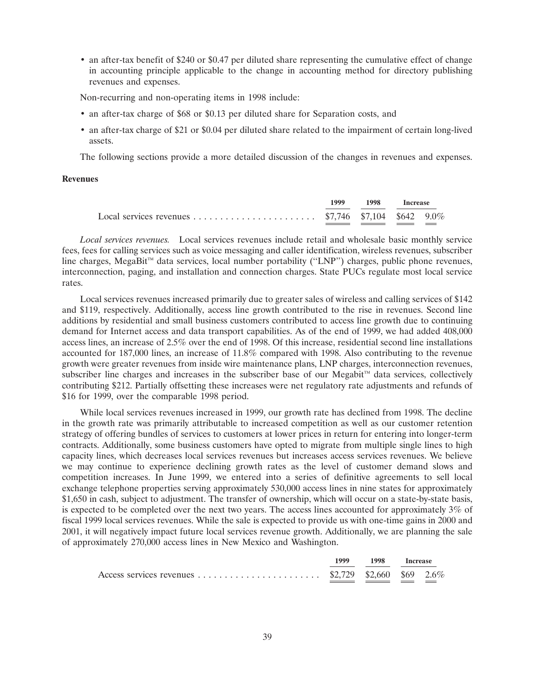• an after-tax benefit of \$240 or \$0.47 per diluted share representing the cumulative effect of change in accounting principle applicable to the change in accounting method for directory publishing revenues and expenses.

Non-recurring and non-operating items in 1998 include:

- an after-tax charge of \$68 or \$0.13 per diluted share for Separation costs, and
- an after-tax charge of \$21 or \$0.04 per diluted share related to the impairment of certain long-lived assets.

The following sections provide a more detailed discussion of the changes in revenues and expenses.

### **Revenues**

|  | 1999 1998 Increase |  |
|--|--------------------|--|
|  |                    |  |

*Local services revenues.* Local services revenues include retail and wholesale basic monthly service fees, fees for calling services such as voice messaging and caller identification, wireless revenues, subscriber line charges, MegaBit<sup>™</sup> data services, local number portability ("LNP") charges, public phone revenues, interconnection, paging, and installation and connection charges. State PUCs regulate most local service rates.

Local services revenues increased primarily due to greater sales of wireless and calling services of \$142 and \$119, respectively. Additionally, access line growth contributed to the rise in revenues. Second line additions by residential and small business customers contributed to access line growth due to continuing demand for Internet access and data transport capabilities. As of the end of 1999, we had added 408,000 access lines, an increase of 2.5% over the end of 1998. Of this increase, residential second line installations accounted for 187,000 lines, an increase of 11.8% compared with 1998. Also contributing to the revenue growth were greater revenues from inside wire maintenance plans, LNP charges, interconnection revenues, subscriber line charges and increases in the subscriber base of our Megabit<sup> $m$ </sup> data services, collectively contributing \$212. Partially offsetting these increases were net regulatory rate adjustments and refunds of \$16 for 1999, over the comparable 1998 period.

While local services revenues increased in 1999, our growth rate has declined from 1998. The decline in the growth rate was primarily attributable to increased competition as well as our customer retention strategy of offering bundles of services to customers at lower prices in return for entering into longer-term contracts. Additionally, some business customers have opted to migrate from multiple single lines to high capacity lines, which decreases local services revenues but increases access services revenues. We believe we may continue to experience declining growth rates as the level of customer demand slows and competition increases. In June 1999, we entered into a series of definitive agreements to sell local exchange telephone properties serving approximately 530,000 access lines in nine states for approximately \$1,650 in cash, subject to adjustment. The transfer of ownership, which will occur on a state-by-state basis, is expected to be completed over the next two years. The access lines accounted for approximately 3% of fiscal 1999 local services revenues. While the sale is expected to provide us with one-time gains in 2000 and 2001, it will negatively impact future local services revenue growth. Additionally, we are planning the sale of approximately 270,000 access lines in New Mexico and Washington.

|  | 1999 1998 Increase |  |
|--|--------------------|--|
|  |                    |  |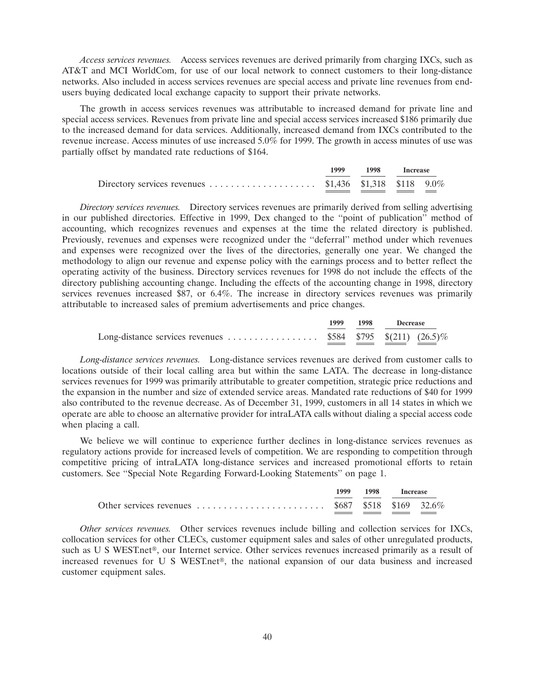*Access services revenues.* Access services revenues are derived primarily from charging IXCs, such as AT&T and MCI WorldCom, for use of our local network to connect customers to their long-distance networks. Also included in access services revenues are special access and private line revenues from endusers buying dedicated local exchange capacity to support their private networks.

The growth in access services revenues was attributable to increased demand for private line and special access services. Revenues from private line and special access services increased \$186 primarily due to the increased demand for data services. Additionally, increased demand from IXCs contributed to the revenue increase. Access minutes of use increased 5.0% for 1999. The growth in access minutes of use was partially offset by mandated rate reductions of \$164.

|  | 1999 1998 Increase |  |
|--|--------------------|--|
|  |                    |  |

*Directory services revenues.* Directory services revenues are primarily derived from selling advertising in our published directories. Effective in 1999, Dex changed to the ''point of publication'' method of accounting, which recognizes revenues and expenses at the time the related directory is published. Previously, revenues and expenses were recognized under the ''deferral'' method under which revenues and expenses were recognized over the lives of the directories, generally one year. We changed the methodology to align our revenue and expense policy with the earnings process and to better reflect the operating activity of the business. Directory services revenues for 1998 do not include the effects of the directory publishing accounting change. Including the effects of the accounting change in 1998, directory services revenues increased \$87, or 6.4%. The increase in directory services revenues was primarily attributable to increased sales of premium advertisements and price changes.

|  | 1999 1998<br><b>Decrease</b> |  |  |
|--|------------------------------|--|--|
|  |                              |  |  |

*Long-distance services revenues.* Long-distance services revenues are derived from customer calls to locations outside of their local calling area but within the same LATA. The decrease in long-distance services revenues for 1999 was primarily attributable to greater competition, strategic price reductions and the expansion in the number and size of extended service areas. Mandated rate reductions of \$40 for 1999 also contributed to the revenue decrease. As of December 31, 1999, customers in all 14 states in which we operate are able to choose an alternative provider for intraLATA calls without dialing a special access code when placing a call.

We believe we will continue to experience further declines in long-distance services revenues as regulatory actions provide for increased levels of competition. We are responding to competition through competitive pricing of intraLATA long-distance services and increased promotional efforts to retain customers. See ''Special Note Regarding Forward-Looking Statements'' on page 1.

| 1999 | 1998 Increase |  |  |
|------|---------------|--|--|
|      |               |  |  |

*Other services revenues.* Other services revenues include billing and collection services for IXCs, collocation services for other CLECs, customer equipment sales and sales of other unregulated products, such as U S WEST.net<sup>®</sup>, our Internet service. Other services revenues increased primarily as a result of increased revenues for U S WEST.net<sup>®</sup>, the national expansion of our data business and increased customer equipment sales.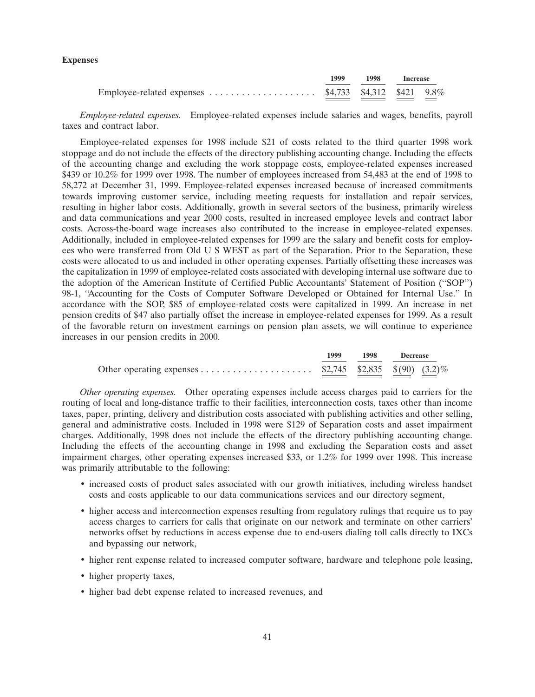### **Expenses**

|  | 1999 1998 Increase |  |
|--|--------------------|--|
|  |                    |  |

*Employee-related expenses.* Employee-related expenses include salaries and wages, benefits, payroll taxes and contract labor.

Employee-related expenses for 1998 include \$21 of costs related to the third quarter 1998 work stoppage and do not include the effects of the directory publishing accounting change. Including the effects of the accounting change and excluding the work stoppage costs, employee-related expenses increased \$439 or 10.2% for 1999 over 1998. The number of employees increased from 54,483 at the end of 1998 to 58,272 at December 31, 1999. Employee-related expenses increased because of increased commitments towards improving customer service, including meeting requests for installation and repair services, resulting in higher labor costs. Additionally, growth in several sectors of the business, primarily wireless and data communications and year 2000 costs, resulted in increased employee levels and contract labor costs. Across-the-board wage increases also contributed to the increase in employee-related expenses. Additionally, included in employee-related expenses for 1999 are the salary and benefit costs for employees who were transferred from Old U S WEST as part of the Separation. Prior to the Separation, these costs were allocated to us and included in other operating expenses. Partially offsetting these increases was the capitalization in 1999 of employee-related costs associated with developing internal use software due to the adoption of the American Institute of Certified Public Accountants' Statement of Position (''SOP'') 98-1, "Accounting for the Costs of Computer Software Developed or Obtained for Internal Use." In accordance with the SOP, \$85 of employee-related costs were capitalized in 1999. An increase in net pension credits of \$47 also partially offset the increase in employee-related expenses for 1999. As a result of the favorable return on investment earnings on pension plan assets, we will continue to experience increases in our pension credits in 2000.

|  | 1999 1998 Decrease |  |
|--|--------------------|--|
|  |                    |  |

*Other operating expenses.* Other operating expenses include access charges paid to carriers for the routing of local and long-distance traffic to their facilities, interconnection costs, taxes other than income taxes, paper, printing, delivery and distribution costs associated with publishing activities and other selling, general and administrative costs. Included in 1998 were \$129 of Separation costs and asset impairment charges. Additionally, 1998 does not include the effects of the directory publishing accounting change. Including the effects of the accounting change in 1998 and excluding the Separation costs and asset impairment charges, other operating expenses increased \$33, or 1.2% for 1999 over 1998. This increase was primarily attributable to the following:

- increased costs of product sales associated with our growth initiatives, including wireless handset costs and costs applicable to our data communications services and our directory segment,
- higher access and interconnection expenses resulting from regulatory rulings that require us to pay access charges to carriers for calls that originate on our network and terminate on other carriers' networks offset by reductions in access expense due to end-users dialing toll calls directly to IXCs and bypassing our network,
- higher rent expense related to increased computer software, hardware and telephone pole leasing,
- higher property taxes,
- higher bad debt expense related to increased revenues, and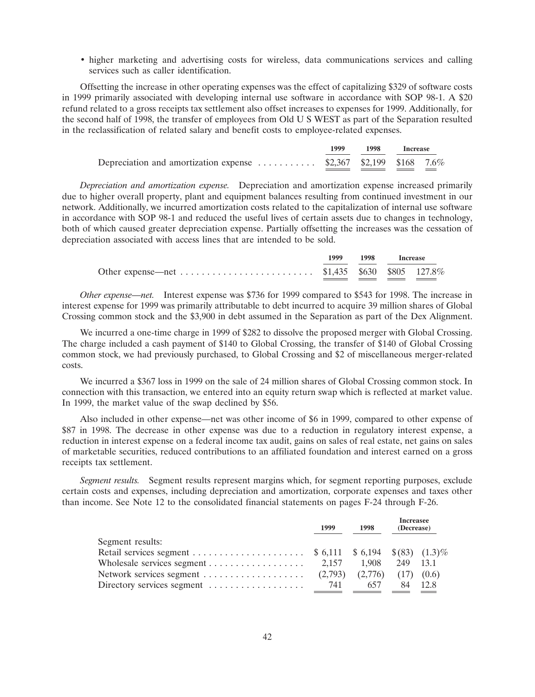• higher marketing and advertising costs for wireless, data communications services and calling services such as caller identification.

Offsetting the increase in other operating expenses was the effect of capitalizing \$329 of software costs in 1999 primarily associated with developing internal use software in accordance with SOP 98-1. A \$20 refund related to a gross receipts tax settlement also offset increases to expenses for 1999. Additionally, for the second half of 1998, the transfer of employees from Old U S WEST as part of the Separation resulted in the reclassification of related salary and benefit costs to employee-related expenses.

|                                                                   | 1999 1998 Increase |  |
|-------------------------------------------------------------------|--------------------|--|
| Depreciation and amortization expense  \$2,367 \$2,199 \$168 7.6% |                    |  |

*Depreciation and amortization expense.* Depreciation and amortization expense increased primarily due to higher overall property, plant and equipment balances resulting from continued investment in our network. Additionally, we incurred amortization costs related to the capitalization of internal use software in accordance with SOP 98-1 and reduced the useful lives of certain assets due to changes in technology, both of which caused greater depreciation expense. Partially offsetting the increases was the cessation of depreciation associated with access lines that are intended to be sold.

|  | 1999 1998 Increase |  |
|--|--------------------|--|
|  |                    |  |

*Other expense—net.* Interest expense was \$736 for 1999 compared to \$543 for 1998. The increase in interest expense for 1999 was primarily attributable to debt incurred to acquire 39 million shares of Global Crossing common stock and the \$3,900 in debt assumed in the Separation as part of the Dex Alignment.

We incurred a one-time charge in 1999 of \$282 to dissolve the proposed merger with Global Crossing. The charge included a cash payment of \$140 to Global Crossing, the transfer of \$140 of Global Crossing common stock, we had previously purchased, to Global Crossing and \$2 of miscellaneous merger-related costs.

We incurred a \$367 loss in 1999 on the sale of 24 million shares of Global Crossing common stock. In connection with this transaction, we entered into an equity return swap which is reflected at market value. In 1999, the market value of the swap declined by \$56.

Also included in other expense—net was other income of \$6 in 1999, compared to other expense of \$87 in 1998. The decrease in other expense was due to a reduction in regulatory interest expense, a reduction in interest expense on a federal income tax audit, gains on sales of real estate, net gains on sales of marketable securities, reduced contributions to an affiliated foundation and interest earned on a gross receipts tax settlement.

*Segment results.* Segment results represent margins which, for segment reporting purposes, exclude certain costs and expenses, including depreciation and amortization, corporate expenses and taxes other than income. See Note 12 to the consolidated financial statements on pages F-24 through F-26.

|                                                             | 1999  | 1998 | <b>Increasee</b><br>(Decrease) |  |
|-------------------------------------------------------------|-------|------|--------------------------------|--|
| Segment results:                                            |       |      |                                |  |
|                                                             |       |      |                                |  |
|                                                             |       |      |                                |  |
|                                                             |       |      |                                |  |
| Directory services segment $\dots\dots\dots\dots\dots\dots$ | - 741 | 657  | 84 12.8                        |  |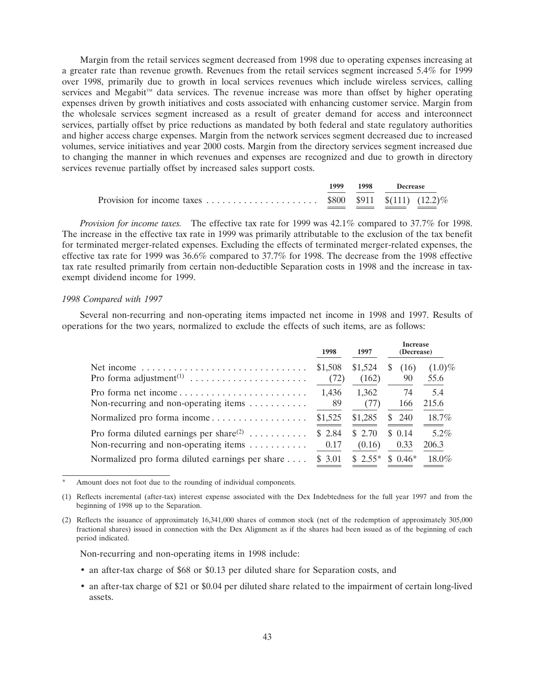Margin from the retail services segment decreased from 1998 due to operating expenses increasing at a greater rate than revenue growth. Revenues from the retail services segment increased 5.4% for 1999 over 1998, primarily due to growth in local services revenues which include wireless services, calling services and Megabit<sup> $M$ </sup> data services. The revenue increase was more than offset by higher operating expenses driven by growth initiatives and costs associated with enhancing customer service. Margin from the wholesale services segment increased as a result of greater demand for access and interconnect services, partially offset by price reductions as mandated by both federal and state regulatory authorities and higher access charge expenses. Margin from the network services segment decreased due to increased volumes, service initiatives and year 2000 costs. Margin from the directory services segment increased due to changing the manner in which revenues and expenses are recognized and due to growth in directory services revenue partially offset by increased sales support costs.

| 1999. | 1998 | <b>Decrease</b> |  |
|-------|------|-----------------|--|
|       |      |                 |  |

*Provision for income taxes.* The effective tax rate for 1999 was 42.1% compared to 37.7% for 1998. The increase in the effective tax rate in 1999 was primarily attributable to the exclusion of the tax benefit for terminated merger-related expenses. Excluding the effects of terminated merger-related expenses, the effective tax rate for 1999 was 36.6% compared to 37.7% for 1998. The decrease from the 1998 effective tax rate resulted primarily from certain non-deductible Separation costs in 1998 and the increase in taxexempt dividend income for 1999.

#### *1998 Compared with 1997*

Several non-recurring and non-operating items impacted net income in 1998 and 1997. Results of operations for the two years, normalized to exclude the effects of such items, are as follows:

|                                                                                                                  | 1998            | 1997             | <b>Increase</b><br>(Decrease) |                   |
|------------------------------------------------------------------------------------------------------------------|-----------------|------------------|-------------------------------|-------------------|
| Net income $\ldots \ldots \ldots \ldots \ldots \ldots \ldots \ldots \ldots$                                      | \$1,508<br>(72) | \$1,524<br>(162) | S.<br>(16)<br>90              | $(1.0)\%$<br>55.6 |
| Non-recurring and non-operating items $\dots \dots \dots$                                                        | 1.436<br>- 89   | 1,362<br>(77)    | -74<br>166                    | 5.4<br>215.6      |
| Normalized pro forma income                                                                                      | \$1,525         | \$1,285          | \$ 240                        | 18.7%             |
| Pro forma diluted earnings per share <sup>(2)</sup><br>Non-recurring and non-operating items $\dots \dots \dots$ | \$2.84<br>0.17  | \$2.70<br>(0.16) | \$0.14<br>0.33                | $5.2\%$<br>206.3  |
| Normalized pro forma diluted earnings per share                                                                  | \$ 3.01         | $$2.55*$         | $$0.46*$                      | $18.0\%$          |

Amount does not foot due to the rounding of individual components.

(1) Reflects incremental (after-tax) interest expense associated with the Dex Indebtedness for the full year 1997 and from the beginning of 1998 up to the Separation.

(2) Reflects the issuance of approximately 16,341,000 shares of common stock (net of the redemption of approximately 305,000 fractional shares) issued in connection with the Dex Alignment as if the shares had been issued as of the beginning of each period indicated.

Non-recurring and non-operating items in 1998 include:

- an after-tax charge of \$68 or \$0.13 per diluted share for Separation costs, and
- an after-tax charge of \$21 or \$0.04 per diluted share related to the impairment of certain long-lived assets.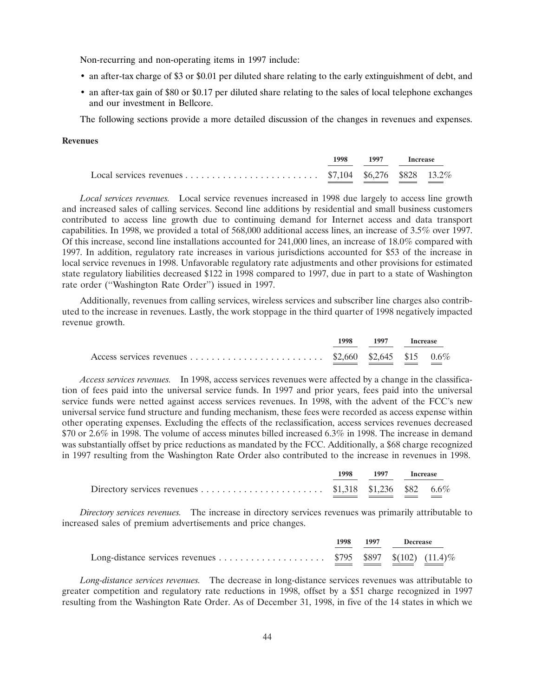Non-recurring and non-operating items in 1997 include:

- an after-tax charge of \$3 or \$0.01 per diluted share relating to the early extinguishment of debt, and
- an after-tax gain of \$80 or \$0.17 per diluted share relating to the sales of local telephone exchanges and our investment in Bellcore.

The following sections provide a more detailed discussion of the changes in revenues and expenses.

# **Revenues**

|  | 1998 1997 Increase |  |
|--|--------------------|--|
|  |                    |  |

*Local services revenues.* Local service revenues increased in 1998 due largely to access line growth and increased sales of calling services. Second line additions by residential and small business customers contributed to access line growth due to continuing demand for Internet access and data transport capabilities. In 1998, we provided a total of 568,000 additional access lines, an increase of 3.5% over 1997. Of this increase, second line installations accounted for 241,000 lines, an increase of 18.0% compared with 1997. In addition, regulatory rate increases in various jurisdictions accounted for \$53 of the increase in local service revenues in 1998. Unfavorable regulatory rate adjustments and other provisions for estimated state regulatory liabilities decreased \$122 in 1998 compared to 1997, due in part to a state of Washington rate order (''Washington Rate Order'') issued in 1997.

Additionally, revenues from calling services, wireless services and subscriber line charges also contributed to the increase in revenues. Lastly, the work stoppage in the third quarter of 1998 negatively impacted revenue growth.

| 1998 | 1997 Increase |  |
|------|---------------|--|
|      |               |  |

*Access services revenues.* In 1998, access services revenues were affected by a change in the classification of fees paid into the universal service funds. In 1997 and prior years, fees paid into the universal service funds were netted against access services revenues. In 1998, with the advent of the FCC's new universal service fund structure and funding mechanism, these fees were recorded as access expense within other operating expenses. Excluding the effects of the reclassification, access services revenues decreased \$70 or 2.6% in 1998. The volume of access minutes billed increased 6.3% in 1998. The increase in demand was substantially offset by price reductions as mandated by the FCC. Additionally, a \$68 charge recognized in 1997 resulting from the Washington Rate Order also contributed to the increase in revenues in 1998.

|  | 1998 1997 Increase |  |
|--|--------------------|--|
|  |                    |  |

*Directory services revenues.* The increase in directory services revenues was primarily attributable to increased sales of premium advertisements and price changes.

|  | 1998 1997 Decrease |  |  |
|--|--------------------|--|--|
|  |                    |  |  |

*Long-distance services revenues.* The decrease in long-distance services revenues was attributable to greater competition and regulatory rate reductions in 1998, offset by a \$51 charge recognized in 1997 resulting from the Washington Rate Order. As of December 31, 1998, in five of the 14 states in which we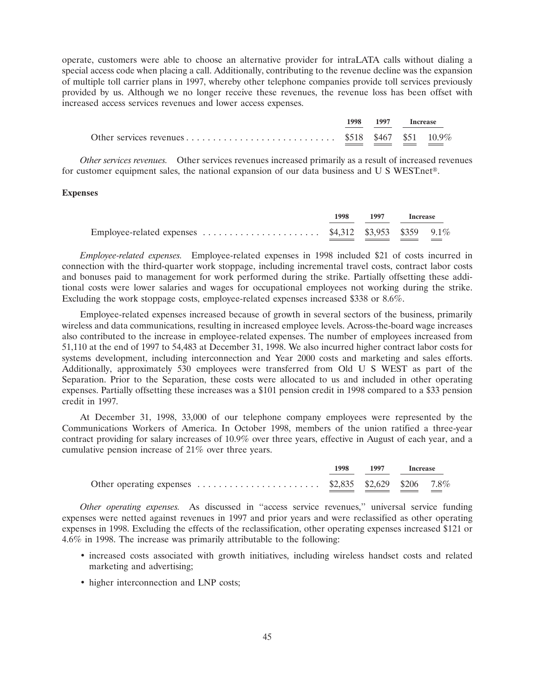operate, customers were able to choose an alternative provider for intraLATA calls without dialing a special access code when placing a call. Additionally, contributing to the revenue decline was the expansion of multiple toll carrier plans in 1997, whereby other telephone companies provide toll services previously provided by us. Although we no longer receive these revenues, the revenue loss has been offset with increased access services revenues and lower access expenses.

|  | 1998 1997 Increase |  |
|--|--------------------|--|
|  |                    |  |

*Other services revenues.* Other services revenues increased primarily as a result of increased revenues for customer equipment sales, the national expansion of our data business and U S WEST.net<sup>®</sup>.

### **Expenses**

|                                                                                               | 1998 1997 Increase |  |
|-----------------------------------------------------------------------------------------------|--------------------|--|
| Employee-related expenses $\dots \dots \dots \dots \dots \dots$ \$4,312 \$3,953 \$359 $9.1\%$ |                    |  |

*Employee-related expenses.* Employee-related expenses in 1998 included \$21 of costs incurred in connection with the third-quarter work stoppage, including incremental travel costs, contract labor costs and bonuses paid to management for work performed during the strike. Partially offsetting these additional costs were lower salaries and wages for occupational employees not working during the strike. Excluding the work stoppage costs, employee-related expenses increased \$338 or 8.6%.

Employee-related expenses increased because of growth in several sectors of the business, primarily wireless and data communications, resulting in increased employee levels. Across-the-board wage increases also contributed to the increase in employee-related expenses. The number of employees increased from 51,110 at the end of 1997 to 54,483 at December 31, 1998. We also incurred higher contract labor costs for systems development, including interconnection and Year 2000 costs and marketing and sales efforts. Additionally, approximately 530 employees were transferred from Old U S WEST as part of the Separation. Prior to the Separation, these costs were allocated to us and included in other operating expenses. Partially offsetting these increases was a \$101 pension credit in 1998 compared to a \$33 pension credit in 1997.

At December 31, 1998, 33,000 of our telephone company employees were represented by the Communications Workers of America. In October 1998, members of the union ratified a three-year contract providing for salary increases of 10.9% over three years, effective in August of each year, and a cumulative pension increase of 21% over three years.

|                                                                                                 | 1998 1997 Increase |  |
|-------------------------------------------------------------------------------------------------|--------------------|--|
| Other operating expenses $\dots \dots \dots \dots \dots \dots \dots$ \$2,835 \$2,629 \$206 7.8% |                    |  |

*Other operating expenses.* As discussed in ''access service revenues,'' universal service funding expenses were netted against revenues in 1997 and prior years and were reclassified as other operating expenses in 1998. Excluding the effects of the reclassification, other operating expenses increased \$121 or 4.6% in 1998. The increase was primarily attributable to the following:

- increased costs associated with growth initiatives, including wireless handset costs and related marketing and advertising;
- higher interconnection and LNP costs;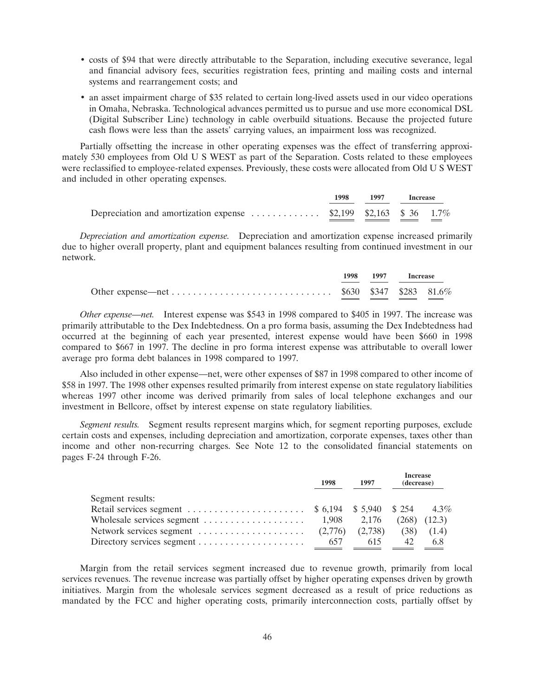- costs of \$94 that were directly attributable to the Separation, including executive severance, legal and financial advisory fees, securities registration fees, printing and mailing costs and internal systems and rearrangement costs; and
- an asset impairment charge of \$35 related to certain long-lived assets used in our video operations in Omaha, Nebraska. Technological advances permitted us to pursue and use more economical DSL (Digital Subscriber Line) technology in cable overbuild situations. Because the projected future cash flows were less than the assets' carrying values, an impairment loss was recognized.

Partially offsetting the increase in other operating expenses was the effect of transferring approximately 530 employees from Old U S WEST as part of the Separation. Costs related to these employees were reclassified to employee-related expenses. Previously, these costs were allocated from Old U S WEST and included in other operating expenses.

|                                                                   | 1998 1997 Increase |  |  |
|-------------------------------------------------------------------|--------------------|--|--|
| Depreciation and amortization expense  \$2,199 \$2,163 \$ 36 1.7% |                    |  |  |

*Depreciation and amortization expense.* Depreciation and amortization expense increased primarily due to higher overall property, plant and equipment balances resulting from continued investment in our network.

|  | 1998 1997 Increase |  |
|--|--------------------|--|
|  |                    |  |

*Other expense—net.* Interest expense was \$543 in 1998 compared to \$405 in 1997. The increase was primarily attributable to the Dex Indebtedness. On a pro forma basis, assuming the Dex Indebtedness had occurred at the beginning of each year presented, interest expense would have been \$660 in 1998 compared to \$667 in 1997. The decline in pro forma interest expense was attributable to overall lower average pro forma debt balances in 1998 compared to 1997.

Also included in other expense—net, were other expenses of \$87 in 1998 compared to other income of \$58 in 1997. The 1998 other expenses resulted primarily from interest expense on state regulatory liabilities whereas 1997 other income was derived primarily from sales of local telephone exchanges and our investment in Bellcore, offset by interest expense on state regulatory liabilities.

*Segment results.* Segment results represent margins which, for segment reporting purposes, exclude certain costs and expenses, including depreciation and amortization, corporate expenses, taxes other than income and other non-recurring charges. See Note 12 to the consolidated financial statements on pages F-24 through F-26.

|                                                                                           |     | 1997 | <b>Increase</b><br>(decrease) |                  |
|-------------------------------------------------------------------------------------------|-----|------|-------------------------------|------------------|
| Segment results:                                                                          |     |      |                               |                  |
|                                                                                           |     |      |                               |                  |
| Wholesale services segment $\dots \dots \dots \dots \dots \dots \dots$ 1,908 2,176        |     |      |                               | $(268)$ $(12.3)$ |
| Network services segment $\dots \dots \dots \dots \dots \dots$ (2,776) (2,738) (38) (1.4) |     |      |                               |                  |
| Directory services segment $\dots \dots \dots \dots \dots \dots$                          | 657 | 615  | 42                            | 6.8              |

Margin from the retail services segment increased due to revenue growth, primarily from local services revenues. The revenue increase was partially offset by higher operating expenses driven by growth initiatives. Margin from the wholesale services segment decreased as a result of price reductions as mandated by the FCC and higher operating costs, primarily interconnection costs, partially offset by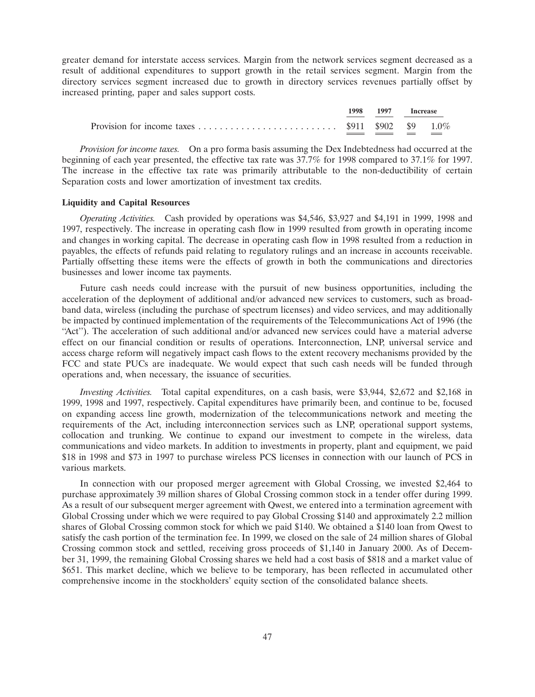greater demand for interstate access services. Margin from the network services segment decreased as a result of additional expenditures to support growth in the retail services segment. Margin from the directory services segment increased due to growth in directory services revenues partially offset by increased printing, paper and sales support costs.



*Provision for income taxes.* On a pro forma basis assuming the Dex Indebtedness had occurred at the beginning of each year presented, the effective tax rate was 37.7% for 1998 compared to 37.1% for 1997. The increase in the effective tax rate was primarily attributable to the non-deductibility of certain Separation costs and lower amortization of investment tax credits.

## **Liquidity and Capital Resources**

*Operating Activities.* Cash provided by operations was \$4,546, \$3,927 and \$4,191 in 1999, 1998 and 1997, respectively. The increase in operating cash flow in 1999 resulted from growth in operating income and changes in working capital. The decrease in operating cash flow in 1998 resulted from a reduction in payables, the effects of refunds paid relating to regulatory rulings and an increase in accounts receivable. Partially offsetting these items were the effects of growth in both the communications and directories businesses and lower income tax payments.

Future cash needs could increase with the pursuit of new business opportunities, including the acceleration of the deployment of additional and/or advanced new services to customers, such as broadband data, wireless (including the purchase of spectrum licenses) and video services, and may additionally be impacted by continued implementation of the requirements of the Telecommunications Act of 1996 (the "Act"). The acceleration of such additional and/or advanced new services could have a material adverse effect on our financial condition or results of operations. Interconnection, LNP, universal service and access charge reform will negatively impact cash flows to the extent recovery mechanisms provided by the FCC and state PUCs are inadequate. We would expect that such cash needs will be funded through operations and, when necessary, the issuance of securities.

*Investing Activities.* Total capital expenditures, on a cash basis, were \$3,944, \$2,672 and \$2,168 in 1999, 1998 and 1997, respectively. Capital expenditures have primarily been, and continue to be, focused on expanding access line growth, modernization of the telecommunications network and meeting the requirements of the Act, including interconnection services such as LNP, operational support systems, collocation and trunking. We continue to expand our investment to compete in the wireless, data communications and video markets. In addition to investments in property, plant and equipment, we paid \$18 in 1998 and \$73 in 1997 to purchase wireless PCS licenses in connection with our launch of PCS in various markets.

In connection with our proposed merger agreement with Global Crossing, we invested \$2,464 to purchase approximately 39 million shares of Global Crossing common stock in a tender offer during 1999. As a result of our subsequent merger agreement with Qwest, we entered into a termination agreement with Global Crossing under which we were required to pay Global Crossing \$140 and approximately 2.2 million shares of Global Crossing common stock for which we paid \$140. We obtained a \$140 loan from Qwest to satisfy the cash portion of the termination fee. In 1999, we closed on the sale of 24 million shares of Global Crossing common stock and settled, receiving gross proceeds of \$1,140 in January 2000. As of December 31, 1999, the remaining Global Crossing shares we held had a cost basis of \$818 and a market value of \$651. This market decline, which we believe to be temporary, has been reflected in accumulated other comprehensive income in the stockholders' equity section of the consolidated balance sheets.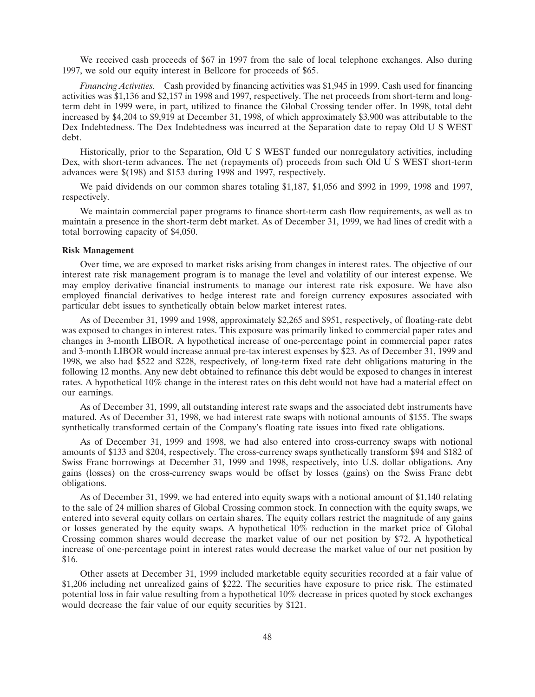We received cash proceeds of \$67 in 1997 from the sale of local telephone exchanges. Also during 1997, we sold our equity interest in Bellcore for proceeds of \$65.

*Financing Activities.* Cash provided by financing activities was \$1,945 in 1999. Cash used for financing activities was \$1,136 and \$2,157 in 1998 and 1997, respectively. The net proceeds from short-term and longterm debt in 1999 were, in part, utilized to finance the Global Crossing tender offer. In 1998, total debt increased by \$4,204 to \$9,919 at December 31, 1998, of which approximately \$3,900 was attributable to the Dex Indebtedness. The Dex Indebtedness was incurred at the Separation date to repay Old U S WEST debt.

Historically, prior to the Separation, Old U S WEST funded our nonregulatory activities, including Dex, with short-term advances. The net (repayments of) proceeds from such Old U S WEST short-term advances were \$(198) and \$153 during 1998 and 1997, respectively.

We paid dividends on our common shares totaling \$1,187, \$1,056 and \$992 in 1999, 1998 and 1997, respectively.

We maintain commercial paper programs to finance short-term cash flow requirements, as well as to maintain a presence in the short-term debt market. As of December 31, 1999, we had lines of credit with a total borrowing capacity of \$4,050.

#### **Risk Management**

Over time, we are exposed to market risks arising from changes in interest rates. The objective of our interest rate risk management program is to manage the level and volatility of our interest expense. We may employ derivative financial instruments to manage our interest rate risk exposure. We have also employed financial derivatives to hedge interest rate and foreign currency exposures associated with particular debt issues to synthetically obtain below market interest rates.

As of December 31, 1999 and 1998, approximately \$2,265 and \$951, respectively, of floating-rate debt was exposed to changes in interest rates. This exposure was primarily linked to commercial paper rates and changes in 3-month LIBOR. A hypothetical increase of one-percentage point in commercial paper rates and 3-month LIBOR would increase annual pre-tax interest expenses by \$23. As of December 31, 1999 and 1998, we also had \$522 and \$228, respectively, of long-term fixed rate debt obligations maturing in the following 12 months. Any new debt obtained to refinance this debt would be exposed to changes in interest rates. A hypothetical 10% change in the interest rates on this debt would not have had a material effect on our earnings.

As of December 31, 1999, all outstanding interest rate swaps and the associated debt instruments have matured. As of December 31, 1998, we had interest rate swaps with notional amounts of \$155. The swaps synthetically transformed certain of the Company's floating rate issues into fixed rate obligations.

As of December 31, 1999 and 1998, we had also entered into cross-currency swaps with notional amounts of \$133 and \$204, respectively. The cross-currency swaps synthetically transform \$94 and \$182 of Swiss Franc borrowings at December 31, 1999 and 1998, respectively, into U.S. dollar obligations. Any gains (losses) on the cross-currency swaps would be offset by losses (gains) on the Swiss Franc debt obligations.

As of December 31, 1999, we had entered into equity swaps with a notional amount of \$1,140 relating to the sale of 24 million shares of Global Crossing common stock. In connection with the equity swaps, we entered into several equity collars on certain shares. The equity collars restrict the magnitude of any gains or losses generated by the equity swaps. A hypothetical 10% reduction in the market price of Global Crossing common shares would decrease the market value of our net position by \$72. A hypothetical increase of one-percentage point in interest rates would decrease the market value of our net position by \$16.

Other assets at December 31, 1999 included marketable equity securities recorded at a fair value of \$1,206 including net unrealized gains of \$222. The securities have exposure to price risk. The estimated potential loss in fair value resulting from a hypothetical 10% decrease in prices quoted by stock exchanges would decrease the fair value of our equity securities by \$121.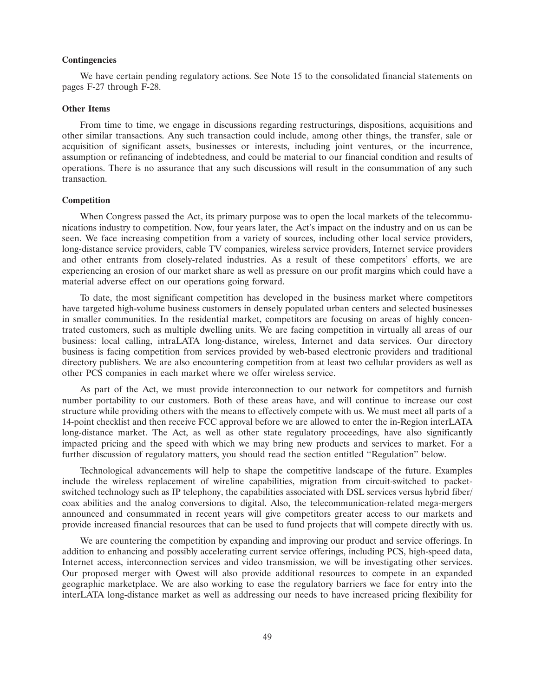#### **Contingencies**

We have certain pending regulatory actions. See Note 1 5 to the consolidated financial statements on pages F-27 through F-28.

### **Other Items**

From time to time, we engage in discussions regarding restructurings, dispositions, acquisitions and other similar transactions. Any such transaction could include, among other things, the transfer, sale or acquisition of significant assets, businesses or interests, including joint ventures, or the incurrence, assumption or refinancing of indebtedness, and could be material to our financial condition and results of operations. There is no assurance that any such discussions will result in the consummation of any such transaction.

### **Competition**

When Congress passed the Act, its primary purpose was to open the local markets of the telecommunications industry to competition. Now, four years later, the Act's impact on the industry and on us can be seen. We face increasing competition from a variety of sources, including other local service providers, long-distance service providers, cable TV companies, wireless service providers, Internet service providers and other entrants from closely-related industries. As a result of these competitors' efforts, we are experiencing an erosion of our market share as well as pressure on our profit margins which could have a material adverse effect on our operations going forward.

To date, the most significant competition has developed in the business market where competitors have targeted high-volume business customers in densely populated urban centers and selected businesses in smaller communities. In the residential market, competitors are focusing on areas of highly concentrated customers, such as multiple dwelling units. We are facing competition in virtually all areas of our business: local calling, intraLATA long-distance, wireless, Internet and data services. Our directory business is facing competition from services provided by web-based electronic providers and traditional directory publishers. We are also encountering competition from at least two cellular providers as well as other PCS companies in each market where we offer wireless service.

As part of the Act, we must provide interconnection to our network for competitors and furnish number portability to our customers. Both of these areas have, and will continue to increase our cost structure while providing others with the means to effectively compete with us. We must meet all parts of a 14-point checklist and then receive FCC approval before we are allowed to enter the in-Region interLATA long-distance market. The Act, as well as other state regulatory proceedings, have also significantly impacted pricing and the speed with which we may bring new products and services to market. For a further discussion of regulatory matters, you should read the section entitled ''Regulation'' below.

Technological advancements will help to shape the competitive landscape of the future. Examples include the wireless replacement of wireline capabilities, migration from circuit-switched to packetswitched technology such as IP telephony, the capabilities associated with DSL services versus hybrid fiber/ coax abilities and the analog conversions to digital. Also, the telecommunication-related mega-mergers announced and consummated in recent years will give competitors greater access to our markets and provide increased financial resources that can be used to fund projects that will compete directly with us.

We are countering the competition by expanding and improving our product and service offerings. In addition to enhancing and possibly accelerating current service offerings, including PCS, high-speed data, Internet access, interconnection services and video transmission, we will be investigating other services. Our proposed merger with Qwest will also provide additional resources to compete in an expanded geographic marketplace. We are also working to ease the regulatory barriers we face for entry into the interLATA long-distance market as well as addressing our needs to have increased pricing flexibility for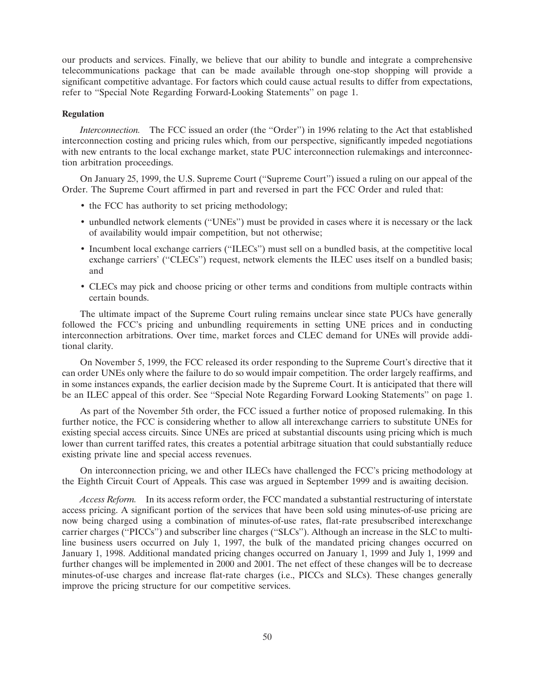our products and services. Finally, we believe that our ability to bundle and integrate a comprehensive telecommunications package that can be made available through one-stop shopping will provide a significant competitive advantage. For factors which could cause actual results to differ from expectations, refer to ''Special Note Regarding Forward-Looking Statements'' on page 1.

### **Regulation**

*Interconnection.* The FCC issued an order (the ''Order'') in 1996 relating to the Act that established interconnection costing and pricing rules which, from our perspective, significantly impeded negotiations with new entrants to the local exchange market, state PUC interconnection rulemakings and interconnection arbitration proceedings.

On January 25, 1999, the U.S. Supreme Court (''Supreme Court'') issued a ruling on our appeal of the Order. The Supreme Court affirmed in part and reversed in part the FCC Order and ruled that:

- the FCC has authority to set pricing methodology;
- unbundled network elements (''UNEs'') must be provided in cases where it is necessary or the lack of availability would impair competition, but not otherwise;
- Incumbent local exchange carriers (''ILECs'') must sell on a bundled basis, at the competitive local exchange carriers' ("CLECs") request, network elements the ILEC uses itself on a bundled basis; and
- CLECs may pick and choose pricing or other terms and conditions from multiple contracts within certain bounds.

The ultimate impact of the Supreme Court ruling remains unclear since state PUCs have generally followed the FCC's pricing and unbundling requirements in setting UNE prices and in conducting interconnection arbitrations. Over time, market forces and CLEC demand for UNEs will provide additional clarity.

On November 5, 1999, the FCC released its order responding to the Supreme Court's directive that it can order UNEs only where the failure to do so would impair competition. The order largely reaffirms, and in some instances expands, the earlier decision made by the Supreme Court. It is anticipated that there will be an ILEC appeal of this order. See ''Special Note Regarding Forward Looking Statements'' on page 1.

As part of the November 5th order, the FCC issued a further notice of proposed rulemaking. In this further notice, the FCC is considering whether to allow all interexchange carriers to substitute UNEs for existing special access circuits. Since UNEs are priced at substantial discounts using pricing which is much lower than current tariffed rates, this creates a potential arbitrage situation that could substantially reduce existing private line and special access revenues.

On interconnection pricing, we and other ILECs have challenged the FCC's pricing methodology at the Eighth Circuit Court of Appeals. This case was argued in September 1999 and is awaiting decision.

*Access Reform.* In its access reform order, the FCC mandated a substantial restructuring of interstate access pricing. A significant portion of the services that have been sold using minutes-of-use pricing are now being charged using a combination of minutes-of-use rates, flat-rate presubscribed interexchange carrier charges (''PICCs'') and subscriber line charges (''SLCs''). Although an increase in the SLC to multiline business users occurred on July 1, 1997, the bulk of the mandated pricing changes occurred on January 1, 1998. Additional mandated pricing changes occurred on January 1, 1999 and July 1, 1999 and further changes will be implemented in 2000 and 2001. The net effect of these changes will be to decrease minutes-of-use charges and increase flat-rate charges (i.e., PICCs and SLCs). These changes generally improve the pricing structure for our competitive services.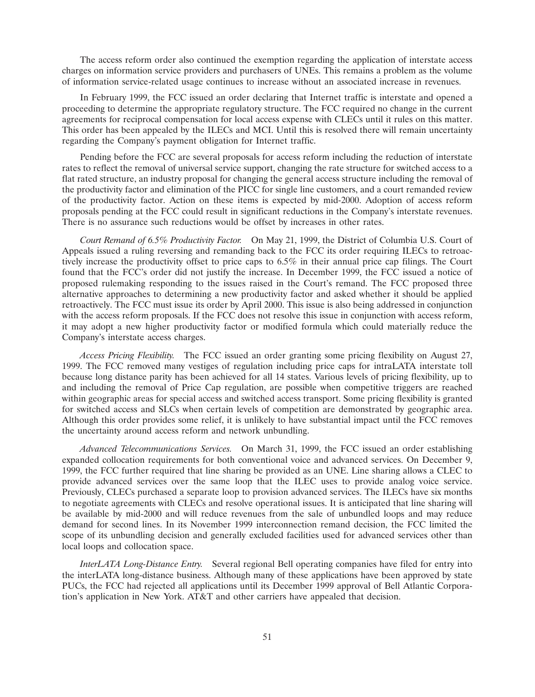The access reform order also continued the exemption regarding the application of interstate access charges on information service providers and purchasers of UNEs. This remains a problem as the volume of information service-related usage continues to increase without an associated increase in revenues.

In February 1999, the FCC issued an order declaring that Internet traffic is interstate and opened a proceeding to determine the appropriate regulatory structure. The FCC required no change in the current agreements for reciprocal compensation for local access expense with CLECs until it rules on this matter. This order has been appealed by the ILECs and MCI. Until this is resolved there will remain uncertainty regarding the Company's payment obligation for Internet traffic.

Pending before the FCC are several proposals for access reform including the reduction of interstate rates to reflect the removal of universal service support, changing the rate structure for switched access to a flat rated structure, an industry proposal for changing the general access structure including the removal of the productivity factor and elimination of the PICC for single line customers, and a court remanded review of the productivity factor. Action on these items is expected by mid-2000. Adoption of access reform proposals pending at the FCC could result in significant reductions in the Company's interstate revenues. There is no assurance such reductions would be offset by increases in other rates.

*Court Remand of 6.5% Productivity Factor.* On May 21, 1999, the District of Columbia U.S. Court of Appeals issued a ruling reversing and remanding back to the FCC its order requiring ILECs to retroactively increase the productivity offset to price caps to 6.5% in their annual price cap filings. The Court found that the FCC's order did not justify the increase. In December 1999, the FCC issued a notice of proposed rulemaking responding to the issues raised in the Court's remand. The FCC proposed three alternative approaches to determining a new productivity factor and asked whether it should be applied retroactively. The FCC must issue its order by April 2000. This issue is also being addressed in conjunction with the access reform proposals. If the FCC does not resolve this issue in conjunction with access reform, it may adopt a new higher productivity factor or modified formula which could materially reduce the Company's interstate access charges.

*Access Pricing Flexibility.* The FCC issued an order granting some pricing flexibility on August 27, 1999. The FCC removed many vestiges of regulation including price caps for intraLATA interstate toll because long distance parity has been achieved for all 14 states. Various levels of pricing flexibility, up to and including the removal of Price Cap regulation, are possible when competitive triggers are reached within geographic areas for special access and switched access transport. Some pricing flexibility is granted for switched access and SLCs when certain levels of competition are demonstrated by geographic area. Although this order provides some relief, it is unlikely to have substantial impact until the FCC removes the uncertainty around access reform and network unbundling.

*Advanced Telecommunications Services.* On March 31, 1999, the FCC issued an order establishing expanded collocation requirements for both conventional voice and advanced services. On December 9, 1999, the FCC further required that line sharing be provided as an UNE. Line sharing allows a CLEC to provide advanced services over the same loop that the ILEC uses to provide analog voice service. Previously, CLECs purchased a separate loop to provision advanced services. The ILECs have six months to negotiate agreements with CLECs and resolve operational issues. It is anticipated that line sharing will be available by mid-2000 and will reduce revenues from the sale of unbundled loops and may reduce demand for second lines. In its November 1999 interconnection remand decision, the FCC limited the scope of its unbundling decision and generally excluded facilities used for advanced services other than local loops and collocation space.

*InterLATA Long-Distance Entry.* Several regional Bell operating companies have filed for entry into the interLATA long-distance business. Although many of these applications have been approved by state PUCs, the FCC had rejected all applications until its December 1999 approval of Bell Atlantic Corporation's application in New York. AT&T and other carriers have appealed that decision.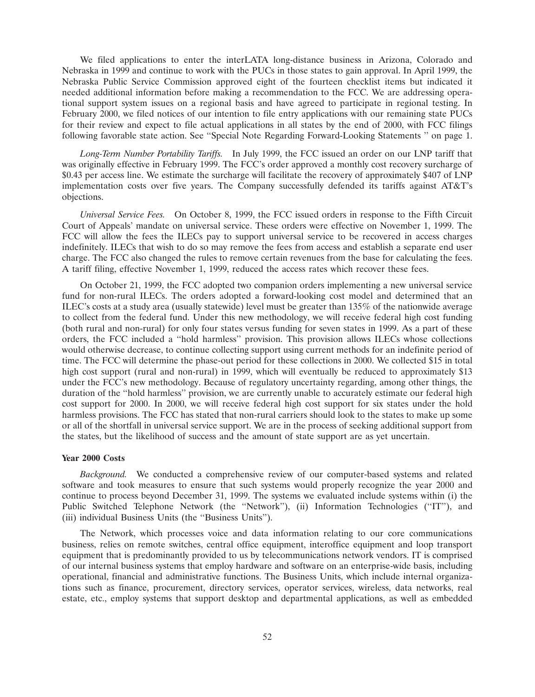We filed applications to enter the interLATA long-distance business in Arizona, Colorado and Nebraska in 1999 and continue to work with the PUCs in those states to gain approval. In April 1999, the Nebraska Public Service Commission approved eight of the fourteen checklist items but indicated it needed additional information before making a recommendation to the FCC. We are addressing operational support system issues on a regional basis and have agreed to participate in regional testing. In February 2000, we filed notices of our intention to file entry applications with our remaining state PUCs for their review and expect to file actual applications in all states by the end of 2000, with FCC filings following favorable state action. See ''Special Note Regarding Forward-Looking Statements '' on page 1.

*Long-Term Number Portability Tariffs.* In July 1999, the FCC issued an order on our LNP tariff that was originally effective in February 1999. The FCC's order approved a monthly cost recovery surcharge of \$0.43 per access line. We estimate the surcharge will facilitate the recovery of approximately \$407 of LNP implementation costs over five years. The Company successfully defended its tariffs against AT&T's objections.

*Universal Service Fees.* On October 8, 1999, the FCC issued orders in response to the Fifth Circuit Court of Appeals' mandate on universal service. These orders were effective on November 1, 1999. The FCC will allow the fees the ILECs pay to support universal service to be recovered in access charges indefinitely. ILECs that wish to do so may remove the fees from access and establish a separate end user charge. The FCC also changed the rules to remove certain revenues from the base for calculating the fees. A tariff filing, effective November 1, 1999, reduced the access rates which recover these fees.

On October 21, 1999, the FCC adopted two companion orders implementing a new universal service fund for non-rural ILECs. The orders adopted a forward-looking cost model and determined that an ILEC's costs at a study area (usually statewide) level must be greater than 135% of the nationwide average to collect from the federal fund. Under this new methodology, we will receive federal high cost funding (both rural and non-rural) for only four states versus funding for seven states in 1999. As a part of these orders, the FCC included a ''hold harmless'' provision. This provision allows ILECs whose collections would otherwise decrease, to continue collecting support using current methods for an indefinite period of time. The FCC will determine the phase-out period for these collections in 2000. We collected \$15 in total high cost support (rural and non-rural) in 1999, which will eventually be reduced to approximately \$13 under the FCC's new methodology. Because of regulatory uncertainty regarding, among other things, the duration of the ''hold harmless'' provision, we are currently unable to accurately estimate our federal high cost support for 2000. In 2000, we will receive federal high cost support for six states under the hold harmless provisions. The FCC has stated that non-rural carriers should look to the states to make up some or all of the shortfall in universal service support. We are in the process of seeking additional support from the states, but the likelihood of success and the amount of state support are as yet uncertain.

### **Year 2000 Costs**

*Background.* We conducted a comprehensive review of our computer-based systems and related software and took measures to ensure that such systems would properly recognize the year 2000 and continue to process beyond December 31, 1999. The systems we evaluated include systems within (i) the Public Switched Telephone Network (the ''Network''), (ii) Information Technologies (''IT''), and (iii) individual Business Units (the ''Business Units'').

The Network, which processes voice and data information relating to our core communications business, relies on remote switches, central office equipment, interoffice equipment and loop transport equipment that is predominantly provided to us by telecommunications network vendors. IT is comprised of our internal business systems that employ hardware and software on an enterprise-wide basis, including operational, financial and administrative functions. The Business Units, which include internal organizations such as finance, procurement, directory services, operator services, wireless, data networks, real estate, etc., employ systems that support desktop and departmental applications, as well as embedded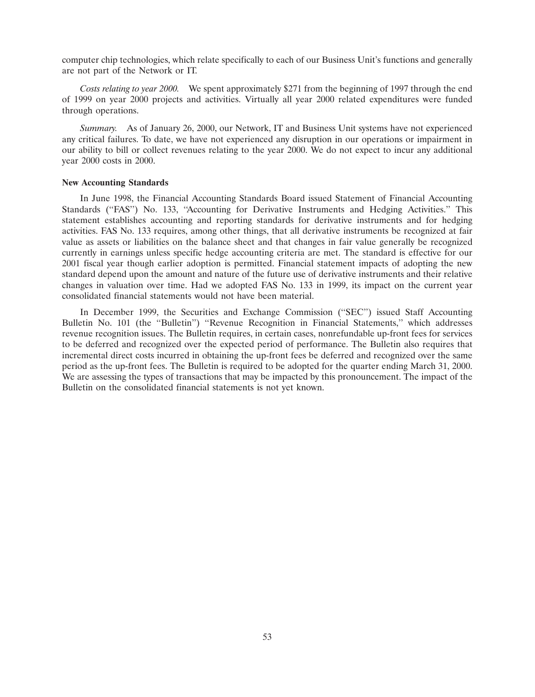computer chip technologies, which relate specifically to each of our Business Unit's functions and generally are not part of the Network or IT.

*Costs relating to year 2000.* We spent approximately \$271 from the beginning of 1997 through the end of 1999 on year 2000 projects and activities. Virtually all year 2000 related expenditures were funded through operations.

*Summary.* As of January 26, 2000, our Network, IT and Business Unit systems have not experienced any critical failures. To date, we have not experienced any disruption in our operations or impairment in our ability to bill or collect revenues relating to the year 2000. We do not expect to incur any additional year 2000 costs in 2000.

### **New Accounting Standards**

In June 1998, the Financial Accounting Standards Board issued Statement of Financial Accounting Standards ("FAS") No. 133, "Accounting for Derivative Instruments and Hedging Activities." This statement establishes accounting and reporting standards for derivative instruments and for hedging activities. FAS No. 133 requires, among other things, that all derivative instruments be recognized at fair value as assets or liabilities on the balance sheet and that changes in fair value generally be recognized currently in earnings unless specific hedge accounting criteria are met. The standard is effective for our 2001 fiscal year though earlier adoption is permitted. Financial statement impacts of adopting the new standard depend upon the amount and nature of the future use of derivative instruments and their relative changes in valuation over time. Had we adopted FAS No. 133 in 1999, its impact on the current year consolidated financial statements would not have been material.

In December 1999, the Securities and Exchange Commission (''SEC'') issued Staff Accounting Bulletin No. 101 (the ''Bulletin'') ''Revenue Recognition in Financial Statements,'' which addresses revenue recognition issues. The Bulletin requires, in certain cases, nonrefundable up-front fees for services to be deferred and recognized over the expected period of performance. The Bulletin also requires that incremental direct costs incurred in obtaining the up-front fees be deferred and recognized over the same period as the up-front fees. The Bulletin is required to be adopted for the quarter ending March 31, 2000. We are assessing the types of transactions that may be impacted by this pronouncement. The impact of the Bulletin on the consolidated financial statements is not yet known.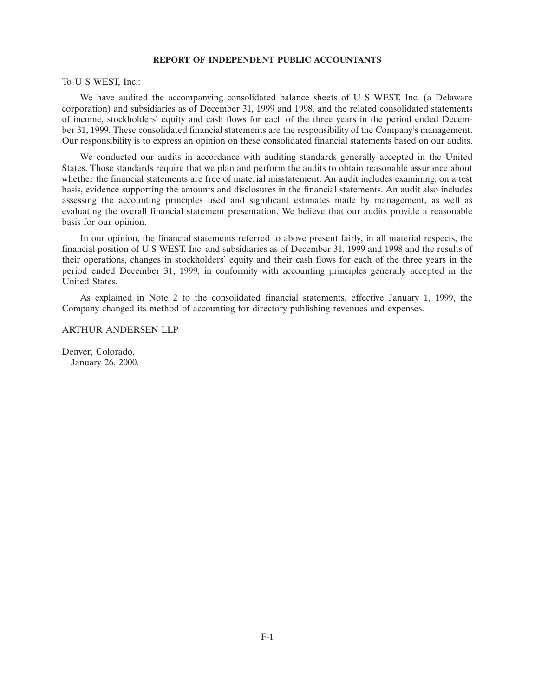### **REPORT OF INDEPENDENT PUBLIC ACCOUNTANTS**

To U S WEST, Inc.:

We have audited the accompanying consolidated balance sheets of U S WEST, Inc. (a Delaware corporation) and subsidiaries as of December 31, 1999 and 1998, and the related consolidated statements of income, stockholders' equity and cash flows for each of the three years in the period ended December 31, 1999. These consolidated financial statements are the responsibility of the Company's management. Our responsibility is to express an opinion on these consolidated financial statements based on our audits.

We conducted our audits in accordance with auditing standards generally accepted in the United States. Those standards require that we plan and perform the audits to obtain reasonable assurance about whether the financial statements are free of material misstatement. An audit includes examining, on a test basis, evidence supporting the amounts and disclosures in the financial statements. An audit also includes assessing the accounting principles used and significant estimates made by management, as well as evaluating the overall financial statement presentation. We believe that our audits provide a reasonable basis for our opinion.

In our opinion, the financial statements referred to above present fairly, in all material respects, the financial position of U S WEST, Inc. and subsidiaries as of December 31, 1999 and 1998 and the results of their operations, changes in stockholders' equity and their cash flows for each of the three years in the period ended December 31, 1999, in conformity with accounting principles generally accepted in the United States.

As explained in Note 2 to the consolidated financial statements, effective January 1, 1999, the Company changed its method of accounting for directory publishing revenues and expenses.

### ARTHUR ANDERSEN LLP

Denver, Colorado, January 26, 2000.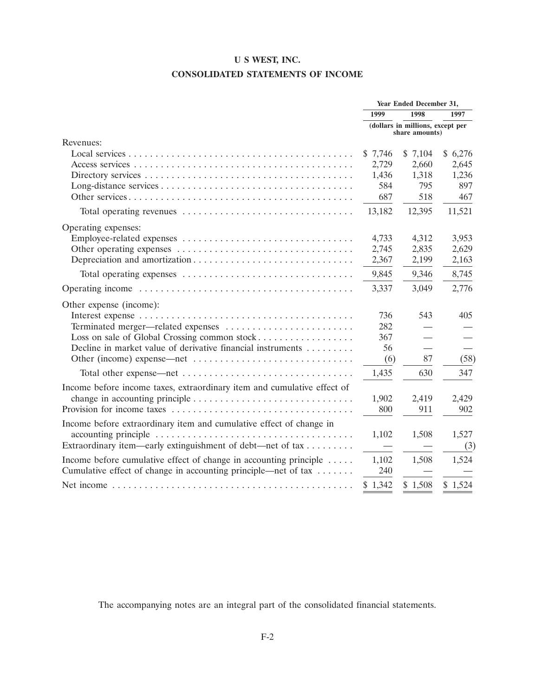# **U S WEST, INC. CONSOLIDATED STATEMENTS OF INCOME**

|                                                                                                 |                | Year Ended December 31,          |         |
|-------------------------------------------------------------------------------------------------|----------------|----------------------------------|---------|
|                                                                                                 | 1999           | 1998                             | 1997    |
|                                                                                                 | share amounts) | (dollars in millions, except per |         |
| Revenues:                                                                                       |                |                                  |         |
|                                                                                                 | \$7,746        | \$7,104                          | \$6,276 |
|                                                                                                 | 2,729          | 2,660                            | 2,645   |
|                                                                                                 | 1,436          | 1,318                            | 1,236   |
|                                                                                                 | 584            | 795                              | 897     |
|                                                                                                 | 687            | 518                              | 467     |
|                                                                                                 | 13,182         | 12,395                           | 11,521  |
| Operating expenses:                                                                             |                |                                  |         |
|                                                                                                 | 4,733          | 4,312                            | 3,953   |
|                                                                                                 | 2,745          | 2,835                            | 2,629   |
|                                                                                                 | 2,367          | 2,199                            | 2,163   |
|                                                                                                 | 9,845          | 9,346                            | 8,745   |
|                                                                                                 | 3,337          | 3,049                            | 2,776   |
| Other expense (income):                                                                         |                |                                  |         |
|                                                                                                 | 736            | 543                              | 405     |
| Terminated merger—related expenses                                                              | 282            |                                  |         |
| Loss on sale of Global Crossing common stock                                                    | 367            | $\overline{\phantom{0}}$         |         |
| Decline in market value of derivative financial instruments                                     | 56             | $\overline{\phantom{0}}$         |         |
|                                                                                                 | (6)            | 87                               | (58)    |
|                                                                                                 | 1,435          | 630                              | 347     |
| Income before income taxes, extraordinary item and cumulative effect of                         |                |                                  |         |
| change in accounting principle $\ldots \ldots \ldots \ldots \ldots \ldots \ldots \ldots \ldots$ | 1,902          | 2,419                            | 2,429   |
|                                                                                                 | 800            | 911                              | 902     |
| Income before extraordinary item and cumulative effect of change in                             |                |                                  |         |
|                                                                                                 | 1,102          | 1,508                            | 1,527   |
| Extraordinary item—early extinguishment of debt—net of tax                                      |                |                                  | (3)     |
| Income before cumulative effect of change in accounting principle $\dots$                       | 1,102          | 1,508                            | 1,524   |
| Cumulative effect of change in accounting principle—net of tax                                  | 240            |                                  |         |
|                                                                                                 | \$1,342        | \$1,508                          | \$1,524 |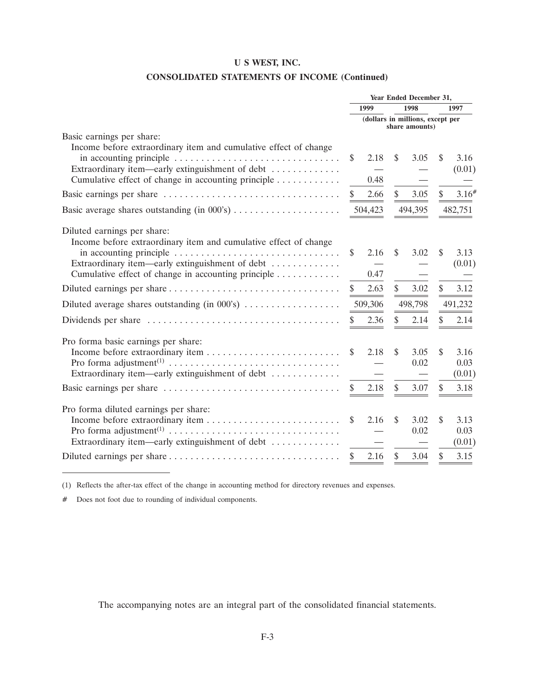# **CONSOLIDATED STATEMENTS OF INCOME (Continued)**

|                                                                                                                                                    | Year Ended December 31, |         |               |                |                                  |                |
|----------------------------------------------------------------------------------------------------------------------------------------------------|-------------------------|---------|---------------|----------------|----------------------------------|----------------|
|                                                                                                                                                    | 1999                    |         |               | 1998           |                                  | 1997           |
|                                                                                                                                                    |                         |         |               | share amounts) | (dollars in millions, except per |                |
| Basic earnings per share:                                                                                                                          |                         |         |               |                |                                  |                |
| Income before extraordinary item and cumulative effect of change                                                                                   | \$                      | 2.18    | \$            | 3.05           | \$.                              | 3.16           |
| Extraordinary item—early extinguishment of debt<br>Cumulative effect of change in accounting principle                                             |                         | 0.48    |               |                |                                  | (0.01)         |
|                                                                                                                                                    | \$                      | 2.66    | $\mathcal{S}$ | 3.05           | \$                               | 3.16#          |
| Basic average shares outstanding (in 000's)                                                                                                        |                         | 504,423 |               | 494,395        | 482,751                          |                |
| Diluted earnings per share:<br>Income before extraordinary item and cumulative effect of change                                                    |                         |         |               |                |                                  |                |
| in accounting principle $\ldots \ldots \ldots \ldots \ldots \ldots \ldots \ldots \ldots \ldots$<br>Extraordinary item—early extinguishment of debt | \$                      | 2.16    | \$            | 3.02           | \$                               | 3.13<br>(0.01) |
| Cumulative effect of change in accounting principle                                                                                                |                         | 0.47    |               |                |                                  |                |
|                                                                                                                                                    | \$                      | 2.63    | $\mathcal{S}$ | 3.02           | \$                               | 3.12           |
| Diluted average shares outstanding (in 000's)                                                                                                      |                         | 509,306 |               | 498,798        |                                  | 491,232        |
|                                                                                                                                                    | \$                      | 2.36    | $\mathbb{S}$  | 2.14           | $\mathbb{S}$                     | 2.14           |
| Pro forma basic earnings per share:                                                                                                                |                         |         |               |                |                                  |                |
|                                                                                                                                                    | \$                      | 2.18    | \$            | 3.05<br>0.02   | \$                               | 3.16<br>0.03   |
| Extraordinary item—early extinguishment of debt                                                                                                    |                         |         |               |                |                                  | (0.01)         |
|                                                                                                                                                    | \$                      | 2.18    | \$            | 3.07           | \$                               | 3.18           |
| Pro forma diluted earnings per share:                                                                                                              |                         |         |               |                |                                  |                |
|                                                                                                                                                    | \$                      | 2.16    | \$            | 3.02<br>0.02   | \$                               | 3.13<br>0.03   |
| Extraordinary item—early extinguishment of debt                                                                                                    |                         |         |               |                |                                  | (0.01)         |
|                                                                                                                                                    | \$                      | 2.16    | \$            | 3.04           | \$                               | 3.15           |

(1) Reflects the after-tax effect of the change in accounting method for directory revenues and expenses.

# Does not foot due to rounding of individual components.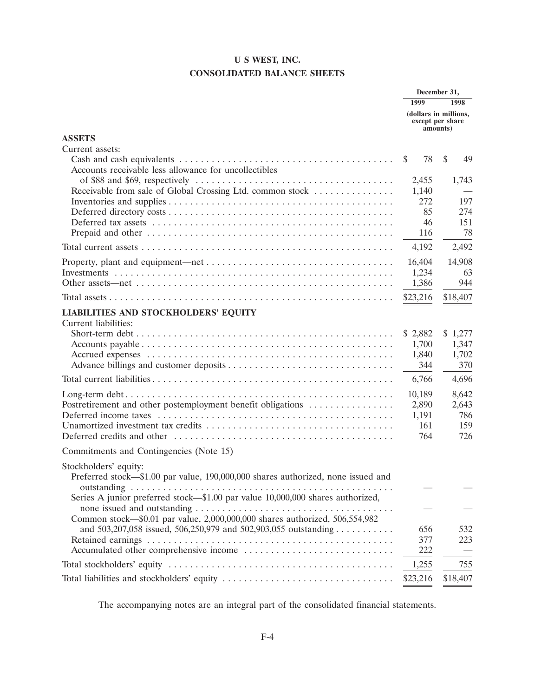# **U S WEST, INC. CONSOLIDATED BALANCE SHEETS**

|                                                                                  |          | December 31,                                          |
|----------------------------------------------------------------------------------|----------|-------------------------------------------------------|
|                                                                                  | 1999     | 1998                                                  |
|                                                                                  |          | (dollars in millions,<br>except per share<br>amounts) |
| <b>ASSETS</b>                                                                    |          |                                                       |
| Current assets:                                                                  |          |                                                       |
| Accounts receivable less allowance for uncollectibles                            | 78<br>\$ | $\mathcal{S}$<br>49                                   |
|                                                                                  | 2,455    | 1,743                                                 |
| Receivable from sale of Global Crossing Ltd. common stock                        | 1,140    |                                                       |
|                                                                                  | 272      | 197                                                   |
|                                                                                  | 85       | 274                                                   |
|                                                                                  | 46       | 151                                                   |
|                                                                                  | 116      | 78                                                    |
|                                                                                  | 4,192    | 2,492                                                 |
|                                                                                  | 16,404   | 14,908                                                |
|                                                                                  | 1,234    | 63                                                    |
|                                                                                  | 1,386    | 944                                                   |
|                                                                                  | \$23,216 | \$18,407                                              |
| <b>LIABILITIES AND STOCKHOLDERS' EQUITY</b>                                      |          |                                                       |
| Current liabilities:                                                             |          |                                                       |
|                                                                                  | \$2,882  | \$1,277                                               |
|                                                                                  | 1,700    | 1,347                                                 |
|                                                                                  | 1,840    | 1,702                                                 |
|                                                                                  | 344      | 370                                                   |
|                                                                                  | 6,766    | 4,696                                                 |
|                                                                                  | 10,189   | 8,642                                                 |
| Postretirement and other postemployment benefit obligations                      | 2,890    | 2,643                                                 |
|                                                                                  | 1,191    | 786                                                   |
|                                                                                  | 161      | 159                                                   |
|                                                                                  | 764      | 726                                                   |
| Commitments and Contingencies (Note 15)                                          |          |                                                       |
| Stockholders' equity:                                                            |          |                                                       |
| Preferred stock-\$1.00 par value, 190,000,000 shares authorized, none issued and |          |                                                       |
|                                                                                  |          |                                                       |
| Series A junior preferred stock-\$1.00 par value 10,000,000 shares authorized,   |          |                                                       |
| Common stock-\$0.01 par value, 2,000,000,000 shares authorized, 506,554,982      |          |                                                       |
| and 503,207,058 issued, 506,250,979 and 502,903,055 outstanding                  | 656      | 532                                                   |
|                                                                                  | 377      | 223                                                   |
|                                                                                  | 222      |                                                       |
|                                                                                  | 1,255    | 755                                                   |
|                                                                                  | \$23,216 | \$18,407                                              |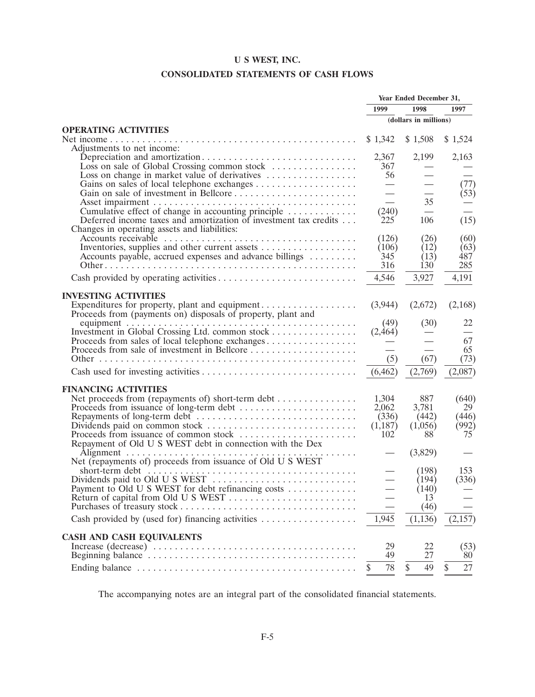# **CONSOLIDATED STATEMENTS OF CASH FLOWS**

|                                                                                                                  | Year Ended December 31,           |                           |                      |
|------------------------------------------------------------------------------------------------------------------|-----------------------------------|---------------------------|----------------------|
|                                                                                                                  | 1999                              | 1998                      | 1997                 |
|                                                                                                                  |                                   | (dollars in millions)     |                      |
| <b>OPERATING ACTIVITIES</b><br>Adjustments to net income:                                                        | \$1,342                           | \$1,508                   | \$1,524              |
| Loss on sale of Global Crossing common stock                                                                     | 2,367<br>367                      | 2,199                     | 2,163                |
| Loss on change in market value of derivatives                                                                    | 56                                |                           | (77)<br>(53)         |
| Cumulative effect of change in accounting principle                                                              | $\overline{\phantom{0}}$<br>(240) | 35                        |                      |
| Deferred income taxes and amortization of investment tax credits<br>Changes in operating assets and liabilities: | 225<br>(126)                      | 106<br>(26)               | (15)<br>(60)         |
| Accounts payable, accrued expenses and advance billings                                                          | (106)<br>345                      | (12)<br>(13)              | (63)<br>487          |
|                                                                                                                  | 316<br>4,546                      | 130 <sup>2</sup><br>3,927 | 285<br>4,191         |
| <b>INVESTING ACTIVITIES</b>                                                                                      |                                   |                           |                      |
| Expenditures for property, plant and equipment<br>Proceeds from (payments on) disposals of property, plant and   | (3,944)                           | (2,672)                   | (2,168)              |
| Investment in Global Crossing Ltd. common stock                                                                  | (49)<br>(2,464)                   | (30)                      | 22                   |
| Proceeds from sales of local telephone exchanges<br>Proceeds from sale of investment in Bellcore                 | (5)                               | (67)                      | 67<br>65<br>(73)     |
|                                                                                                                  | (6, 462)                          | (2,769)                   | (2,087)              |
| <b>FINANCING ACTIVITIES</b>                                                                                      |                                   |                           |                      |
| Net proceeds from (repayments of) short-term debt<br>Proceeds from issuance of long-term debt                    | 1,304<br>2,062                    | 887<br>3,781              | (640)<br>29          |
| Proceeds from issuance of common stock                                                                           | (336)<br>(1,187)<br>102           | (442)<br>(1,056)<br>88    | (446)<br>(992)<br>75 |
| Repayment of Old U S WEST debt in connection with the Dex                                                        |                                   | (3,829)                   |                      |
| Net (repayments of) proceeds from issuance of Old U S WEST                                                       |                                   | (198)                     | 153                  |
| Payment to Old U S WEST for debt refinancing costs<br>Return of capital from Old U S WEST                        |                                   | (194)<br>(140)<br>13      | (336)                |
|                                                                                                                  |                                   | (46)                      |                      |
| Cash provided by (used for) financing activities                                                                 | 1,945                             | (1, 136)                  | (2,157)              |
| <b>CASH AND CASH EQUIVALENTS</b>                                                                                 |                                   |                           |                      |
|                                                                                                                  | 29<br>49                          | 22<br>27                  | (53)<br>80           |
|                                                                                                                  | 78<br>\$                          | \$<br>49                  | 27<br>\$             |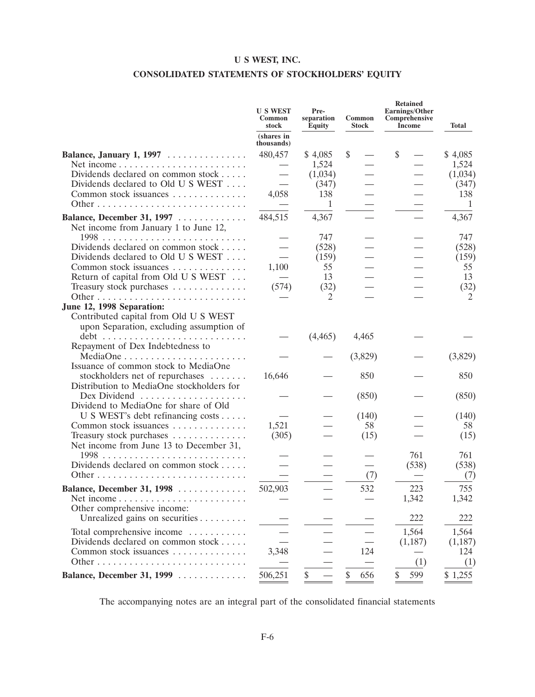# **CONSOLIDATED STATEMENTS OF STOCKHOLDERS' EQUITY**

|                                           | <b>U S WEST</b><br>Common<br>stock | Pre-<br>separation<br>Equity | Common<br><b>Stock</b> | <b>Retained</b><br>Earnings/Other<br>Comprehensive<br>Income | <b>Total</b> |
|-------------------------------------------|------------------------------------|------------------------------|------------------------|--------------------------------------------------------------|--------------|
|                                           | (shares in<br>thousands)           |                              |                        |                                                              |              |
| Balance, January 1, 1997                  | 480,457                            | \$4,085                      | \$                     | \$                                                           | \$4,085      |
|                                           |                                    | 1,524                        |                        |                                                              | 1,524        |
| Dividends declared on common stock        |                                    | (1,034)                      |                        |                                                              | (1,034)      |
| Dividends declared to Old U S WEST        |                                    | (347)                        |                        |                                                              | (347)        |
| Common stock issuances                    | 4,058                              | 138                          |                        |                                                              | 138          |
|                                           |                                    | $\mathbf{1}$                 |                        |                                                              | -1           |
| Balance, December 31, 1997                | 484,515                            | 4,367                        |                        |                                                              | 4,367        |
| Net income from January 1 to June 12,     |                                    |                              |                        |                                                              |              |
|                                           |                                    | 747                          |                        |                                                              | 747          |
| Dividends declared on common stock        |                                    | (528)                        |                        |                                                              | (528)        |
| Dividends declared to Old U S WEST        |                                    | (159)                        |                        |                                                              | (159)        |
| Common stock issuances                    | 1,100                              | 55                           |                        |                                                              | 55           |
| Return of capital from Old U S WEST       |                                    | 13                           |                        |                                                              | 13           |
| Treasury stock purchases                  | (574)                              | (32)<br>2                    |                        |                                                              | (32)<br>2    |
| June 12, 1998 Separation:                 |                                    |                              |                        |                                                              |              |
| Contributed capital from Old U S WEST     |                                    |                              |                        |                                                              |              |
| upon Separation, excluding assumption of  |                                    |                              |                        |                                                              |              |
|                                           |                                    | (4, 465)                     | 4,465                  |                                                              |              |
| Repayment of Dex Indebtedness to          |                                    |                              |                        |                                                              |              |
|                                           |                                    |                              | (3,829)                |                                                              | (3,829)      |
| Issuance of common stock to MediaOne      |                                    |                              |                        |                                                              |              |
| stockholders net of repurchases           | 16,646                             |                              | 850                    |                                                              | 850          |
| Distribution to MediaOne stockholders for |                                    |                              |                        |                                                              |              |
| Dex Dividend                              |                                    |                              | (850)                  |                                                              | (850)        |
| Dividend to MediaOne for share of Old     |                                    |                              |                        |                                                              |              |
| U S WEST's debt refinancing costs         |                                    |                              | (140)                  |                                                              | (140)        |
| Common stock issuances                    | 1,521                              |                              | 58                     |                                                              | 58           |
| Treasury stock purchases                  | (305)                              |                              | (15)                   |                                                              | (15)         |
| Net income from June 13 to December 31,   |                                    |                              |                        | 761                                                          | 761          |
| Dividends declared on common stock        |                                    |                              |                        | (538)                                                        | (538)        |
|                                           |                                    |                              | (7)                    |                                                              | (7)          |
|                                           |                                    |                              |                        |                                                              |              |
| Balance, December 31, 1998                | 502,903                            |                              | 532                    | 223<br>1,342                                                 | 755<br>1,342 |
| Other comprehensive income:               |                                    |                              |                        |                                                              |              |
| Unrealized gains on securities            |                                    |                              |                        | 222                                                          | 222          |
|                                           |                                    |                              |                        |                                                              |              |
| Total comprehensive income                |                                    |                              |                        | 1,564                                                        | 1,564        |
| Dividends declared on common stock        |                                    |                              |                        | (1,187)                                                      | (1,187)      |
| Common stock issuances                    | 3,348                              |                              | 124                    | (1)                                                          | 124          |
|                                           |                                    |                              |                        |                                                              | (1)          |
| Balance, December 31, 1999                | 506,251                            | \$                           | \$<br>656              | \$<br>599                                                    | \$1,255      |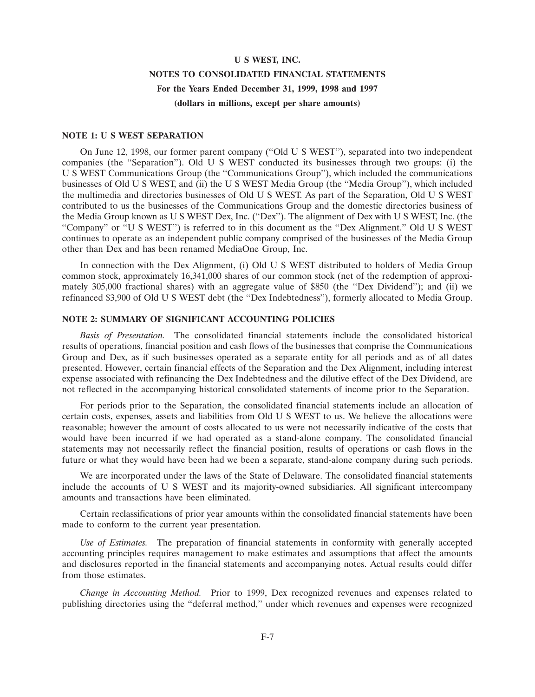# **U S WEST, INC. NOTES TO CONSOLIDATED FINANCIAL STATEMENTS For the Years Ended December 31, 1999, 1998 and 1997 (dollars in millions, except per share amounts)**

#### **NOTE 1: U S WEST SEPARATION**

On June 12, 1998, our former parent company (''Old U S WEST''), separated into two independent companies (the ''Separation''). Old U S WEST conducted its businesses through two groups: (i) the U S WEST Communications Group (the ''Communications Group''), which included the communications businesses of Old U S WEST, and (ii) the U S WEST Media Group (the ''Media Group''), which included the multimedia and directories businesses of Old U S WEST. As part of the Separation, Old U S WEST contributed to us the businesses of the Communications Group and the domestic directories business of the Media Group known as U S WEST Dex, Inc. (''Dex''). The alignment of Dex with U S WEST, Inc. (the "Company" or "U S WEST") is referred to in this document as the "Dex Alignment." Old U S WEST continues to operate as an independent public company comprised of the businesses of the Media Group other than Dex and has been renamed MediaOne Group, Inc.

In connection with the Dex Alignment, (i) Old U S WEST distributed to holders of Media Group common stock, approximately 16,341,000 shares of our common stock (net of the redemption of approximately 305,000 fractional shares) with an aggregate value of \$850 (the ''Dex Dividend'') ; and (ii) we refinanced \$3,900 of Old U S WEST debt (the ''Dex Indebtedness''), formerly allocated to Media Group.

## **NOTE 2: SUMMARY OF SIGNIFICANT ACCOUNTING POLICIES**

*Basis of Presentation.* The consolidated financial statements include the consolidated historical results of operations, financial position and cash flows of the businesses that comprise the Communications Group and Dex, as if such businesses operated as a separate entity for all periods and as of all dates presented. However, certain financial effects of the Separation and the Dex Alignment, including interest expense associated with refinancing the Dex Indebtedness and the dilutive effect of the Dex Dividend, are not reflected in the accompanying historical consolidated statements of income prior to the Separation.

For periods prior to the Separation, the consolidated financial statements include an allocation of certain costs, expenses, assets and liabilities from Old U S WEST to us. We believe the allocations were reasonable; however the amount of costs allocated to us were not necessarily indicative of the costs that would have been incurred if we had operated as a stand-alone company. The consolidated financial statements may not necessarily reflect the financial position, results of operations or cash flows in the future or what they would have been had we been a separate, stand-alone company during such periods.

We are incorporated under the laws of the State of Delaware. The consolidated financial statements include the accounts of U S WEST and its majority-owned subsidiaries. All significant intercompany amounts and transactions have been eliminated.

Certain reclassifications of prior year amounts within the consolidated financial statements have been made to conform to the current year presentation.

*Use of Estimates.* The preparation of financial statements in conformity with generally accepted accounting principles requires management to make estimates and assumptions that affect the amounts and disclosures reported in the financial statements and accompanying notes. Actual results could differ from those estimates.

*Change in Accounting Method.* Prior to 1999, Dex recognized revenues and expenses related to publishing directories using the ''deferral method,'' under which revenues and expenses were recognized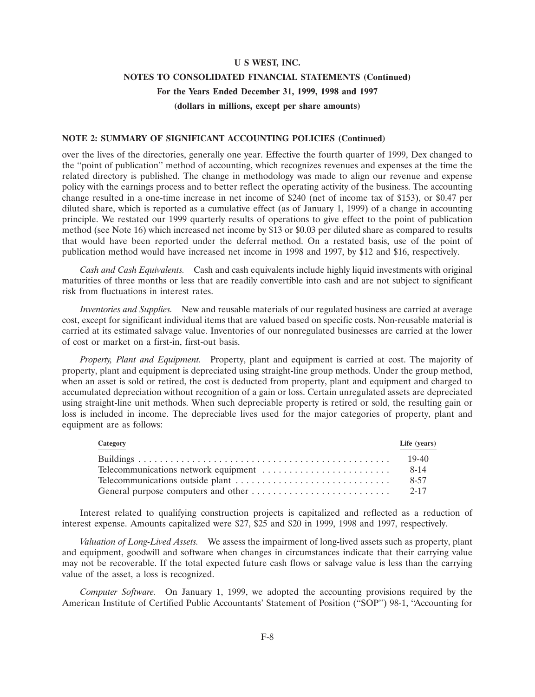# **NOTES TO CONSOLIDATED FINANCIAL STATEMENTS (Continued) For the Years Ended December 31, 1999, 1998 and 1997 (dollars in millions, except per share amounts)**

## **NOTE 2: SUMMARY OF SIGNIFICANT ACCOUNTING POLICIES (Continued)**

over the lives of the directories, generally one year. Effective the fourth quarter of 1999, Dex changed to the ''point of publication'' method of accounting, which recognizes revenues and expenses at the time the related directory is published. The change in methodology was made to align our revenue and expense policy with the earnings process and to better reflect the operating activity of the business. The accounting change resulted in a one-time increase in net income of \$240 (net of income tax of \$153), or \$0.47 per diluted share, which is reported as a cumulative effect (as of January 1, 1999) of a change in accounting principle. We restated our 1999 quarterly results of operations to give effect to the point of publication method (see Note 16) which increased net income by \$13 or \$0.03 per diluted share as compared to results that would have been reported under the deferral method. On a restated basis, use of the point of publication method would have increased net income in 1998 and 1997, by \$12 and \$16, respectively.

*Cash and Cash Equivalents.* Cash and cash equivalents include highly liquid investments with original maturities of three months or less that are readily convertible into cash and are not subject to significant risk from fluctuations in interest rates.

*Inventories and Supplies.* New and reusable materials of our regulated business are carried at average cost, except for significant individual items that are valued based on specific costs. Non-reusable material is carried at its estimated salvage value. Inventories of our nonregulated businesses are carried at the lower of cost or market on a first-in, first-out basis.

*Property, Plant and Equipment.* Property, plant and equipment is carried at cost. The majority of property, plant and equipment is depreciated using straight-line group methods. Under the group method, when an asset is sold or retired, the cost is deducted from property, plant and equipment and charged to accumulated depreciation without recognition of a gain or loss. Certain unregulated assets are depreciated using straight-line unit methods. When such depreciable property is retired or sold, the resulting gain or loss is included in income. The depreciable lives used for the major categories of property, plant and equipment are as follows:

| Category | Life (years) |
|----------|--------------|
|          | 19-40        |
|          | 8-14         |
|          | 8-57         |
|          |              |

Interest related to qualifying construction projects is capitalized and reflected as a reduction of interest expense. Amounts capitalized were \$27, \$25 and \$20 in 1999, 1998 and 1997, respectively.

*Valuation of Long-Lived Assets.* We assess the impairment of long-lived assets such as property, plant and equipment, goodwill and software when changes in circumstances indicate that their carrying value may not be recoverable. If the total expected future cash flows or salvage value is less than the carrying value of the asset, a loss is recognized.

*Computer Software.* On January 1, 1999, we adopted the accounting provisions required by the American Institute of Certified Public Accountants' Statement of Position (''SOP'') 98-1, ''Accounting for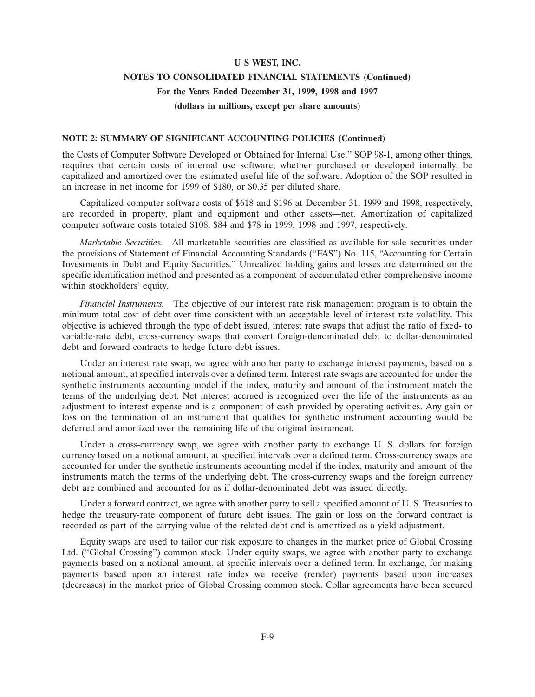# **NOTES TO CONSOLIDATED FINANCIAL STATEMENTS (Continued) For the Years Ended December 31, 1999, 1998 and 1997 (dollars in millions, except per share amounts)**

## **NOTE 2: SUMMARY OF SIGNIFICANT ACCOUNTING POLICIES (Continued)**

the Costs of Computer Software Developed or Obtained for Internal Use.'' SOP 98-1, among other things, requires that certain costs of internal use software, whether purchased or developed internally, be capitalized and amortized over the estimated useful life of the software. Adoption of the SOP resulted in an increase in net income for 1999 of \$180, or \$0.35 per diluted share.

Capitalized computer software costs of \$618 and \$196 at December 31, 1999 and 1998, respectively, are recorded in property, plant and equipment and other assets—net. Amortization of capitalized computer software costs totaled \$108, \$84 and \$78 in 1999, 1998 and 1997, respectively.

*Marketable Securities.* All marketable securities are classified as available-for-sale securities under the provisions of Statement of Financial Accounting Standards (''FAS'') No. 115, ''Accounting for Certain Investments in Debt and Equity Securities.'' Unrealized holding gains and losses are determined on the specific identification method and presented as a component of accumulated other comprehensive income within stockholders' equity.

*Financial Instruments.* The objective of our interest rate risk management program is to obtain the minimum total cost of debt over time consistent with an acceptable level of interest rate volatility. This objective is achieved through the type of debt issued, interest rate swaps that adjust the ratio of fixed- to variable-rate debt, cross-currency swaps that convert foreign-denominated debt to dollar-denominated debt and forward contracts to hedge future debt issues.

Under an interest rate swap, we agree with another party to exchange interest payments, based on a notional amount, at specified intervals over a defined term. Interest rate swaps are accounted for under the synthetic instruments accounting model if the index, maturity and amount of the instrument match the terms of the underlying debt. Net interest accrued is recognized over the life of the instruments as an adjustment to interest expense and is a component of cash provided by operating activities. Any gain or loss on the termination of an instrument that qualifies for synthetic instrument accounting would be deferred and amortized over the remaining life of the original instrument.

Under a cross-currency swap, we agree with another party to exchange U. S. dollars for foreign currency based on a notional amount, at specified intervals over a defined term. Cross-currency swaps are accounted for under the synthetic instruments accounting model if the index, maturity and amount of the instruments match the terms of the underlying debt. The cross-currency swaps and the foreign currency debt are combined and accounted for as if dollar-denominated debt was issued directly.

Under a forward contract, we agree with another party to sell a specified amount of U. S. Treasuries to hedge the treasury-rate component of future debt issues. The gain or loss on the forward contract is recorded as part of the carrying value of the related debt and is amortized as a yield adjustment.

Equity swaps are used to tailor our risk exposure to changes in the market price of Global Crossing Ltd. ("Global Crossing") common stock. Under equity swaps, we agree with another party to exchange payments based on a notional amount, at specific intervals over a defined term. In exchange, for making payments based upon an interest rate index we receive (render) payments based upon increases (decreases) in the market price of Global Crossing common stock. Collar agreements have been secured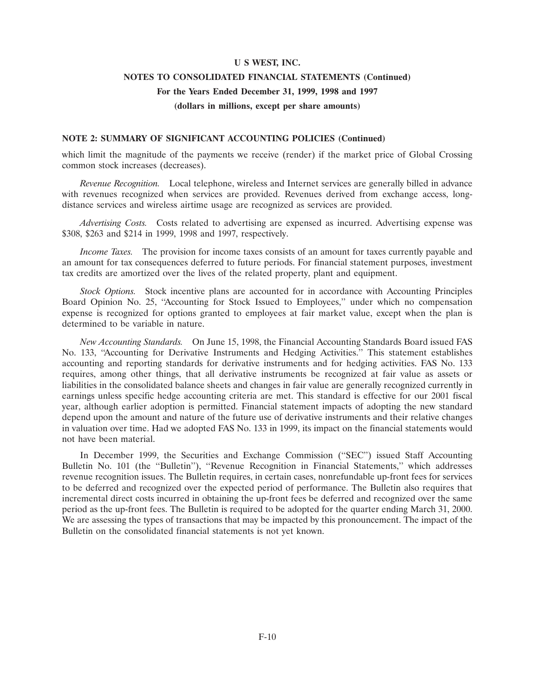# **NOTES TO CONSOLIDATED FINANCIAL STATEMENTS (Continued) For the Years Ended December 31, 1999, 1998 and 1997 (dollars in millions, except per share amounts)**

### **NOTE 2: SUMMARY OF SIGNIFICANT ACCOUNTING POLICIES (Continued)**

which limit the magnitude of the payments we receive (render) if the market price of Global Crossing common stock increases (decreases).

*Revenue Recognition.* Local telephone, wireless and Internet services are generally billed in advance with revenues recognized when services are provided. Revenues derived from exchange access, longdistance services and wireless airtime usage are recognized as services are provided.

*Advertising Costs.* Costs related to advertising are expensed as incurred. Advertising expense was \$308, \$263 and \$214 in 1999, 1998 and 1997, respectively.

*Income Taxes.* The provision for income taxes consists of an amount for taxes currently payable and an amount for tax consequences deferred to future periods. For financial statement purposes, investment tax credits are amortized over the lives of the related property, plant and equipment.

*Stock Options.* Stock incentive plans are accounted for in accordance with Accounting Principles Board Opinion No. 25, "Accounting for Stock Issued to Employees," under which no compensation expense is recognized for options granted to employees at fair market value, except when the plan is determined to be variable in nature.

*New Accounting Standards.* On June 15, 1998, the Financial Accounting Standards Board issued FAS No. 133, ''Accounting for Derivative Instruments and Hedging Activities.'' This statement establishes accounting and reporting standards for derivative instruments and for hedging activities. FAS No. 133 requires, among other things, that all derivative instruments be recognized at fair value as assets or liabilities in the consolidated balance sheets and changes in fair value are generally recognized currently in earnings unless specific hedge accounting criteria are met. This standard is effective for our 2001 fiscal year, although earlier adoption is permitted. Financial statement impacts of adopting the new standard depend upon the amount and nature of the future use of derivative instruments and their relative changes in valuation over time. Had we adopted FAS No. 133 in 1999, its impact on the financial statements would not have been material.

In December 1999, the Securities and Exchange Commission ("SEC") issued Staff Accounting Bulletin No. 101 (the ''Bulletin''), ''Revenue Recognition in Financial Statements,'' which addresses revenue recognition issues. The Bulletin requires, in certain cases, nonrefundable up-front fees for services to be deferred and recognized over the expected period of performance. The Bulletin also requires that incremental direct costs incurred in obtaining the up-front fees be deferred and recognized over the same period as the up-front fees. The Bulletin is required to be adopted for the quarter ending March 31, 2000. We are assessing the types of transactions that may be impacted by this pronouncement. The impact of the Bulletin on the consolidated financial statements is not yet known.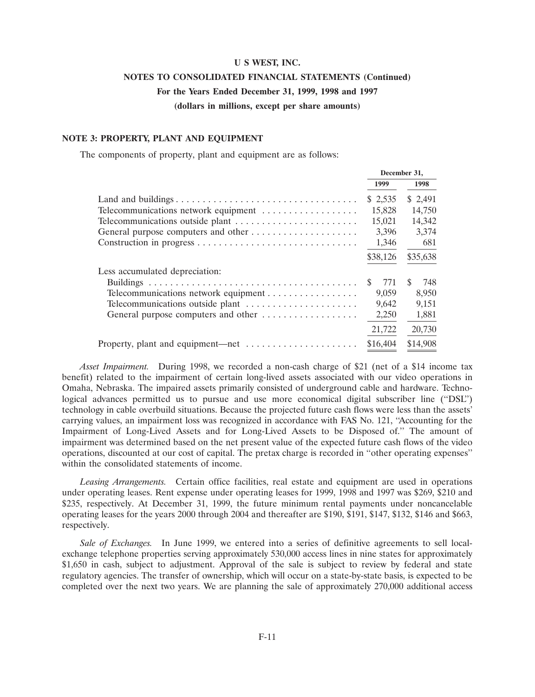# **NOTES TO CONSOLIDATED FINANCIAL STATEMENTS (Continued) For the Years Ended December 31, 1999, 1998 and 1997**

**(dollars in millions, except per share amounts)**

### **NOTE 3: PROPERTY, PLANT AND EQUIPMENT**

The components of property, plant and equipment are as follows:

|                                      | December 31, |           |  |
|--------------------------------------|--------------|-----------|--|
|                                      | 1999         | 1998      |  |
|                                      | \$2,535      | \$2,491   |  |
| Telecommunications network equipment | 15,828       | 14,750    |  |
|                                      | 15,021       | 14,342    |  |
| General purpose computers and other  | 3,396        | 3,374     |  |
|                                      | 1,346        | 681       |  |
|                                      | \$38,126     | \$35,638  |  |
| Less accumulated depreciation:       |              |           |  |
|                                      | 771<br>\$    | -S<br>748 |  |
| Telecommunications network equipment | 9,059        | 8,950     |  |
| Telecommunications outside plant     | 9,642        | 9,151     |  |
| General purpose computers and other  | 2,250        | 1,881     |  |
|                                      | 21,722       | 20,730    |  |
| Property, plant and equipment—net    | \$16,404     | \$14,908  |  |

*Asset Impairment.* During 1998, we recorded a non-cash charge of \$21 (net of a \$14 income tax benefit) related to the impairment of certain long-lived assets associated with our video operations in Omaha, Nebraska. The impaired assets primarily consisted of underground cable and hardware. Technological advances permitted us to pursue and use more economical digital subscriber line (''DSL'') technology in cable overbuild situations. Because the projected future cash flows were less than the assets' carrying values, an impairment loss was recognized in accordance with FAS No. 121, ''Accounting for the Impairment of Long-Lived Assets and for Long-Lived Assets to be Disposed of.'' The amount of impairment was determined based on the net present value of the expected future cash flows of the video operations, discounted at our cost of capital. The pretax charge is recorded in ''other operating expenses'' within the consolidated statements of income.

*Leasing Arrangements.* Certain office facilities, real estate and equipment are used in operations under operating leases. Rent expense under operating leases for 1999, 1998 and 1997 was \$269, \$210 and \$235, respectively. At December 31, 1999, the future minimum rental payments under noncancelable operating leases for the years 2000 through 2004 and thereafter are \$190, \$191, \$147, \$132, \$146 and \$663, respectively.

*Sale of Exchanges.* In June 1999, we entered into a series of definitive agreements to sell localexchange telephone properties serving approximately 530,000 access lines in nine states for approximately \$1,650 in cash, subject to adjustment. Approval of the sale is subject to review by federal and state regulatory agencies. The transfer of ownership, which will occur on a state-by-state basis, is expected to be completed over the next two years. We are planning the sale of approximately 270,000 additional access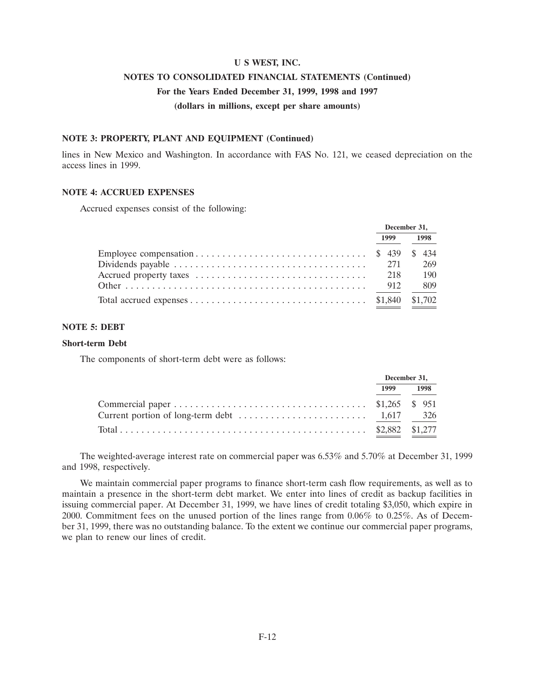# **NOTES TO CONSOLIDATED FINANCIAL STATEMENTS (Continued)**

# **For the Years Ended December 31, 1999, 1998 and 1997**

**(dollars in millions, except per share amounts)**

### **NOTE 3: PROPERTY, PLANT AND EQUIPMENT (Continued)**

lines in New Mexico and Washington. In accordance with FAS No. 121, we ceased depreciation on the access lines in 1999.

### **NOTE 4: ACCRUED EXPENSES**

Accrued expenses consist of the following:

| December 31, |     |      |      |
|--------------|-----|------|------|
| 1999         |     | 1998 |      |
|              |     |      |      |
|              | 271 |      | 269  |
|              |     |      | -190 |
|              |     |      | 809  |
|              |     |      |      |

### **NOTE 5: DEBT**

#### **Short-term Debt**

The components of short-term debt were as follows:

|  | December 31, |
|--|--------------|
|  | 1999 1998    |
|  |              |
|  |              |
|  |              |

The weighted-average interest rate on commercial paper was 6.53% and 5.70% at December 31, 1999 and 1998, respectively.

We maintain commercial paper programs to finance short-term cash flow requirements, as well as to maintain a presence in the short-term debt market. We enter into lines of credit as backup facilities in issuing commercial paper. At December 31, 1999, we have lines of credit totaling \$3,050, which expire in 2000. Commitment fees on the unused portion of the lines range from 0.06% to 0.25%. As of December 31, 1999, there was no outstanding balance. To the extent we continue our commercial paper programs, we plan to renew our lines of credit.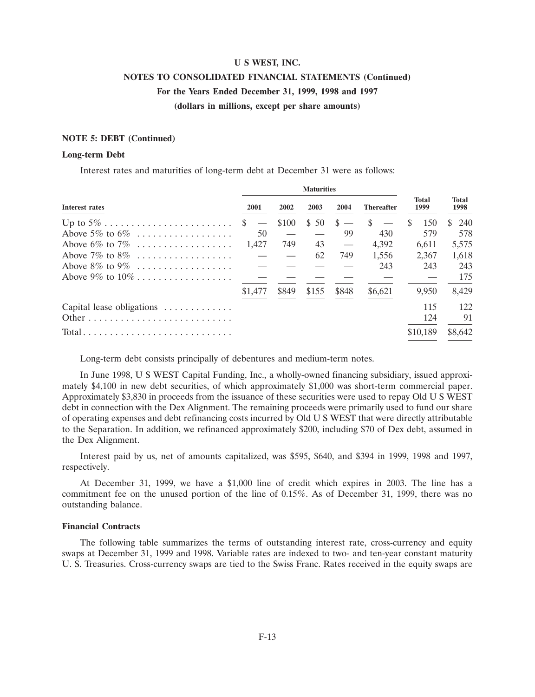# **NOTES TO CONSOLIDATED FINANCIAL STATEMENTS (Continued) For the Years Ended December 31, 1999, 1998 and 1997 (dollars in millions, except per share amounts)**

## **NOTE 5: DEBT (Continued)**

#### **Long-term Debt**

Interest rates and maturities of long-term debt at December 31 were as follows:

|                                                                           |                                   |       | <b>Maturities</b> |              |                   |                      |                      |
|---------------------------------------------------------------------------|-----------------------------------|-------|-------------------|--------------|-------------------|----------------------|----------------------|
| Interest rates                                                            | 2001                              | 2002  | 2003              | 2004         | <b>Thereafter</b> | <b>Total</b><br>1999 | <b>Total</b><br>1998 |
|                                                                           | <sup>S</sup><br>$\hspace{0.05cm}$ | \$100 | \$50              | <sup>S</sup> | -S                | 150                  | 240<br>S.            |
| Above 5\% to 6\%                                                          | 50                                |       |                   | 99           | 430               | 579                  | 578                  |
| Above $6\%$ to $7\%$                                                      | 1.427                             | 749   | 43                |              | 4.392             | 6.611                | 5,575                |
| Above 7\% to 8\% $\ldots$                                                 |                                   |       | 62                | 749          | 1,556             | 2.367                | 1,618                |
| Above $8\%$ to $9\%$                                                      |                                   |       |                   |              | 243               | 243                  | 243                  |
|                                                                           |                                   |       |                   |              |                   |                      | 175                  |
|                                                                           | \$1,477                           | \$849 | \$155             | \$848        | \$6,621           | 9.950                | 8.429                |
| Capital lease obligations                                                 |                                   |       |                   |              |                   | 115                  | 122                  |
|                                                                           |                                   |       |                   |              |                   | 124                  | 91                   |
| $Total \dots \dots \dots \dots \dots \dots \dots \dots \dots \dots \dots$ |                                   |       |                   |              |                   | \$10,189             | \$8,642              |

Long-term debt consists principally of debentures and medium-term notes.

In June 1998, U S WEST Capital Funding, Inc., a wholly-owned financing subsidiary, issued approximately \$4,100 in new debt securities, of which approximately \$1,000 was short-term commercial paper. Approximately \$3,830 in proceeds from the issuance of these securities were used to repay Old U S WEST debt in connection with the Dex Alignment. The remaining proceeds were primarily used to fund our share of operating expenses and debt refinancing costs incurred by Old U S WEST that were directly attributable to the Separation. In addition, we refinanced approximately \$200, including \$70 of Dex debt, assumed in the Dex Alignment.

Interest paid by us, net of amounts capitalized, was \$595, \$640, and \$394 in 1999, 1998 and 1997, respectively.

At December 31, 1999, we have a \$1,000 line of credit which expires in 2003. The line has a commitment fee on the unused portion of the line of 0.15%. As of December 31, 1999, there was no outstanding balance.

#### **Financial Contracts**

The following table summarizes the terms of outstanding interest rate, cross-currency and equity swaps at December 31, 1999 and 1998. Variable rates are indexed to two- and ten-year constant maturity U. S. Treasuries. Cross-currency swaps are tied to the Swiss Franc. Rates received in the equity swaps are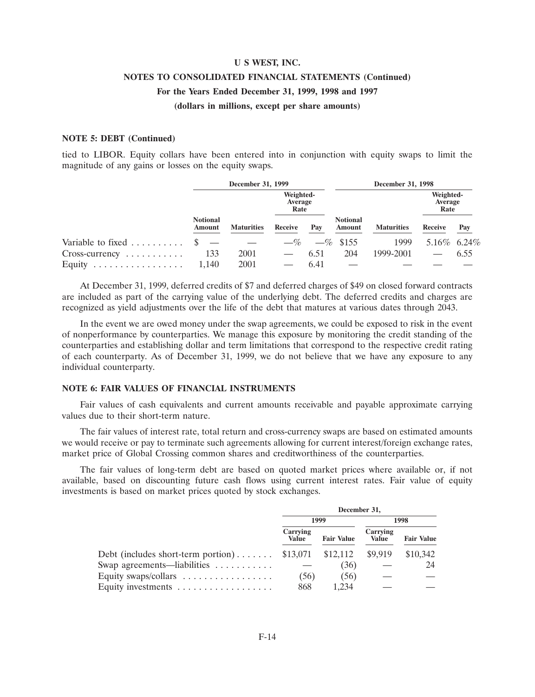# **U S WEST, INC. NOTES TO CONSOLIDATED FINANCIAL STATEMENTS (Continued) For the Years Ended December 31, 1999, 1998 and 1997 (dollars in millions, except per share amounts)**

## **NOTE 5: DEBT (Continued)**

tied to LIBOR. Equity collars have been entered into in conjunction with equity swaps to limit the magnitude of any gains or losses on the equity swaps.

|                                 | December 31, 1999         |                   |                              | December 31, 1998 |                           |                   |                              |      |
|---------------------------------|---------------------------|-------------------|------------------------------|-------------------|---------------------------|-------------------|------------------------------|------|
|                                 |                           |                   | Weighted-<br>Average<br>Rate |                   |                           |                   | Weighted-<br>Average<br>Rate |      |
|                                 | <b>Notional</b><br>Amount | <b>Maturities</b> | Receive                      | Pav               | <b>Notional</b><br>Amount | <b>Maturities</b> | Receive                      | Pay  |
| Variable to fixed $\dots \dots$ |                           |                   | $-\%$                        |                   | $-\%$ \$155               | 1999              | 5.16\% 6.24\%                |      |
| $Cross-currency \ldots \ldots$  | 133                       | 2001              |                              | 6.51              | 204                       | 1999-2001         |                              | 6.55 |
| Equity<br>.                     | 1.140                     | 2001              |                              | 6.41              |                           |                   |                              |      |

At December 31, 1999, deferred credits of \$7 and deferred charges of \$49 on closed forward contracts are included as part of the carrying value of the underlying debt. The deferred credits and charges are recognized as yield adjustments over the life of the debt that matures at various dates through 2043.

In the event we are owed money under the swap agreements, we could be exposed to risk in the event of nonperformance by counterparties. We manage this exposure by monitoring the credit standing of the counterparties and establishing dollar and term limitations that correspond to the respective credit rating of each counterparty. As of December 31, 1999, we do not believe that we have any exposure to any individual counterparty.

# **NOTE 6: FAIR VALUES OF FINANCIAL INSTRUMENTS**

Fair values of cash equivalents and current amounts receivable and payable approximate carrying values due to their short-term nature.

The fair values of interest rate, total return and cross-currency swaps are based on estimated amounts we would receive or pay to terminate such agreements allowing for current interest/foreign exchange rates, market price of Global Crossing common shares and creditworthiness of the counterparties.

The fair values of long-term debt are based on quoted market prices where available or, if not available, based on discounting future cash flows using current interest rates. Fair value of equity investments is based on market prices quoted by stock exchanges.

|                                                      | December 31,             |                   |                          |                   |  |
|------------------------------------------------------|--------------------------|-------------------|--------------------------|-------------------|--|
|                                                      |                          | 1999              | 1998                     |                   |  |
|                                                      | Carrying<br><b>Value</b> | <b>Fair Value</b> | Carrying<br><b>Value</b> | <b>Fair Value</b> |  |
| Debt (includes short-term portion) $$13,071$         |                          | \$12,112          | \$9,919                  | \$10,342          |  |
| Swap agreements—liabilities                          |                          | (36)              |                          | 24                |  |
| Equity swaps/collars $\dots \dots \dots \dots \dots$ | (56)                     | (56)              |                          |                   |  |
| Equity investments                                   | 868                      | 1.234             |                          |                   |  |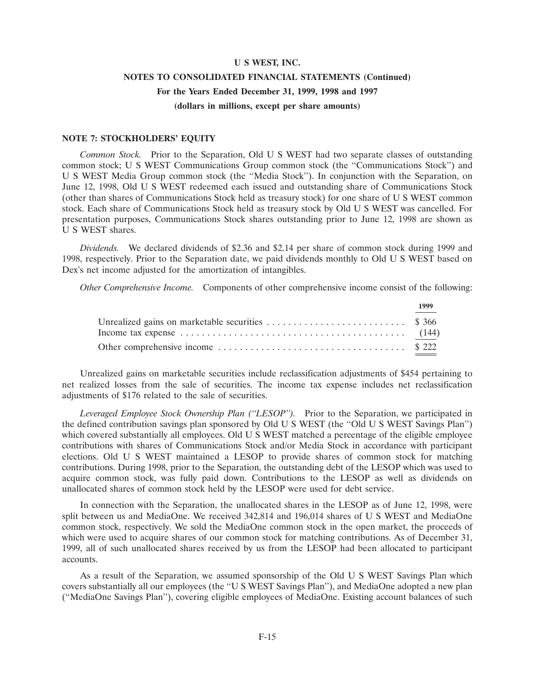# **U S WEST, INC. NOTES TO CONSOLIDATED FINANCIAL STATEMENTS (Continued) For the Years Ended December 31, 1999, 1998 and 1997 (dollars in millions, except per share amounts)**

### **NOTE 7: STOCKHOLDERS' EQUITY**

*Common Stock.* Prior to the Separation, Old U S WEST had two separate classes of outstanding common stock; U S WEST Communications Group common stock (the ''Communications Stock'') and U S WEST Media Group common stock (the ''Media Stock''). In conjunction with the Separation, on June 12, 1998, Old U S WEST redeemed each issued and outstanding share of Communications Stock (other than shares of Communications Stock held as treasury stock) for one share of U S WEST common stock. Each share of Communications Stock held as treasury stock by Old U S WEST was cancelled. For presentation purposes, Communications Stock shares outstanding prior to June 12, 1998 are shown as U S WEST shares.

*Dividends.* We declared dividends of \$2.36 and \$2.14 per share of common stock during 1999 and 1998, respectively. Prior to the Separation date, we paid dividends monthly to Old U S WEST based on Dex's net income adjusted for the amortization of intangibles.

*Other Comprehensive Income.* Components of other comprehensive income consist of the following:

|                                                                                                    | 1999 |
|----------------------------------------------------------------------------------------------------|------|
|                                                                                                    |      |
| Income tax expense $\dots \dots \dots \dots \dots \dots \dots \dots \dots \dots \dots \dots$ (144) |      |
|                                                                                                    |      |

Unrealized gains on marketable securities include reclassification adjustments of \$454 pertaining to net realized losses from the sale of securities. The income tax expense includes net reclassification adjustments of \$176 related to the sale of securities.

*Leveraged Employee Stock Ownership Plan (''LESOP'').* Prior to the Separation, we participated in the defined contribution savings plan sponsored by Old U S WEST (the ''Old U S WEST Savings Plan'') which covered substantially all employees. Old U S WEST matched a percentage of the eligible employee contributions with shares of Communications Stock and/or Media Stock in accordance with participant elections. Old U S WEST maintained a LESOP to provide shares of common stock for matching contributions. During 1998, prior to the Separation, the outstanding debt of the LESOP which was used to acquire common stock, was fully paid down. Contributions to the LESOP as well as dividends on unallocated shares of common stock held by the LESOP were used for debt service.

In connection with the Separation, the unallocated shares in the LESOP as of June 12, 1998, were split between us and MediaOne. We received 342,814 and 196,014 shares of U S WEST and MediaOne common stock, respectively. We sold the MediaOne common stock in the open market, the proceeds of which were used to acquire shares of our common stock for matching contributions. As of December 31, 1999, all of such unallocated shares received by us from the LESOP had been allocated to participant accounts.

As a result of the Separation, we assumed sponsorship of the Old U S WEST Savings Plan which covers substantially all our employees (the ''U S WEST Savings Plan''), and MediaOne adopted a new plan (''MediaOne Savings Plan''), covering eligible employees of MediaOne. Existing account balances of such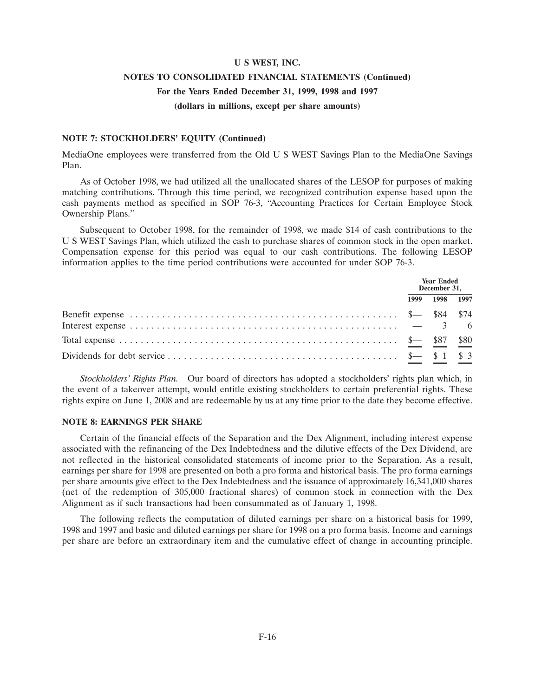### **NOTES TO CONSOLIDATED FINANCIAL STATEMENTS (Continued) For the Years Ended December 31, 1999, 1998 and 1997**

## **(dollars in millions, except per share amounts)**

#### **NOTE 7: STOCKHOLDERS' EQUITY (Continued)**

MediaOne employees were transferred from the Old U S WEST Savings Plan to the MediaOne Savings Plan.

As of October 1998, we had utilized all the unallocated shares of the LESOP for purposes of making matching contributions. Through this time period, we recognized contribution expense based upon the cash payments method as specified in SOP 76-3, ''Accounting Practices for Certain Employee Stock Ownership Plans.''

Subsequent to October 1998, for the remainder of 1998, we made \$14 of cash contributions to the U S WEST Savings Plan, which utilized the cash to purchase shares of common stock in the open market. Compensation expense for this period was equal to our cash contributions. The following LESOP information applies to the time period contributions were accounted for under SOP 76-3.

|                                                                                                                                                                                                                                                                                                                          | <b>Year Ended</b><br>December 31. |      |      |
|--------------------------------------------------------------------------------------------------------------------------------------------------------------------------------------------------------------------------------------------------------------------------------------------------------------------------|-----------------------------------|------|------|
|                                                                                                                                                                                                                                                                                                                          | 1999                              | 1998 | 1997 |
|                                                                                                                                                                                                                                                                                                                          |                                   |      |      |
| Total expense $\ldots$ $\ldots$ $\ldots$ $\ldots$ $\ldots$ $\ldots$ $\ldots$ $\ldots$ $\ldots$ $\ldots$ $\ldots$ $\ldots$ $\ldots$ $\frac{1}{2}$ $\frac{1}{2}$ $\frac{1}{2}$ $\frac{1}{2}$ $\frac{1}{2}$ $\frac{1}{2}$ $\frac{1}{2}$ $\frac{1}{2}$ $\frac{1}{2}$ $\frac{1}{2}$ $\frac{1}{2}$ $\frac{1}{2}$ $\frac{1}{2}$ |                                   |      |      |
|                                                                                                                                                                                                                                                                                                                          |                                   |      |      |

*Stockholders' Rights Plan.* Our board of directors has adopted a stockholders' rights plan which, in the event of a takeover attempt, would entitle existing stockholders to certain preferential rights. These rights expire on June 1, 2008 and are redeemable by us at any time prior to the date they become effective.

#### **NOTE 8: EARNINGS PER SHARE**

Certain of the financial effects of the Separation and the Dex Alignment, including interest expense associated with the refinancing of the Dex Indebtedness and the dilutive effects of the Dex Dividend, are not reflected in the historical consolidated statements of income prior to the Separation. As a result, earnings per share for 1998 are presented on both a pro forma and historical basis. The pro forma earnings per share amounts give effect to the Dex Indebtedness and the issuance of approximately 16,341,000 shares (net of the redemption of 305,000 fractional shares) of common stock in connection with the Dex Alignment as if such transactions had been consummated as of January 1, 1998.

The following reflects the computation of diluted earnings per share on a historical basis for 1999, 1998 and 1997 and basic and diluted earnings per share for 1998 on a pro forma basis. Income and earnings per share are before an extraordinary item and the cumulative effect of change in accounting principle.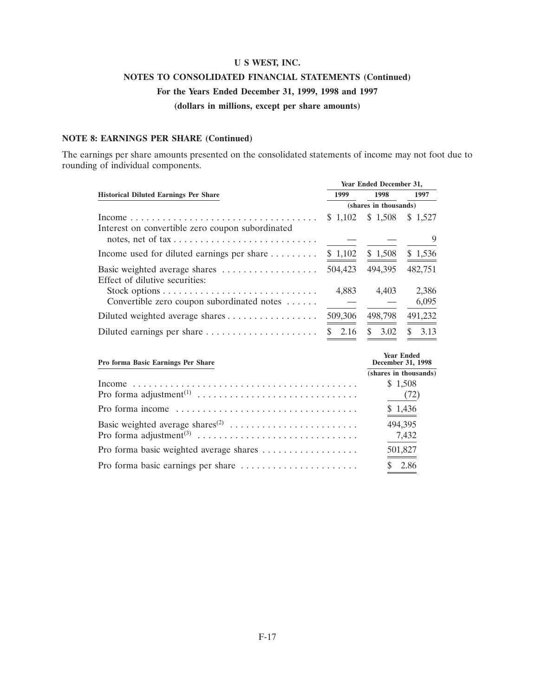# **NOTES TO CONSOLIDATED FINANCIAL STATEMENTS (Continued) For the Years Ended December 31, 1999, 1998 and 1997**

**(dollars in millions, except per share amounts)**

### **NOTE 8: EARNINGS PER SHARE (Continued)**

The earnings per share amounts presented on the consolidated statements of income may not foot due to rounding of individual components.

|                                                                 |                       | Year Ended December 31, |           |
|-----------------------------------------------------------------|-----------------------|-------------------------|-----------|
| <b>Historical Diluted Earnings Per Share</b>                    | 1999                  | 1998                    | 1997      |
|                                                                 | (shares in thousands) |                         |           |
| Interest on convertible zero coupon subordinated                |                       | $$1,102$ $$1,508$       | \$1,527   |
|                                                                 |                       |                         | 9         |
| Income used for diluted earnings per share $\dots \dots$        | \$1,102               | \$1,508                 | \$1,536   |
| Basic weighted average shares<br>Effect of dilutive securities: | 504,423               | 494,395                 | 482,751   |
|                                                                 | 4.883                 | 4,403                   | 2,386     |
| Convertible zero coupon subordinated notes $\dots$ .            |                       |                         | 6,095     |
| Diluted weighted average shares                                 | 509,306               | 498,798                 | 491,232   |
|                                                                 | 2.16<br>S.            | 3.02<br>\$.             | 3.13<br>S |

| Pro forma Basic Earnings Per Share | <b>Year Ended</b><br>December 31, 1998 |
|------------------------------------|----------------------------------------|
|                                    | (shares in thousands)                  |
|                                    | \$1,508                                |
|                                    | (72)                                   |
|                                    | \$1,436                                |
|                                    | 494,395                                |
|                                    | 7,432                                  |
|                                    | 501,827                                |
|                                    | - 2.86                                 |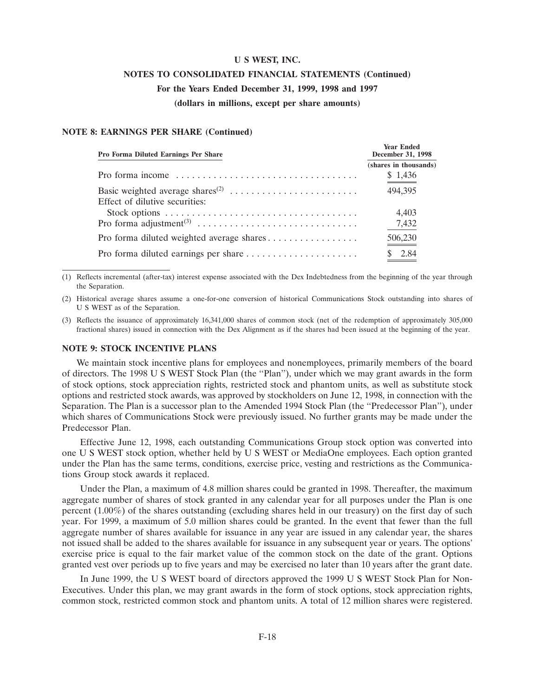#### **NOTES TO CONSOLIDATED FINANCIAL STATEMENTS (Continued)**

#### **For the Years Ended December 31, 1999, 1998 and 1997**

**(dollars in millions, except per share amounts)**

**Year Ended**

#### **NOTE 8: EARNINGS PER SHARE (Continued)**

| <b>Pro Forma Diluted Earnings Per Share</b>                                          | rear Ended<br>December 31, 1998 |
|--------------------------------------------------------------------------------------|---------------------------------|
|                                                                                      | (shares in thousands)           |
| Pro forma income $\dots \dots \dots \dots \dots \dots \dots \dots \dots \dots \dots$ | \$1,436                         |
|                                                                                      | 494,395                         |
| Effect of dilutive securities:                                                       |                                 |
|                                                                                      | 4,403                           |
|                                                                                      | 7,432                           |
|                                                                                      | 506,230                         |
|                                                                                      | 2.84                            |

(1) Reflects incremental (after-tax) interest expense associated with the Dex Indebtedness from the beginning of the year through the Separation.

(2) Historical average shares assume a one-for-one conversion of historical Communications Stock outstanding into shares of U S WEST as of the Separation.

(3) Reflects the issuance of approximately 16,341,000 shares of common stock (net of the redemption of approximately 305,000 fractional shares) issued in connection with the Dex Alignment as if the shares had been issued at the beginning of the year.

#### **NOTE 9: STOCK INCENTIVE PLANS**

We maintain stock incentive plans for employees and nonemployees, primarily members of the board of directors. The 1998 U S WEST Stock Plan (the ''Plan''), under which we may grant awards in the form of stock options, stock appreciation rights, restricted stock and phantom units, as well as substitute stock options and restricted stock awards, was approved by stockholders on June 12, 1998, in connection with the Separation. The Plan is a successor plan to the Amended 1994 Stock Plan (the ''Predecessor Plan''), under which shares of Communications Stock were previously issued. No further grants may be made under the Predecessor Plan.

Effective June 12, 1998, each outstanding Communications Group stock option was converted into one U S WEST stock option, whether held by U S WEST or MediaOne employees. Each option granted under the Plan has the same terms, conditions, exercise price, vesting and restrictions as the Communications Group stock awards it replaced.

Under the Plan, a maximum of 4.8 million shares could be granted in 1998. Thereafter, the maximum aggregate number of shares of stock granted in any calendar year for all purposes under the Plan is one percent (1.00%) of the shares outstanding (excluding shares held in our treasury) on the first day of such year. For 1999, a maximum of 5.0 million shares could be granted. In the event that fewer than the full aggregate number of shares available for issuance in any year are issued in any calendar year, the shares not issued shall be added to the shares available for issuance in any subsequent year or years. The options' exercise price is equal to the fair market value of the common stock on the date of the grant. Options granted vest over periods up to five years and may be exercised no later than 10 years after the grant date.

In June 1999, the U S WEST board of directors approved the 1999 U S WEST Stock Plan for Non-Executives. Under this plan, we may grant awards in the form of stock options, stock appreciation rights, common stock, restricted common stock and phantom units. A total of 12 million shares were registered.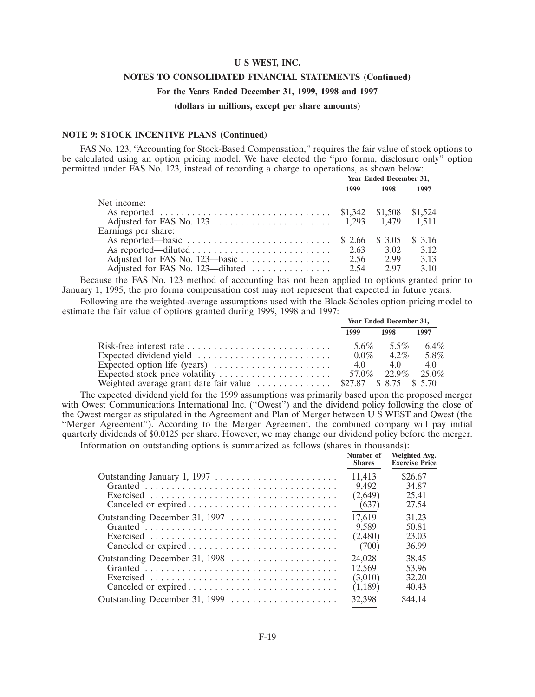#### **NOTES TO CONSOLIDATED FINANCIAL STATEMENTS (Continued)**

#### **For the Years Ended December 31, 1999, 1998 and 1997**

**(dollars in millions, except per share amounts)**

#### **NOTE 9: STOCK INCENTIVE PLANS (Continued)**

FAS No. 123, ''Accounting for Stock-Based Compensation,'' requires the fair value of stock options to be calculated using an option pricing model. We have elected the ''pro forma, disclosure only'' option permitted under FAS No. 123, instead of recording a charge to operations, as shown below:

|                     | Year Ended December 31, |      |      |
|---------------------|-------------------------|------|------|
|                     | 1999                    | 1998 | 1997 |
| Net income:         |                         |      |      |
|                     |                         |      |      |
|                     |                         |      |      |
| Earnings per share: |                         |      |      |
|                     |                         |      |      |
|                     |                         | 3.02 | 3.12 |
|                     | 2.56                    | 2.99 | 3.13 |
|                     |                         | 2.97 | 3.10 |

Because the FAS No. 123 method of accounting has not been applied to options granted prior to January 1, 1995, the pro forma compensation cost may not represent that expected in future years.

Following are the weighted-average assumptions used with the Black-Scholes option-pricing model to estimate the fair value of options granted during 1999, 1998 and 1997:

|                                                                                              | Year Ended December 31, |                     |         |
|----------------------------------------------------------------------------------------------|-------------------------|---------------------|---------|
|                                                                                              | 1999                    | 1998                | 1997    |
| Risk-free interest rate $\dots \dots \dots \dots \dots \dots \dots \dots \dots$              | 5.6%                    | $5.5\%$             | $6.4\%$ |
|                                                                                              |                         | $0.0\%$ 4.2\% 5.8\% |         |
|                                                                                              |                         |                     | 4.0     |
|                                                                                              |                         |                     |         |
| Weighted average grant date fair value $\ldots \ldots \ldots \ldots$ \$27.87 \$ 8.75 \$ 5.70 |                         |                     |         |

The expected dividend yield for the 1999 assumptions was primarily based upon the proposed merger with Qwest Communications International Inc. ("Qwest") and the dividend policy following the close of the Qwest merger as stipulated in the Agreement and Plan of Merger between U S WEST and Qwest (the ''Merger Agreement''). According to the Merger Agreement, the combined company will pay initial quarterly dividends of \$0.0125 per share. However, we may change our dividend policy before the merger.

Information on outstanding options is summarized as follows (shares in thousands):

|                               | Number of<br><b>Shares</b> | Weighted Avg.<br><b>Exercise Price</b> |
|-------------------------------|----------------------------|----------------------------------------|
|                               | 11.413                     | \$26.67                                |
|                               | 9.492                      | 34.87                                  |
|                               | (2,649)                    | 25.41                                  |
| Canceled or expired           | (637)                      | 27.54                                  |
| Outstanding December 31, 1997 | 17,619                     | 31.23                                  |
|                               | 9.589                      | 50.81                                  |
|                               | (2,480)                    | 23.03                                  |
| Canceled or expired           | (700)                      | 36.99                                  |
| Outstanding December 31, 1998 | 24,028                     | 38.45                                  |
|                               | 12.569                     | 53.96                                  |
|                               | (3,010)                    | 32.20                                  |
| Canceled or expired           | (1,189)                    | 40.43                                  |
| Outstanding December 31, 1999 | 32.398                     | \$44.14                                |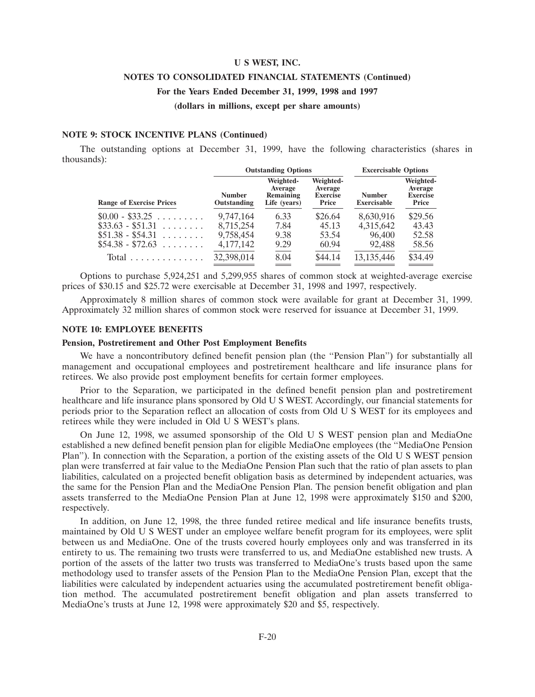#### **NOTES TO CONSOLIDATED FINANCIAL STATEMENTS (Continued)**

#### **For the Years Ended December 31, 1999, 1998 and 1997**

#### **(dollars in millions, except per share amounts)**

#### **NOTE 9: STOCK INCENTIVE PLANS (Continued)**

The outstanding options at December 31, 1999, have the following characteristics (shares in thousands):

| <b>Excercisable Options</b>                      |
|--------------------------------------------------|
| Weighted-<br>Average<br><b>Exercise</b><br>Price |
| \$29.56                                          |
| 43.43                                            |
| 52.58                                            |
| 58.56                                            |
| \$34.49                                          |
|                                                  |

Options to purchase 5,924,251 and 5,299,955 shares of common stock at weighted-average exercise prices of \$30.15 and \$25.72 were exercisable at December 31, 1998 and 1997, respectively.

Approximately 8 million shares of common stock were available for grant at December 31, 1999. Approximately 32 million shares of common stock were reserved for issuance at December 31, 1999.

#### **NOTE 10: EMPLOYEE BENEFITS**

#### **Pension, Postretirement and Other Post Employment Benefits**

We have a noncontributory defined benefit pension plan (the "Pension Plan") for substantially all management and occupational employees and postretirement healthcare and life insurance plans for retirees. We also provide post employment benefits for certain former employees.

Prior to the Separation, we participated in the defined benefit pension plan and postretirement healthcare and life insurance plans sponsored by Old U S WEST. Accordingly, our financial statements for periods prior to the Separation reflect an allocation of costs from Old U S WEST for its employees and retirees while they were included in Old U S WEST's plans.

On June 12, 1998, we assumed sponsorship of the Old U S WEST pension plan and MediaOne established a new defined benefit pension plan for eligible MediaOne employees (the ''MediaOne Pension Plan''). In connection with the Separation, a portion of the existing assets of the Old U S WEST pension plan were transferred at fair value to the MediaOne Pension Plan such that the ratio of plan assets to plan liabilities, calculated on a projected benefit obligation basis as determined by independent actuaries, was the same for the Pension Plan and the MediaOne Pension Plan. The pension benefit obligation and plan assets transferred to the MediaOne Pension Plan at June 12, 1998 were approximately \$150 and \$200, respectively.

In addition, on June 12, 1998, the three funded retiree medical and life insurance benefits trusts, maintained by Old U S WEST under an employee welfare benefit program for its employees, were split between us and MediaOne. One of the trusts covered hourly employees only and was transferred in its entirety to us. The remaining two trusts were transferred to us, and MediaOne established new trusts. A portion of the assets of the latter two trusts was transferred to MediaOne's trusts based upon the same methodology used to transfer assets of the Pension Plan to the MediaOne Pension Plan, except that the liabilities were calculated by independent actuaries using the accumulated postretirement benefit obligation method. The accumulated postretirement benefit obligation and plan assets transferred to MediaOne's trusts at June 12, 1998 were approximately \$20 and \$5, respectively.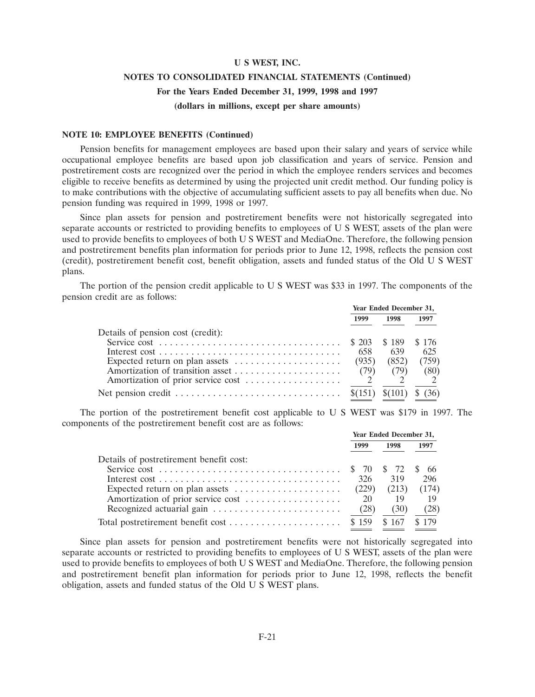### **NOTES TO CONSOLIDATED FINANCIAL STATEMENTS (Continued) For the Years Ended December 31, 1999, 1998 and 1997**

### **(dollars in millions, except per share amounts)**

#### **NOTE 10: EMPLOYEE BENEFITS (Continued)**

Pension benefits for management employees are based upon their salary and years of service while occupational employee benefits are based upon job classification and years of service. Pension and postretirement costs are recognized over the period in which the employee renders services and becomes eligible to receive benefits as determined by using the projected unit credit method. Our funding policy is to make contributions with the objective of accumulating sufficient assets to pay all benefits when due. No pension funding was required in 1999, 1998 or 1997.

Since plan assets for pension and postretirement benefits were not historically segregated into separate accounts or restricted to providing benefits to employees of U S WEST, assets of the plan were used to provide benefits to employees of both U S WEST and MediaOne. Therefore, the following pension and postretirement benefits plan information for periods prior to June 12, 1998, reflects the pension cost (credit), postretirement benefit cost, benefit obligation, assets and funded status of the Old U S WEST plans.

The portion of the pension credit applicable to U S WEST was \$33 in 1997. The components of the pension credit are as follows:

|                                   | Year Ended December 31, |                 |       |
|-----------------------------------|-------------------------|-----------------|-------|
|                                   | 1999                    | 1998            | 1997  |
| Details of pension cost (credit): |                         |                 |       |
|                                   |                         |                 | \$176 |
|                                   | 658                     | 639             | 625   |
| Expected return on plan assets    | (935)                   | (852)           | (759) |
|                                   | (79)                    | (79)            | (80)  |
|                                   |                         |                 |       |
|                                   |                         | $(101)$ \$ (36) |       |

The portion of the postretirement benefit cost applicable to U S WEST was \$179 in 1997. The components of the postretirement benefit cost are as follows:

|                                                                            | Year Ended December 31, |             |       |
|----------------------------------------------------------------------------|-------------------------|-------------|-------|
|                                                                            | 1999                    | 1998        | 1997  |
| Details of postretirement benefit cost:                                    |                         |             |       |
|                                                                            |                         |             | -66   |
|                                                                            | 326                     | 319         | 296   |
|                                                                            | (229)                   | (213)       | (174) |
| Amortization of prior service cost                                         | 20                      | 19          | 19    |
| Recognized actuarial gain $\ldots \ldots \ldots \ldots \ldots \ldots$ (28) |                         | (30)        | (28)  |
| Total postretirement benefit cost \$ 159                                   |                         | \$167 \$179 |       |

Since plan assets for pension and postretirement benefits were not historically segregated into separate accounts or restricted to providing benefits to employees of U S WEST, assets of the plan were used to provide benefits to employees of both U S WEST and MediaOne. Therefore, the following pension and postretirement benefit plan information for periods prior to June 12, 1998, reflects the benefit obligation, assets and funded status of the Old U S WEST plans.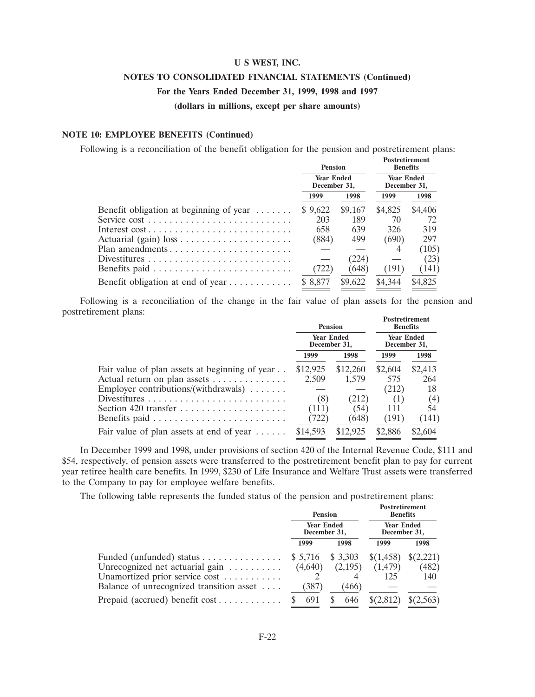#### **NOTES TO CONSOLIDATED FINANCIAL STATEMENTS (Continued)**

#### **For the Years Ended December 31, 1999, 1998 and 1997**

**(dollars in millions, except per share amounts)**

#### **NOTE 10: EMPLOYEE BENEFITS (Continued)**

Following is a reconciliation of the benefit obligation for the pension and postretirement plans:

**Postretirement**

|                                                       | <b>Pension</b>                    |         | <b>Benefits</b>                   |         |
|-------------------------------------------------------|-----------------------------------|---------|-----------------------------------|---------|
|                                                       | <b>Year Ended</b><br>December 31, |         | <b>Year Ended</b><br>December 31, |         |
|                                                       | 1999                              | 1998    | 1999                              | 1998    |
| Benefit obligation at beginning of year $\dots \dots$ | \$9,622                           | \$9,167 | \$4,825                           | \$4,406 |
|                                                       | 203                               | 189     | 70                                | 72      |
|                                                       | 658                               | 639     | 326                               | 319     |
|                                                       | (884)                             | 499     | (690)                             | 297     |
| Plan amendments                                       |                                   |         |                                   | (105)   |
|                                                       |                                   | (224)   |                                   | (23)    |
|                                                       | (722)                             | (648)   | (191)                             | (141)   |
| Benefit obligation at end of year                     | \$ 8,877                          | \$9,622 | \$4,344                           | \$4,825 |

Following is a reconciliation of the change in the fair value of plan assets for the pension and postretirement plans: **Postretirement**

|                                                    | <b>Pension</b><br><b>Year Ended</b><br>December 31, |          | -rostretirement<br><b>Benefits</b><br><b>Year Ended</b><br>December 31, |         |
|----------------------------------------------------|-----------------------------------------------------|----------|-------------------------------------------------------------------------|---------|
|                                                    |                                                     |          |                                                                         |         |
|                                                    | 1999                                                | 1998     | 1999                                                                    | 1998    |
| Fair value of plan assets at beginning of year     | \$12,925                                            | \$12,260 | \$2,604                                                                 | \$2,413 |
| Actual return on plan assets                       | 2,509                                               | 1,579    | 575                                                                     | 264     |
| Employer contributions/(withdrawals) $\dots \dots$ |                                                     |          | (212)                                                                   | 18      |
|                                                    | (8)                                                 | (212)    | (1)                                                                     | (4)     |
|                                                    | (111)                                               | (54)     | 111                                                                     | 54      |
|                                                    | (722)                                               | (648)    | (191)                                                                   | (141)   |
| Fair value of plan assets at end of year           | \$14,593                                            | \$12,925 | \$2,886                                                                 | \$2,604 |

In December 1999 and 1998, under provisions of section 420 of the Internal Revenue Code, \$111 and \$54, respectively, of pension assets were transferred to the postretirement benefit plan to pay for current year retiree health care benefits. In 1999, \$230 of Life Insurance and Welfare Trust assets were transferred to the Company to pay for employee welfare benefits.

The following table represents the funded status of the pension and postretirement plans: **Postretirement**

|                                                                                    | <b>Pension</b>                    |                    | rostretirement<br><b>Benefits</b> |                    |  |
|------------------------------------------------------------------------------------|-----------------------------------|--------------------|-----------------------------------|--------------------|--|
|                                                                                    | <b>Year Ended</b><br>December 31, |                    | <b>Year Ended</b><br>December 31, |                    |  |
|                                                                                    | 1999                              | 1998               | 1999                              | 1998               |  |
| Funded (unfunded) status<br>Unrecognized net actuarial gain $\ldots \ldots \ldots$ | \$5,716<br>(4,640)                | \$3,303<br>(2,195) | \$(1,458)<br>(1, 479)             | \$(2,221)<br>(482) |  |
| Unamortized prior service cost                                                     |                                   |                    | 125                               | 140                |  |
| Balance of unrecognized transition asset                                           | (387)                             | (466)              |                                   |                    |  |
| Prepaid (accrued) benefit $cost$                                                   | 691                               | 646                | \$(2,812)                         | \$(2,563)          |  |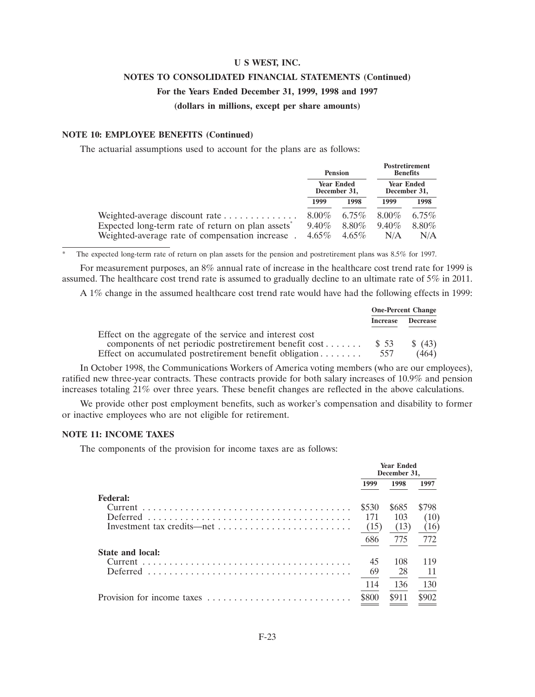### **NOTES TO CONSOLIDATED FINANCIAL STATEMENTS (Continued)**

#### **For the Years Ended December 31, 1999, 1998 and 1997**

#### **(dollars in millions, except per share amounts)**

#### **NOTE 10: EMPLOYEE BENEFITS (Continued)**

The actuarial assumptions used to account for the plans are as follows:

|                                                                                                 |                      | <b>Pension</b>                    |                                   | <b>Postretirement</b><br><b>Benefits</b> |  |
|-------------------------------------------------------------------------------------------------|----------------------|-----------------------------------|-----------------------------------|------------------------------------------|--|
|                                                                                                 |                      | <b>Year Ended</b><br>December 31, | <b>Year Ended</b><br>December 31, |                                          |  |
|                                                                                                 | 1999                 | 1998                              | 1999                              | 1998                                     |  |
| Weighted-average discount rate<br>Expected long-term rate of return on plan assets <sup>*</sup> | $8.00\%$<br>$9.40\%$ | $6.75\%$<br>$8.80\%$              | $8.00\%$<br>$9.40\%$              | $6.75\%$<br>$8.80\%$                     |  |
| Weighted-average rate of compensation increase.                                                 | $4.65\%$             | $4.65\%$                          | N/A                               | N/A                                      |  |

The expected long-term rate of return on plan assets for the pension and postretirement plans was 8.5% for 1997.

For measurement purposes, an 8% annual rate of increase in the healthcare cost trend rate for 1999 is assumed. The healthcare cost trend rate is assumed to gradually decline to an ultimate rate of  $5\%$  in 2011.

A 1% change in the assumed healthcare cost trend rate would have had the following effects in 1999:

|                                                               |                 | <b>One-Percent Change</b> |
|---------------------------------------------------------------|-----------------|---------------------------|
|                                                               | <b>Increase</b> | <b>Decrease</b>           |
| Effect on the aggregate of the service and interest cost      |                 |                           |
| components of net periodic postretirement benefit $cost$ \$53 |                 | $\frac{1}{2}(43)$         |
| Effect on accumulated postretirement benefit obligation       | 557             | (464)                     |

In October 1998, the Communications Workers of America voting members (who are our employees), ratified new three-year contracts. These contracts provide for both salary increases of 10.9% and pension increases totaling 21% over three years. These benefit changes are reflected in the above calculations.

We provide other post employment benefits, such as worker's compensation and disability to former or inactive employees who are not eligible for retirement.

#### **NOTE 11: INCOME TAXES**

The components of the provision for income taxes are as follows:

|                            | <b>Year Ended</b><br>December 31, |       |       |  |
|----------------------------|-----------------------------------|-------|-------|--|
|                            | 1999                              | 1998  | 1997  |  |
| <b>Federal:</b>            |                                   |       |       |  |
| Current                    | \$530                             | \$685 | \$798 |  |
|                            | 171                               | 103   | (10)  |  |
|                            | (15)                              | (13)  | (16)  |  |
|                            | 686                               | 775   | 772   |  |
| <b>State and local:</b>    |                                   |       |       |  |
|                            | 45                                | 108   | 119   |  |
| Deferred                   | 69                                | 28    |       |  |
|                            | 114                               | 136   | 130   |  |
| Provision for income taxes | \$800                             | \$911 |       |  |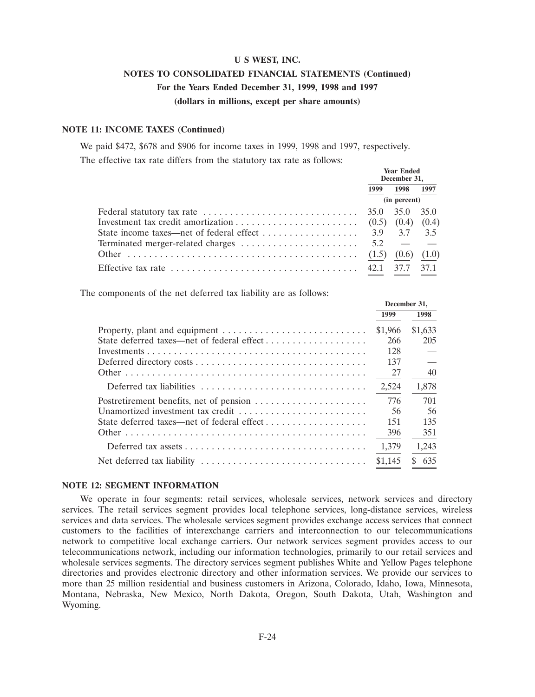### **U S WEST, INC. NOTES TO CONSOLIDATED FINANCIAL STATEMENTS (Continued) For the Years Ended December 31, 1999, 1998 and 1997 (dollars in millions, except per share amounts)**

#### **NOTE 11: INCOME TAXES (Continued)**

We paid \$472, \$678 and \$906 for income taxes in 1999, 1998 and 1997, respectively. The effective tax rate differs from the statutory tax rate as follows:

|                                                                                                     |      | <b>Year Ended</b><br>December 31, |      |  |
|-----------------------------------------------------------------------------------------------------|------|-----------------------------------|------|--|
|                                                                                                     | 1999 | 1998 1997                         |      |  |
|                                                                                                     |      | (in percent)                      |      |  |
| Federal statutory tax rate $\dots \dots \dots \dots \dots \dots \dots \dots \dots \dots \dots$ 35.0 |      | 35.0                              | 35.0 |  |
|                                                                                                     |      |                                   |      |  |
|                                                                                                     |      |                                   |      |  |
| Terminated merger-related charges $\dots \dots \dots \dots \dots \dots \dots$ 5.2 - -               |      |                                   |      |  |
|                                                                                                     |      |                                   |      |  |
|                                                                                                     |      | 37.7                              | 37.1 |  |

The components of the net deferred tax liability are as follows:

|                                         |         | December 31, |
|-----------------------------------------|---------|--------------|
|                                         | 1999    | 1998         |
|                                         | \$1,966 | \$1,633      |
|                                         | 266     | 205          |
|                                         | 128     |              |
|                                         | 137     |              |
|                                         | 27      | 40           |
| Deferred tax liabilities                | 2,524   | 1,878        |
| Postretirement benefits, net of pension | 776     | 701          |
| Unamortized investment tax credit       | 56      | 56           |
|                                         | 151     | 135          |
|                                         | 396     | 351          |
|                                         | 1,379   | 1,243        |
|                                         | \$1,145 | 635<br>\$.   |

#### **NOTE 12: SEGMENT INFORMATION**

We operate in four segments: retail services, wholesale services, network services and directory services. The retail services segment provides local telephone services, long-distance services, wireless services and data services. The wholesale services segment provides exchange access services that connect customers to the facilities of interexchange carriers and interconnection to our telecommunications network to competitive local exchange carriers. Our network services segment provides access to our telecommunications network, including our information technologies, primarily to our retail services and wholesale services segments. The directory services segment publishes White and Yellow Pages telephone directories and provides electronic directory and other information services. We provide our services to more than 25 million residential and business customers in Arizona, Colorado, Idaho, Iowa, Minnesota, Montana, Nebraska, New Mexico, North Dakota, Oregon, South Dakota, Utah, Washington and Wyoming.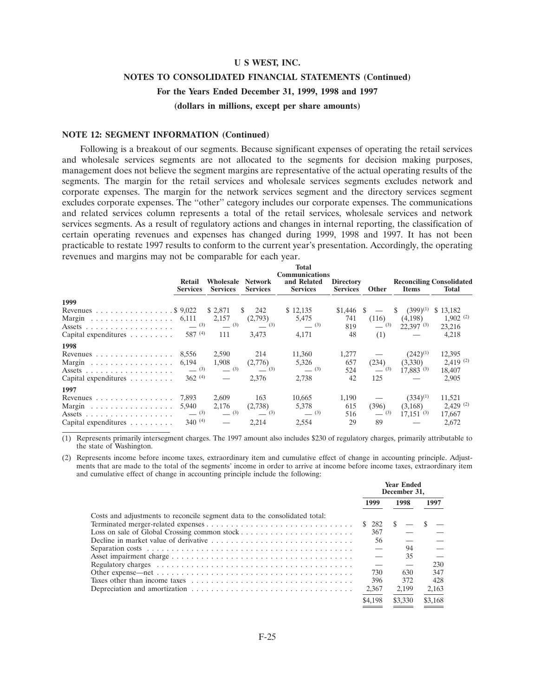### **NOTES TO CONSOLIDATED FINANCIAL STATEMENTS (Continued)**

**For the Years Ended December 31, 1999, 1998 and 1997**

**(dollars in millions, except per share amounts)**

#### **NOTE 12: SEGMENT INFORMATION (Continued)**

Following is a breakout of our segments. Because significant expenses of operating the retail services and wholesale services segments are not allocated to the segments for decision making purposes, management does not believe the segment margins are representative of the actual operating results of the segments. The margin for the retail services and wholesale services segments excludes network and corporate expenses. The margin for the network services segment and the directory services segment excludes corporate expenses. The "other" category includes our corporate expenses. The communications and related services column represents a total of the retail services, wholesale services and network services segments. As a result of regulatory actions and changes in internal reporting, the classification of certain operating revenues and expenses has changed during 1999, 1998 and 1997. It has not been practicable to restate 1997 results to conform to the current year's presentation. Accordingly, the operating revenues and margins may not be comparable for each year.

|                                                        | Retail<br><b>Services</b> | <b>Services</b>          | <b>Wholesale Network</b><br><b>Services</b> | Total<br><b>Communications</b><br>and Related<br><b>Services</b> | <b>Directory</b><br><b>Services</b> | Other   | <b>Items</b>            | <b>Reconciling Consolidated</b><br>Total |
|--------------------------------------------------------|---------------------------|--------------------------|---------------------------------------------|------------------------------------------------------------------|-------------------------------------|---------|-------------------------|------------------------------------------|
| 1999                                                   |                           |                          |                                             |                                                                  |                                     |         |                         |                                          |
| Revenues $\ldots \ldots \ldots \ldots \ldots$ \$ 9,022 |                           | \$ 2,871                 | 242                                         | \$12,135                                                         | \$1.446                             | -S      | $(399)^{(1)}$           | \$13,182                                 |
| Margin 6,111                                           |                           | 2,157                    | (2,793)                                     | 5,475                                                            | 741                                 | (116)   | (4,198)                 | $1,902$ <sup>(2)</sup>                   |
| Assets $\ldots$                                        | $-^{(3)}$                 | $-^{(3)}$                | $-$ (3)                                     | $-^{(3)}$                                                        | 819                                 | $- (3)$ | $22.397^{(3)}$          | 23,216                                   |
| Capital expenditures $\dots \dots$                     | 587(4)                    | 111                      | 3.473                                       | 4,171                                                            | 48                                  | (1)     |                         | 4,218                                    |
| 1998                                                   |                           |                          |                                             |                                                                  |                                     |         |                         |                                          |
| Revenues $\ldots \ldots \ldots \ldots \ldots$          | 8.556                     | 2,590                    | 214                                         | 11,360                                                           | 1,277                               |         | $(242)^{(1)}$           | 12,395                                   |
| Margin 6,194                                           |                           | 1,908                    | (2,776)                                     | 5,326                                                            | 657                                 | (234)   | (3,330)                 | $2,419$ <sup>(2)</sup>                   |
|                                                        | $- (3)$                   | $- (3)$                  | $-^{(3)}$                                   | $-$ (3)                                                          | 524                                 | $- (3)$ | $17,883$ <sup>(3)</sup> | 18,407                                   |
| Capital expenditures $\ldots \ldots \ldots$            | 362(4)                    | $\overline{\phantom{a}}$ | 2,376                                       | 2,738                                                            | 42                                  | 125     |                         | 2,905                                    |
| 1997                                                   |                           |                          |                                             |                                                                  |                                     |         |                         |                                          |
| Revenues $\ldots \ldots \ldots \ldots \ldots$          | 7.893                     | 2,609                    | 163                                         | 10,665                                                           | 1,190                               |         | $(334)^{(1)}$           | 11,521                                   |
| Margin                                                 | 5,940                     | 2,176                    | (2,738)                                     | 5,378                                                            | 615                                 | (396)   | (3,168)                 | $2,429$ (2)                              |
|                                                        | $-^{(3)}$                 | $- (3)$                  | $\frac{1}{2}$ (3)                           | $-$ (3)                                                          | 516                                 | $- (3)$ | $17,151$ <sup>(3)</sup> | 17,667                                   |
| Capital expenditures $\ldots \ldots \ldots$            | $340^{(4)}$               |                          | 2.214                                       | 2,554                                                            | 29                                  | 89      |                         | 2,672                                    |

(1) Represents primarily intersegment charges. The 1997 amount also includes \$230 of regulatory charges, primarily attributable to the state of Washington.

(2) Represents income before income taxes, extraordinary item and cumulative effect of change in accounting principle. Adjustments that are made to the total of the segments' income in order to arrive at income before income taxes, extraordinary item and cumulative effect of change in accounting principle include the following:

|                                                                                                         | <b>Year Ended</b><br>December 31. |         |         |
|---------------------------------------------------------------------------------------------------------|-----------------------------------|---------|---------|
|                                                                                                         | 1999                              | 1998    | 1997    |
| Costs and adjustments to reconcile segment data to the consolidated total:                              |                                   |         |         |
|                                                                                                         | $$282 \quad $-$                   |         |         |
|                                                                                                         | 367                               |         |         |
|                                                                                                         | 56                                |         |         |
|                                                                                                         |                                   | 94      |         |
|                                                                                                         |                                   | 35      |         |
|                                                                                                         | $\overline{\phantom{m}}$          |         | 230     |
|                                                                                                         | 730                               | 630     | 347     |
|                                                                                                         | 396                               | 372     | 428     |
| Depreciation and amortization $\dots \dots \dots \dots \dots \dots \dots \dots \dots \dots \dots \dots$ | 2,367                             | 2.199   | 2,163   |
|                                                                                                         | \$4.198                           | \$3,330 | \$3.168 |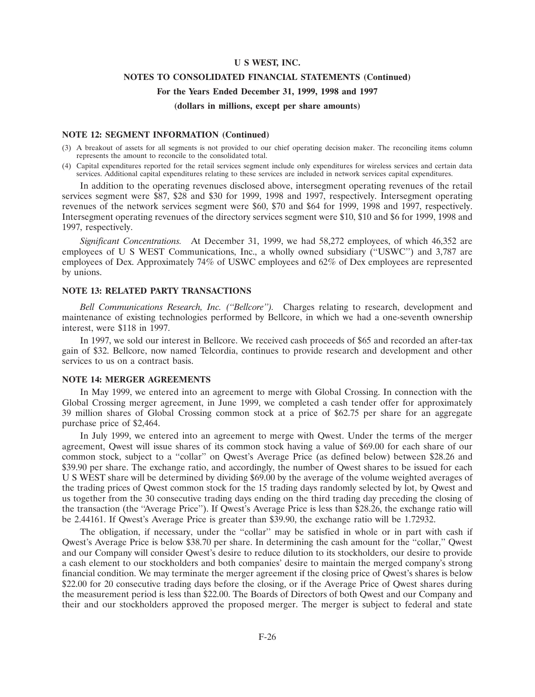#### **NOTES TO CONSOLIDATED FINANCIAL STATEMENTS (Continued)**

#### **For the Years Ended December 31, 1999, 1998 and 1997**

#### **(dollars in millions, except per share amounts)**

#### **NOTE 12: SEGMENT INFORMATION (Continued)**

- (3) A breakout of assets for all segments is not provided to our chief operating decision maker. The reconciling items column represents the amount to reconcile to the consolidated total.
- (4) Capital expenditures reported for the retail services segment include only expenditures for wireless services and certain data services. Additional capital expenditures relating to these services are included in network services capital expenditures.

In addition to the operating revenues disclosed above, intersegment operating revenues of the retail services segment were \$87, \$28 and \$30 for 1999, 1998 and 1997, respectively. Intersegment operating revenues of the network services segment were \$60, \$70 and \$64 for 1999, 1998 and 1997, respectively. Intersegment operating revenues of the directory services segment were \$10, \$10 and \$6 for 1999, 1998 and 1997, respectively.

*Significant Concentrations.* At December 31, 1999, we had 58,272 employees, of which 46,352 are employees of U S WEST Communications, Inc., a wholly owned subsidiary (''USWC'') and 3,787 are employees of Dex. Approximately 74% of USWC employees and 62% of Dex employees are represented by unions.

#### **NOTE 13: RELATED PARTY TRANSACTIONS**

*Bell Communications Research, Inc. (''Bellcore'').* Charges relating to research, development and maintenance of existing technologies performed by Bellcore, in which we had a one-seventh ownership interest, were \$118 in 1997.

In 1997, we sold our interest in Bellcore. We received cash proceeds of \$65 and recorded an after-tax gain of \$32. Bellcore, now named Telcordia, continues to provide research and development and other services to us on a contract basis.

#### **NOTE 14: MERGER AGREEMENTS**

In May 1999, we entered into an agreement to merge with Global Crossing. In connection with the Global Crossing merger agreement, in June 1999, we completed a cash tender offer for approximately 39 million shares of Global Crossing common stock at a price of \$62.75 per share for an aggregate purchase price of \$2,464.

In July 1999, we entered into an agreement to merge with Qwest. Under the terms of the merger agreement, Qwest will issue shares of its common stock having a value of \$69.00 for each share of our common stock, subject to a ''collar'' on Qwest's Average Price (as defined below) between \$28.26 and \$39.90 per share. The exchange ratio, and accordingly, the number of Qwest shares to be issued for each U S WEST share will be determined by dividing \$69.00 by the average of the volume weighted averages of the trading prices of Qwest common stock for the 15 trading days randomly selected by lot, by Qwest and us together from the 30 consecutive trading days ending on the third trading day preceding the closing of the transaction (the ''Average Price''). If Qwest's Average Price is less than \$28.26, the exchange ratio will be 2.44161. If Qwest's Average Price is greater than \$39.90, the exchange ratio will be 1.72932.

The obligation, if necessary, under the ''collar'' may be satisfied in whole or in part with cash if Qwest's Average Price is below \$38.70 per share. In determining the cash amount for the ''collar,'' Qwest and our Company will consider Qwest's desire to reduce dilution to its stockholders, our desire to provide a cash element to our stockholders and both companies' desire to maintain the merged company's strong financial condition. We may terminate the merger agreement if the closing price of Qwest's shares is below \$22.00 for 20 consecutive trading days before the closing, or if the Average Price of Qwest shares during the measurement period is less than \$22.00. The Boards of Directors of both Qwest and our Company and their and our stockholders approved the proposed merger. The merger is subject to federal and state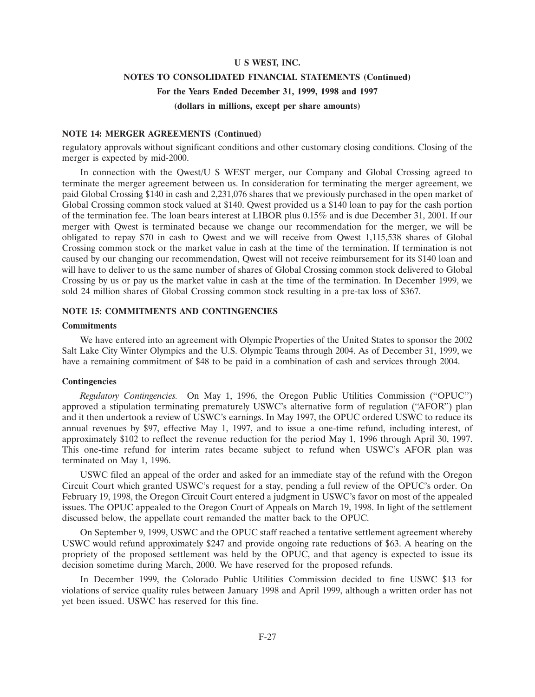# **U S WEST, INC. NOTES TO CONSOLIDATED FINANCIAL STATEMENTS (Continued) For the Years Ended December 31, 1999, 1998 and 1997 (dollars in millions, except per share amounts)**

#### **NOTE 14: MERGER AGREEMENTS (Continued)**

regulatory approvals without significant conditions and other customary closing conditions. Closing of the merger is expected by mid-2000.

In connection with the Qwest/U S WEST merger, our Company and Global Crossing agreed to terminate the merger agreement between us. In consideration for terminating the merger agreement, we paid Global Crossing \$140 in cash and 2,231,076 shares that we previously purchased in the open market of Global Crossing common stock valued at \$140. Qwest provided us a \$140 loan to pay for the cash portion of the termination fee. The loan bears interest at LIBOR plus 0.15% and is due December 31, 2001. If our merger with Qwest is terminated because we change our recommendation for the merger, we will be obligated to repay \$70 in cash to Qwest and we will receive from Qwest 1,115,538 shares of Global Crossing common stock or the market value in cash at the time of the termination. If termination is not caused by our changing our recommendation, Qwest will not receive reimbursement for its \$140 loan and will have to deliver to us the same number of shares of Global Crossing common stock delivered to Global Crossing by us or pay us the market value in cash at the time of the termination. In December 1999, we sold 24 million shares of Global Crossing common stock resulting in a pre-tax loss of \$367.

#### **NOTE 15: COMMITMENTS AND CONTINGENCIES**

#### **Commitments**

We have entered into an agreement with Olympic Properties of the United States to sponsor the 2002 Salt Lake City Winter Olympics and the U.S. Olympic Teams through 2004. As of December 31, 1999, we have a remaining commitment of \$48 to be paid in a combination of cash and services through 2004.

#### **Contingencies**

*Regulatory Contingencies.* On May 1, 1996, the Oregon Public Utilities Commission (''OPUC'') approved a stipulation terminating prematurely USWC's alternative form of regulation (''AFOR'') plan and it then undertook a review of USWC's earnings. In May 1997, the OPUC ordered USWC to reduce its annual revenues by \$97, effective May 1, 1997, and to issue a one-time refund, including interest, of approximately \$102 to reflect the revenue reduction for the period May 1, 1996 through April 30, 1997. This one-time refund for interim rates became subject to refund when USWC's AFOR plan was terminated on May 1, 1996.

USWC filed an appeal of the order and asked for an immediate stay of the refund with the Oregon Circuit Court which granted USWC's request for a stay, pending a full review of the OPUC's order. On February 19, 1998, the Oregon Circuit Court entered a judgment in USWC's favor on most of the appealed issues. The OPUC appealed to the Oregon Court of Appeals on March 19, 1998. In light of the settlement discussed below, the appellate court remanded the matter back to the OPUC.

On September 9, 1999, USWC and the OPUC staff reached a tentative settlement agreement whereby USWC would refund approximately \$247 and provide ongoing rate reductions of \$63. A hearing on the propriety of the proposed settlement was held by the OPUC, and that agency is expected to issue its decision sometime during March, 2000. We have reserved for the proposed refunds.

In December 1999, the Colorado Public Utilities Commission decided to fine USWC \$13 for violations of service quality rules between January 1998 and April 1999, although a written order has not yet been issued. USWC has reserved for this fine.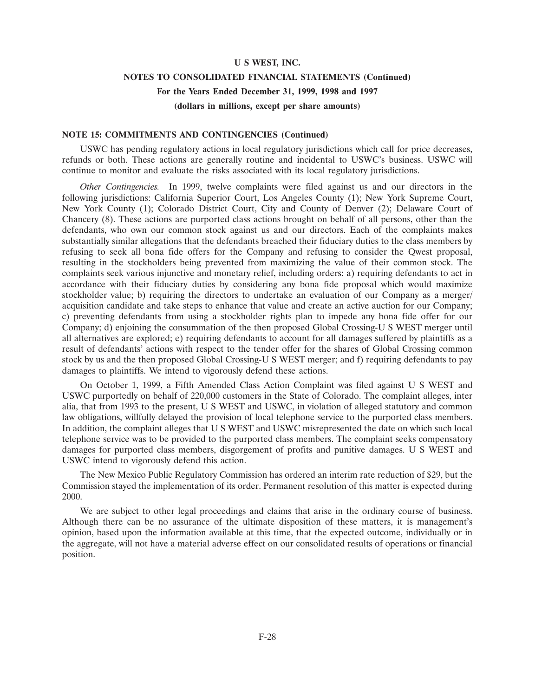### **NOTES TO CONSOLIDATED FINANCIAL STATEMENTS (Continued) For the Years Ended December 31, 1999, 1998 and 1997 (dollars in millions, except per share amounts)**

#### **NOTE 15: COMMITMENTS AND CONTINGENCIES (Continued)**

USWC has pending regulatory actions in local regulatory jurisdictions which call for price decreases, refunds or both. These actions are generally routine and incidental to USWC's business. USWC will continue to monitor and evaluate the risks associated with its local regulatory jurisdictions.

*Other Contingencies.* In 1999, twelve complaints were filed against us and our directors in the following jurisdictions: California Superior Court, Los Angeles County (1); New York Supreme Court, New York County (1); Colorado District Court, City and County of Denver (2); Delaware Court of Chancery (8). These actions are purported class actions brought on behalf of all persons, other than the defendants, who own our common stock against us and our directors. Each of the complaints makes substantially similar allegations that the defendants breached their fiduciary duties to the class members by refusing to seek all bona fide offers for the Company and refusing to consider the Qwest proposal, resulting in the stockholders being prevented from maximizing the value of their common stock. The complaints seek various injunctive and monetary relief, including orders: a) requiring defendants to act in accordance with their fiduciary duties by considering any bona fide proposal which would maximize stockholder value; b) requiring the directors to undertake an evaluation of our Company as a merger/ acquisition candidate and take steps to enhance that value and create an active auction for our Company; c) preventing defendants from using a stockholder rights plan to impede any bona fide offer for our Company; d) enjoining the consummation of the then proposed Global Crossing-U S WEST merger until all alternatives are explored; e) requiring defendants to account for all damages suffered by plaintiffs as a result of defendants' actions with respect to the tender offer for the shares of Global Crossing common stock by us and the then proposed Global Crossing-U S WEST merger; and f) requiring defendants to pay damages to plaintiffs. We intend to vigorously defend these actions.

On October 1, 1999, a Fifth Amended Class Action Complaint was filed against U S WEST and USWC purportedly on behalf of 220,000 customers in the State of Colorado. The complaint alleges, inter alia, that from 1993 to the present, U S WEST and USWC, in violation of alleged statutory and common law obligations, willfully delayed the provision of local telephone service to the purported class members. In addition, the complaint alleges that U S WEST and USWC misrepresented the date on which such local telephone service was to be provided to the purported class members. The complaint seeks compensatory damages for purported class members, disgorgement of profits and punitive damages. U S WEST and USWC intend to vigorously defend this action.

The New Mexico Public Regulatory Commission has ordered an interim rate reduction of \$29, but the Commission stayed the implementation of its order. Permanent resolution of this matter is expected during 2000.

We are subject to other legal proceedings and claims that arise in the ordinary course of business. Although there can be no assurance of the ultimate disposition of these matters, it is management's opinion, based upon the information available at this time, that the expected outcome, individually or in the aggregate, will not have a material adverse effect on our consolidated results of operations or financial position.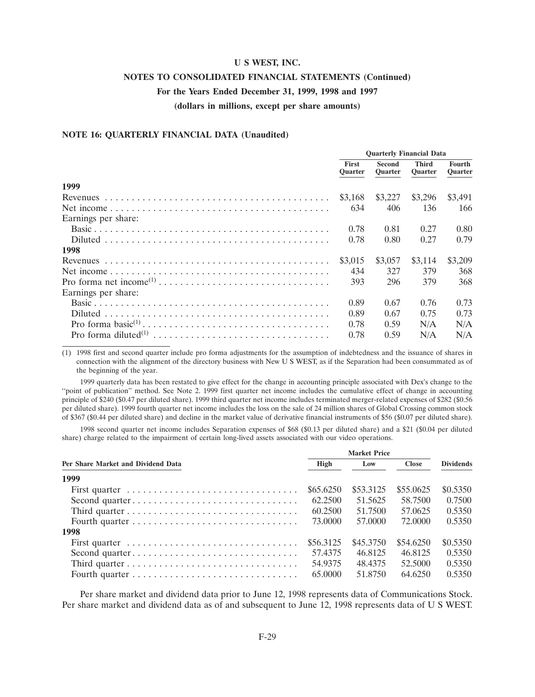# **NOTES TO CONSOLIDATED FINANCIAL STATEMENTS (Continued)**

### **For the Years Ended December 31, 1999, 1998 and 1997**

**(dollars in millions, except per share amounts)**

#### **NOTE 16: QUARTERLY FINANCIAL DATA (Unaudited)**

|                     | <b>Ouarterly Financial Data</b> |                          |                                |                   |
|---------------------|---------------------------------|--------------------------|--------------------------------|-------------------|
|                     | <b>First</b><br><b>Quarter</b>  | Second<br><b>Quarter</b> | <b>Third</b><br><b>Quarter</b> | Fourth<br>Quarter |
| 1999                |                                 |                          |                                |                   |
|                     | \$3.168                         | \$3,227                  | \$3,296                        | \$3,491           |
|                     | 634                             | 406                      | 136                            | 166               |
| Earnings per share: |                                 |                          |                                |                   |
|                     | 0.78                            | 0.81                     | 0.27                           | 0.80              |
|                     | 0.78                            | 0.80                     | 0.27                           | 0.79              |
| 1998                |                                 |                          |                                |                   |
|                     | \$3,015                         | \$3,057                  | \$3,114                        | \$3,209           |
|                     | 434                             | 327                      | 379                            | 368               |
|                     | 393                             | 296                      | 379                            | 368               |
| Earnings per share: |                                 |                          |                                |                   |
|                     | 0.89                            | 0.67                     | 0.76                           | 0.73              |
|                     | 0.89                            | 0.67                     | 0.75                           | 0.73              |
|                     | 0.78                            | 0.59                     | N/A                            | N/A               |
|                     | 0.78                            | 0.59                     | N/A                            | N/A               |

(1) 1998 first and second quarter include pro forma adjustments for the assumption of indebtedness and the issuance of shares in connection with the alignment of the directory business with New U S WEST, as if the Separation had been consummated as of the beginning of the year.

1999 quarterly data has been restated to give effect for the change in accounting principle associated with Dex's change to the ''point of publication'' method. See Note 2. 1999 first quarter net income includes the cumulative effect of change in accounting principle of \$240 (\$0.47 per diluted share). 1999 third quarter net income includes terminated merger-related expenses of \$282 (\$0.56 per diluted share). 1999 fourth quarter net income includes the loss on the sale of 24 million shares of Global Crossing common stock of \$367 (\$0.44 per diluted share) and decline in the market value of derivative financial instruments of \$56 (\$0.07 per diluted share).

1998 second quarter net income includes Separation expenses of \$68 (\$0.13 per diluted share) and a \$21 (\$0.04 per diluted share) charge related to the impairment of certain long-lived assets associated with our video operations.

| Per Share Market and Dividend Data | High      | Low       | <b>Close</b> | <b>Dividends</b> |
|------------------------------------|-----------|-----------|--------------|------------------|
| 1999                               |           |           |              |                  |
| First quarter                      | \$65.6250 | \$53.3125 | \$55,0625    | \$0.5350         |
| Second quarter                     | 62.2500   | 51.5625   | 58.7500      | 0.7500           |
|                                    | 60.2500   | 51.7500   | 57.0625      | 0.5350           |
|                                    | 73.0000   | 57.0000   | 72,0000      | 0.5350           |
| 1998                               |           |           |              |                  |
|                                    | \$56.3125 | \$45,3750 | \$54,6250    | \$0.5350         |
| Second quarter                     | 57.4375   | 46.8125   | 46.8125      | 0.5350           |
|                                    | 54.9375   | 48.4375   | 52.5000      | 0.5350           |
|                                    | 65,0000   | 51.8750   | 64.6250      | 0.5350           |

Per share market and dividend data prior to June 12, 1998 represents data of Communications Stock. Per share market and dividend data as of and subsequent to June 12, 1998 represents data of U S WEST.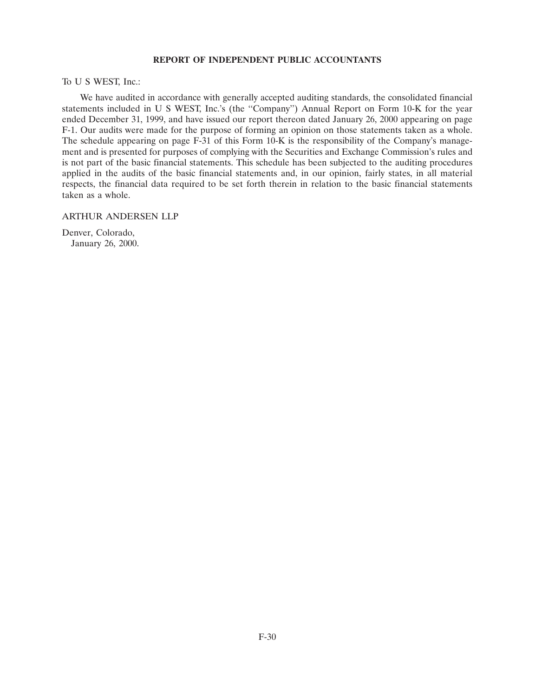#### **REPORT OF INDEPENDENT PUBLIC ACCOUNTANTS**

To U S WEST, Inc.:

We have audited in accordance with generally accepted auditing standards, the consolidated financial statements included in U S WEST, Inc.'s (the ''Company'') Annual Report on Form 10-K for the year ended December 31, 1999, and have issued our report thereon dated January 26, 2000 appearing on page F-1. Our audits were made for the purpose of forming an opinion on those statements taken as a whole. The schedule appearing on page F-3 1 of this Form 10-K is the responsibility of the Company's management and is presented for purposes of complying with the Securities and Exchange Commission's rules and is not part of the basic financial statements. This schedule has been subjected to the auditing procedures applied in the audits of the basic financial statements and, in our opinion, fairly states, in all material respects, the financial data required to be set forth therein in relation to the basic financial statements taken as a whole.

#### ARTHUR ANDERSEN LLP

Denver, Colorado, January 26, 2000.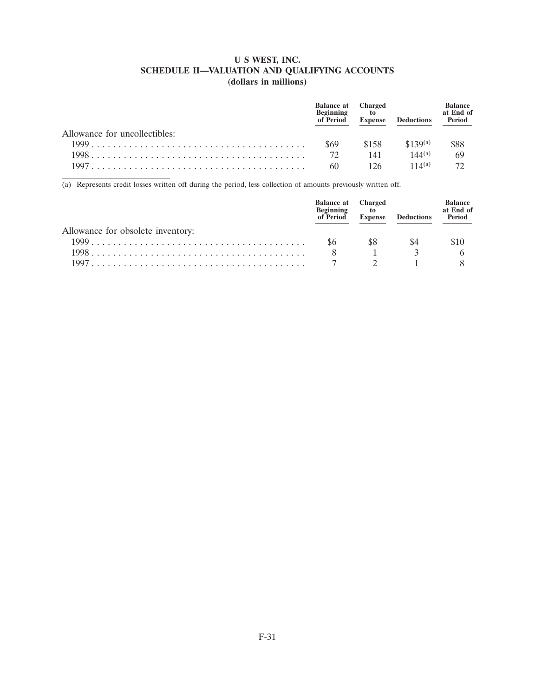### **U S WEST, INC. SCHEDULE II—VALUATION AND QUALIFYING ACCOUNTS (dollars in millions)**

|                               | <b>Balance at</b> Charged<br><b>Beginning</b><br>of Period | to to<br><b>Expense</b> | <b>Deductions</b> | Balance<br>at End of<br>Period |
|-------------------------------|------------------------------------------------------------|-------------------------|-------------------|--------------------------------|
| Allowance for uncollectibles: |                                                            |                         |                   |                                |
|                               | \$69                                                       | \$158                   | $$139^{(a)}$      | \$88                           |
|                               | $72^{\circ}$                                               | 141                     | $144^{(a)}$       | 69                             |
|                               | 60                                                         | 126                     | $11\Delta(a)$     |                                |

(a) Represents credit losses written off during the period, less collection of amounts previously written off.

|                                   | <b>Balance at</b> Charged<br><b>Beginning</b><br>of Period | <b>Expense</b> | <b>Deductions</b> | <b>Balance</b><br>at End of<br>Period |
|-----------------------------------|------------------------------------------------------------|----------------|-------------------|---------------------------------------|
| Allowance for obsolete inventory: |                                                            |                |                   |                                       |
|                                   | \$6                                                        |                |                   | \$10                                  |
|                                   |                                                            |                |                   |                                       |
|                                   |                                                            |                |                   |                                       |